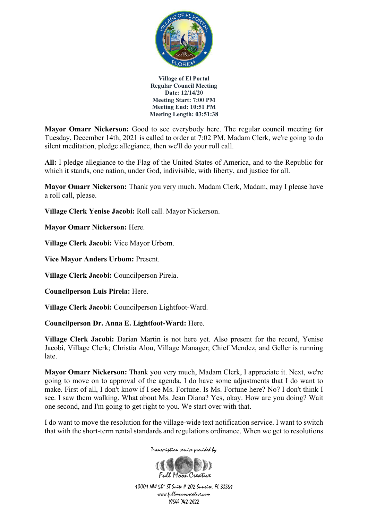

**Mayor Omarr Nickerson:** Good to see everybody here. The regular council meeting for Tuesday, December 14th, 2021 is called to order at 7:02 PM. Madam Clerk, we're going to do silent meditation, pledge allegiance, then we'll do your roll call.

**All:** I pledge allegiance to the Flag of the United States of America, and to the Republic for which it stands, one nation, under God, indivisible, with liberty, and justice for all.

**Mayor Omarr Nickerson:** Thank you very much. Madam Clerk, Madam, may I please have a roll call, please.

**Village Clerk Yenise Jacobi:** Roll call. Mayor Nickerson.

**Mayor Omarr Nickerson:** Here.

**Village Clerk Jacobi:** Vice Mayor Urbom.

**Vice Mayor Anders Urbom:** Present.

**Village Clerk Jacobi:** Councilperson Pirela.

**Councilperson Luis Pirela:** Here.

**Village Clerk Jacobi:** Councilperson Lightfoot-Ward.

**Councilperson Dr. Anna E. Lightfoot-Ward:** Here.

**Village Clerk Jacobi:** Darian Martin is not here yet. Also present for the record, Yenise Jacobi, Village Clerk; Christia Alou, Village Manager; Chief Mendez, and Geller is running late.

**Mayor Omarr Nickerson:** Thank you very much, Madam Clerk, I appreciate it. Next, we're going to move on to approval of the agenda. I do have some adjustments that I do want to make. First of all, I don't know if I see Ms. Fortune. Is Ms. Fortune here? No? I don't think I see. I saw them walking. What about Ms. Jean Diana? Yes, okay. How are you doing? Wait one second, and I'm going to get right to you. We start over with that.

I do want to move the resolution for the village-wide text notification service. I want to switch that with the short-term rental standards and regulations ordinance. When we get to resolutions

Transcription service provided by

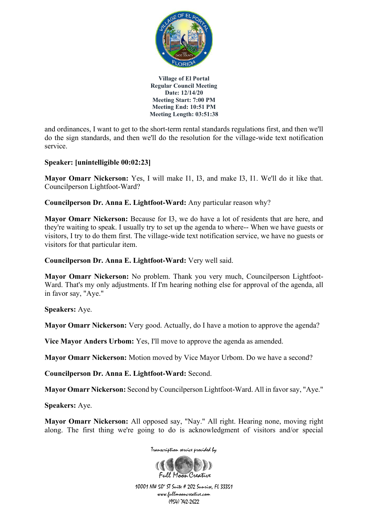

and ordinances, I want to get to the short-term rental standards regulations first, and then we'll do the sign standards, and then we'll do the resolution for the village-wide text notification service.

# **Speaker: [unintelligible 00:02:23]**

**Mayor Omarr Nickerson:** Yes, I will make I1, I3, and make I3, I1. We'll do it like that. Councilperson Lightfoot-Ward?

**Councilperson Dr. Anna E. Lightfoot-Ward:** Any particular reason why?

**Mayor Omarr Nickerson:** Because for I3, we do have a lot of residents that are here, and they're waiting to speak. I usually try to set up the agenda to where-- When we have guests or visitors, I try to do them first. The village-wide text notification service, we have no guests or visitors for that particular item.

**Councilperson Dr. Anna E. Lightfoot-Ward:** Very well said.

**Mayor Omarr Nickerson:** No problem. Thank you very much, Councilperson Lightfoot-Ward. That's my only adjustments. If I'm hearing nothing else for approval of the agenda, all in favor say, "Aye."

**Speakers:** Aye.

**Mayor Omarr Nickerson:** Very good. Actually, do I have a motion to approve the agenda?

**Vice Mayor Anders Urbom:** Yes, I'll move to approve the agenda as amended.

**Mayor Omarr Nickerson:** Motion moved by Vice Mayor Urbom. Do we have a second?

**Councilperson Dr. Anna E. Lightfoot-Ward:** Second.

**Mayor Omarr Nickerson:** Second by Councilperson Lightfoot-Ward. All in favor say, "Aye."

**Speakers:** Aye.

**Mayor Omarr Nickerson:** All opposed say, "Nay." All right. Hearing none, moving right along. The first thing we're going to do is acknowledgment of visitors and/or special

Transcription service provided by

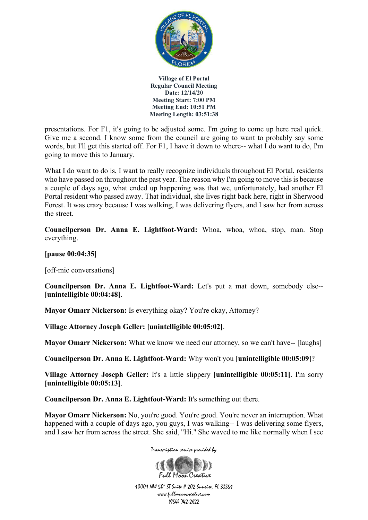

presentations. For F1, it's going to be adjusted some. I'm going to come up here real quick. Give me a second. I know some from the council are going to want to probably say some words, but I'll get this started off. For F1, I have it down to where-- what I do want to do, I'm going to move this to January.

What I do want to do is, I want to really recognize individuals throughout El Portal, residents who have passed on throughout the past year. The reason why I'm going to move this is because a couple of days ago, what ended up happening was that we, unfortunately, had another El Portal resident who passed away. That individual, she lives right back here, right in Sherwood Forest. It was crazy because I was walking, I was delivering flyers, and I saw her from across the street.

**Councilperson Dr. Anna E. Lightfoot-Ward:** Whoa, whoa, whoa, stop, man. Stop everything.

**[pause 00:04:35]**

[off-mic conversations]

**Councilperson Dr. Anna E. Lightfoot-Ward:** Let's put a mat down, somebody else-- **[unintelligible 00:04:48]**.

**Mayor Omarr Nickerson:** Is everything okay? You're okay, Attorney?

**Village Attorney Joseph Geller: [unintelligible 00:05:02]**.

**Mayor Omarr Nickerson:** What we know we need our attorney, so we can't have-- [laughs]

**Councilperson Dr. Anna E. Lightfoot-Ward:** Why won't you **[unintelligible 00:05:09]**?

**Village Attorney Joseph Geller:** It's a little slippery **[unintelligible 00:05:11]**. I'm sorry **[unintelligible 00:05:13]**.

**Councilperson Dr. Anna E. Lightfoot-Ward:** It's something out there.

**Mayor Omarr Nickerson:** No, you're good. You're good. You're never an interruption. What happened with a couple of days ago, you guys, I was walking-- I was delivering some flyers, and I saw her from across the street. She said, "Hi." She waved to me like normally when I see



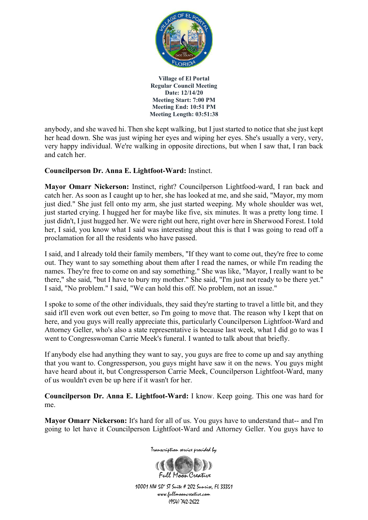

anybody, and she waved hi. Then she kept walking, but I just started to notice that she just kept her head down. She was just wiping her eyes and wiping her eyes. She's usually a very, very, very happy individual. We're walking in opposite directions, but when I saw that, I ran back and catch her.

## **Councilperson Dr. Anna E. Lightfoot-Ward:** Instinct.

**Mayor Omarr Nickerson:** Instinct, right? Councilperson Lightfood-ward, I ran back and catch her. As soon as I caught up to her, she has looked at me, and she said, "Mayor, my mom just died." She just fell onto my arm, she just started weeping. My whole shoulder was wet, just started crying. I hugged her for maybe like five, six minutes. It was a pretty long time. I just didn't, I just hugged her. We were right out here, right over here in Sherwood Forest. I told her, I said, you know what I said was interesting about this is that I was going to read off a proclamation for all the residents who have passed.

I said, and I already told their family members, "If they want to come out, they're free to come out. They want to say something about them after I read the names, or while I'm reading the names. They're free to come on and say something." She was like, "Mayor, I really want to be there," she said, "but I have to bury my mother." She said, "I'm just not ready to be there yet." I said, "No problem." I said, "We can hold this off. No problem, not an issue."

I spoke to some of the other individuals, they said they're starting to travel a little bit, and they said it'll even work out even better, so I'm going to move that. The reason why I kept that on here, and you guys will really appreciate this, particularly Councilperson Lightfoot-Ward and Attorney Geller, who's also a state representative is because last week, what I did go to was I went to Congresswoman Carrie Meek's funeral. I wanted to talk about that briefly.

If anybody else had anything they want to say, you guys are free to come up and say anything that you want to. Congressperson, you guys might have saw it on the news. You guys might have heard about it, but Congressperson Carrie Meek, Councilperson Lightfoot-Ward, many of us wouldn't even be up here if it wasn't for her.

**Councilperson Dr. Anna E. Lightfoot-Ward:** I know. Keep going. This one was hard for me.

**Mayor Omarr Nickerson:** It's hard for all of us. You guys have to understand that-- and I'm going to let have it Councilperson Lightfoot-Ward and Attorney Geller. You guys have to



Transcription service provided by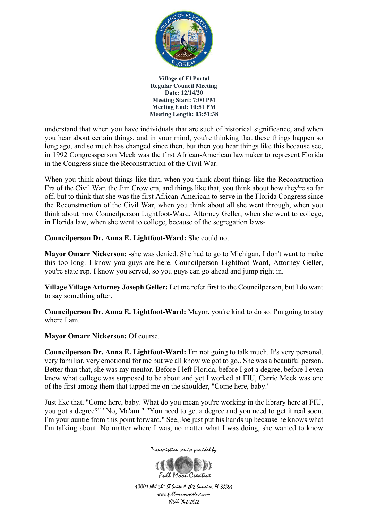

understand that when you have individuals that are such of historical significance, and when you hear about certain things, and in your mind, you're thinking that these things happen so long ago, and so much has changed since then, but then you hear things like this because see, in 1992 Congressperson Meek was the first African-American lawmaker to represent Florida in the Congress since the Reconstruction of the Civil War.

When you think about things like that, when you think about things like the Reconstruction Era of the Civil War, the Jim Crow era, and things like that, you think about how they're so far off, but to think that she was the first African-American to serve in the Florida Congress since the Reconstruction of the Civil War, when you think about all she went through, when you think about how Councilperson Lightfoot-Ward, Attorney Geller, when she went to college, in Florida law, when she went to college, because of the segregation laws-

**Councilperson Dr. Anna E. Lightfoot-Ward:** She could not.

**Mayor Omarr Nickerson: -**she was denied. She had to go to Michigan. I don't want to make this too long. I know you guys are here. Councilperson Lightfoot-Ward, Attorney Geller, you're state rep. I know you served, so you guys can go ahead and jump right in.

**Village Village Attorney Joseph Geller:** Let me refer first to the Councilperson, but I do want to say something after.

**Councilperson Dr. Anna E. Lightfoot-Ward:** Mayor, you're kind to do so. I'm going to stay where I am.

**Mayor Omarr Nickerson:** Of course.

**Councilperson Dr. Anna E. Lightfoot-Ward:** I'm not going to talk much. It's very personal, very familiar, very emotional for me but we all know we got to go,. She was a beautiful person. Better than that, she was my mentor. Before I left Florida, before I got a degree, before I even knew what college was supposed to be about and yet I worked at FIU, Carrie Meek was one of the first among them that tapped me on the shoulder, "Come here, baby."

Just like that, "Come here, baby. What do you mean you're working in the library here at FIU, you got a degree?" "No, Ma'am." "You need to get a degree and you need to get it real soon. I'm your auntie from this point forward." See, Joe just put his hands up because he knows what I'm talking about. No matter where I was, no matter what I was doing, she wanted to know



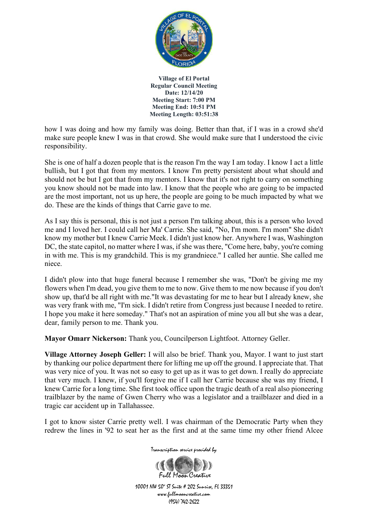

how I was doing and how my family was doing. Better than that, if I was in a crowd she'd make sure people knew I was in that crowd. She would make sure that I understood the civic responsibility.

She is one of half a dozen people that is the reason I'm the way I am today. I know I act a little bullish, but I got that from my mentors. I know I'm pretty persistent about what should and should not be but I got that from my mentors. I know that it's not right to carry on something you know should not be made into law. I know that the people who are going to be impacted are the most important, not us up here, the people are going to be much impacted by what we do. These are the kinds of things that Carrie gave to me.

As I say this is personal, this is not just a person I'm talking about, this is a person who loved me and I loved her. I could call her Ma' Carrie. She said, "No, I'm mom. I'm mom" She didn't know my mother but I knew Carrie Meek. I didn't just know her. Anywhere I was, Washington DC, the state capitol, no matter where I was, if she was there, "Come here, baby, you're coming in with me. This is my grandchild. This is my grandniece." I called her auntie. She called me niece.

I didn't plow into that huge funeral because I remember she was, "Don't be giving me my flowers when I'm dead, you give them to me to now. Give them to me now because if you don't show up, that'd be all right with me."It was devastating for me to hear but I already knew, she was very frank with me, "I'm sick. I didn't retire from Congress just because I needed to retire. I hope you make it here someday." That's not an aspiration of mine you all but she was a dear, dear, family person to me. Thank you.

**Mayor Omarr Nickerson:** Thank you, Councilperson Lightfoot. Attorney Geller.

**Village Attorney Joseph Geller:** I will also be brief. Thank you, Mayor. I want to just start by thanking our police department there for lifting me up off the ground. I appreciate that. That was very nice of you. It was not so easy to get up as it was to get down. I really do appreciate that very much. I knew, if you'll forgive me if I call her Carrie because she was my friend, I knew Carrie for a long time. She first took office upon the tragic death of a real also pioneering trailblazer by the name of Gwen Cherry who was a legislator and a trailblazer and died in a tragic car accident up in Tallahassee.

I got to know sister Carrie pretty well. I was chairman of the Democratic Party when they redrew the lines in '92 to seat her as the first and at the same time my other friend Alcee



Transcription service provided by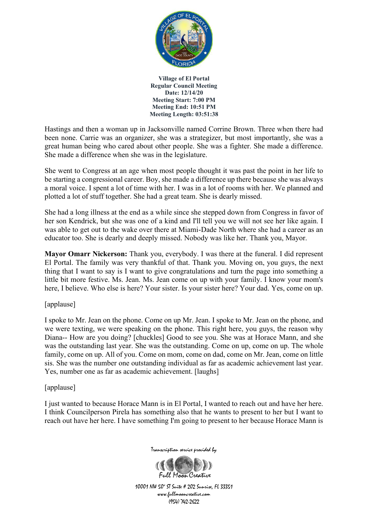

Hastings and then a woman up in Jacksonville named Corrine Brown. Three when there had been none. Carrie was an organizer, she was a strategizer, but most importantly, she was a great human being who cared about other people. She was a fighter. She made a difference. She made a difference when she was in the legislature.

She went to Congress at an age when most people thought it was past the point in her life to be starting a congressional career. Boy, she made a difference up there because she was always a moral voice. I spent a lot of time with her. I was in a lot of rooms with her. We planned and plotted a lot of stuff together. She had a great team. She is dearly missed.

She had a long illness at the end as a while since she stepped down from Congress in favor of her son Kendrick, but she was one of a kind and I'll tell you we will not see her like again. I was able to get out to the wake over there at Miami-Dade North where she had a career as an educator too. She is dearly and deeply missed. Nobody was like her. Thank you, Mayor.

**Mayor Omarr Nickerson:** Thank you, everybody. I was there at the funeral. I did represent El Portal. The family was very thankful of that. Thank you. Moving on, you guys, the next thing that I want to say is I want to give congratulations and turn the page into something a little bit more festive. Ms. Jean. Ms. Jean come on up with your family. I know your mom's here, I believe. Who else is here? Your sister. Is your sister here? Your dad. Yes, come on up.

[applause]

I spoke to Mr. Jean on the phone. Come on up Mr. Jean. I spoke to Mr. Jean on the phone, and we were texting, we were speaking on the phone. This right here, you guys, the reason why Diana-- How are you doing? [chuckles] Good to see you. She was at Horace Mann, and she was the outstanding last year. She was the outstanding. Come on up, come on up. The whole family, come on up. All of you. Come on mom, come on dad, come on Mr. Jean, come on little sis. She was the number one outstanding individual as far as academic achievement last year. Yes, number one as far as academic achievement. [laughs]

[applause]

I just wanted to because Horace Mann is in El Portal, I wanted to reach out and have her here. I think Councilperson Pirela has something also that he wants to present to her but I want to reach out have her here. I have something I'm going to present to her because Horace Mann is



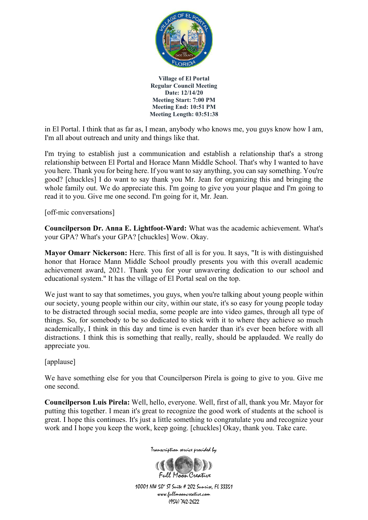

in El Portal. I think that as far as, I mean, anybody who knows me, you guys know how I am, I'm all about outreach and unity and things like that.

I'm trying to establish just a communication and establish a relationship that's a strong relationship between El Portal and Horace Mann Middle School. That's why I wanted to have you here. Thank you for being here. If you want to say anything, you can say something. You're good? [chuckles] I do want to say thank you Mr. Jean for organizing this and bringing the whole family out. We do appreciate this. I'm going to give you your plaque and I'm going to read it to you. Give me one second. I'm going for it, Mr. Jean.

[off-mic conversations]

**Councilperson Dr. Anna E. Lightfoot-Ward:** What was the academic achievement. What's your GPA? What's your GPA? [chuckles] Wow. Okay.

**Mayor Omarr Nickerson:** Here. This first of all is for you. It says, "It is with distinguished honor that Horace Mann Middle School proudly presents you with this overall academic achievement award, 2021. Thank you for your unwavering dedication to our school and educational system." It has the village of El Portal seal on the top.

We just want to say that sometimes, you guys, when you're talking about young people within our society, young people within our city, within our state, it's so easy for young people today to be distracted through social media, some people are into video games, through all type of things. So, for somebody to be so dedicated to stick with it to where they achieve so much academically, I think in this day and time is even harder than it's ever been before with all distractions. I think this is something that really, really, should be applauded. We really do appreciate you.

[applause]

We have something else for you that Councilperson Pirela is going to give to you. Give me one second.

**Councilperson Luis Pirela:** Well, hello, everyone. Well, first of all, thank you Mr. Mayor for putting this together. I mean it's great to recognize the good work of students at the school is great. I hope this continues. It's just a little something to congratulate you and recognize your work and I hope you keep the work, keep going. [chuckles] Okay, thank you. Take care.



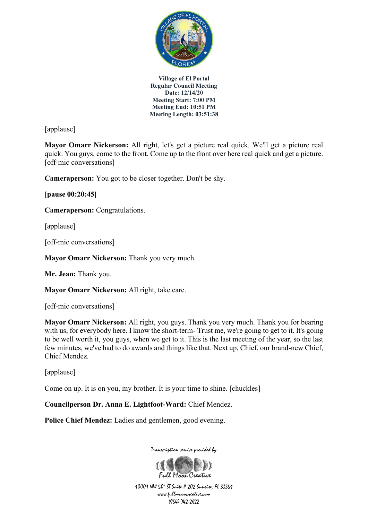

[applause]

**Mayor Omarr Nickerson:** All right, let's get a picture real quick. We'll get a picture real quick. You guys, come to the front. Come up to the front over here real quick and get a picture. [off-mic conversations]

**Cameraperson:** You got to be closer together. Don't be shy.

**[pause 00:20:45]**

**Cameraperson:** Congratulations.

[applause]

[off-mic conversations]

**Mayor Omarr Nickerson:** Thank you very much.

**Mr. Jean:** Thank you.

**Mayor Omarr Nickerson:** All right, take care.

[off-mic conversations]

**Mayor Omarr Nickerson:** All right, you guys. Thank you very much. Thank you for bearing with us, for everybody here. I know the short-term- Trust me, we're going to get to it. It's going to be well worth it, you guys, when we get to it. This is the last meeting of the year, so the last few minutes, we've had to do awards and things like that. Next up, Chief, our brand-new Chief, Chief Mendez.

[applause]

Come on up. It is on you, my brother. It is your time to shine. [chuckles]

**Councilperson Dr. Anna E. Lightfoot-Ward:** Chief Mendez.

**Police Chief Mendez:** Ladies and gentlemen, good evening.

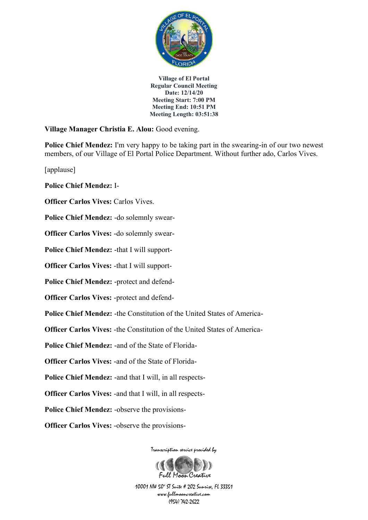

**Village Manager Christia E. Alou:** Good evening.

**Police Chief Mendez:** I'm very happy to be taking part in the swearing-in of our two newest members, of our Village of El Portal Police Department. Without further ado, Carlos Vives.

[applause]

**Police Chief Mendez:** I-

**Officer Carlos Vives: Carlos Vives.** 

**Police Chief Mendez:** -do solemnly swear-

**Officer Carlos Vives:** -do solemnly swear-

**Police Chief Mendez:** -that I will support-

**Officer Carlos Vives:** -that I will support-

**Police Chief Mendez:** -protect and defend-

**Officer Carlos Vives:** -protect and defend-

**Police Chief Mendez:** -the Constitution of the United States of America-

**Officer Carlos Vives:** -the Constitution of the United States of America-

**Police Chief Mendez:** -and of the State of Florida-

**Officer Carlos Vives:** -and of the State of Florida-

**Police Chief Mendez:** -and that I will, in all respects-

**Officer Carlos Vives:** -and that I will, in all respects-

**Police Chief Mendez:** -observe the provisions-

**Officer Carlos Vives:** -observe the provisions-

Transcription service provided by

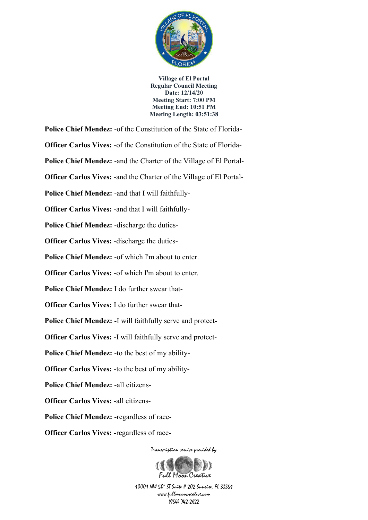

Transcription service provided by **Police Chief Mendez:** -of the Constitution of the State of Florida-**Officer Carlos Vives:** -of the Constitution of the State of Florida-**Police Chief Mendez:** -and the Charter of the Village of El Portal-**Officer Carlos Vives:** -and the Charter of the Village of El Portal-**Police Chief Mendez:** -and that I will faithfully-**Officer Carlos Vives:** -and that I will faithfully-**Police Chief Mendez:** -discharge the duties-**Officer Carlos Vives:** -discharge the duties-**Police Chief Mendez:** -of which I'm about to enter. **Officer Carlos Vives:** -of which I'm about to enter. **Police Chief Mendez:** I do further swear that-**Officer Carlos Vives:** I do further swear that-**Police Chief Mendez:** -I will faithfully serve and protect-**Officer Carlos Vives:** -I will faithfully serve and protect-**Police Chief Mendez:** -to the best of my ability-**Officer Carlos Vives:** -to the best of my ability-**Police Chief Mendez:** -all citizens-**Officer Carlos Vives:** -all citizens-**Police Chief Mendez:** -regardless of race-**Officer Carlos Vives:** -regardless of race-

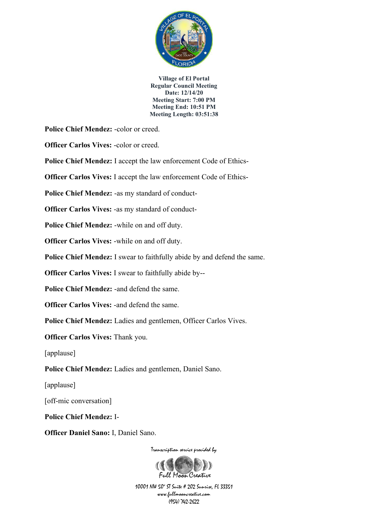

**Police Chief Mendez:** -color or creed.

**Officer Carlos Vives:** -color or creed.

**Police Chief Mendez:** I accept the law enforcement Code of Ethics-

**Officer Carlos Vives:** I accept the law enforcement Code of Ethics-

**Police Chief Mendez:** -as my standard of conduct-

**Officer Carlos Vives:** -as my standard of conduct-

**Police Chief Mendez:** -while on and off duty.

**Officer Carlos Vives:** -while on and off duty.

**Police Chief Mendez:** I swear to faithfully abide by and defend the same.

**Officer Carlos Vives:** I swear to faithfully abide by--

**Police Chief Mendez:** -and defend the same.

**Officer Carlos Vives: -and defend the same.** 

**Police Chief Mendez:** Ladies and gentlemen, Officer Carlos Vives.

**Officer Carlos Vives:** Thank you.

[applause]

**Police Chief Mendez:** Ladies and gentlemen, Daniel Sano.

[applause]

[off-mic conversation]

**Police Chief Mendez:** I-

**Officer Daniel Sano:** I, Daniel Sano.

Transcription service provided by

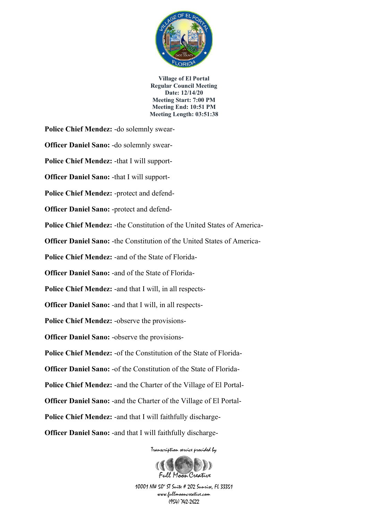

**Police Chief Mendez:** -do solemnly swear-

**Officer Daniel Sano:** -do solemnly swear-

**Police Chief Mendez:** -that I will support-

**Officer Daniel Sano:** -that I will support-

**Police Chief Mendez:** -protect and defend-

**Officer Daniel Sano:** -protect and defend-

**Police Chief Mendez:** -the Constitution of the United States of America-

**Officer Daniel Sano:** -the Constitution of the United States of America-

**Police Chief Mendez:** -and of the State of Florida-

**Officer Daniel Sano:** -and of the State of Florida-

**Police Chief Mendez:** -and that I will, in all respects-

**Officer Daniel Sano:** -and that I will, in all respects-

**Police Chief Mendez:** -observe the provisions-

**Officer Daniel Sano:** -observe the provisions-

**Police Chief Mendez:** -of the Constitution of the State of Florida-

**Officer Daniel Sano:** -of the Constitution of the State of Florida-

**Police Chief Mendez:** -and the Charter of the Village of El Portal-

**Officer Daniel Sano:** -and the Charter of the Village of El Portal-

**Police Chief Mendez:** -and that I will faithfully discharge-

**Officer Daniel Sano:** -and that I will faithfully discharge-

Transcription service provided by

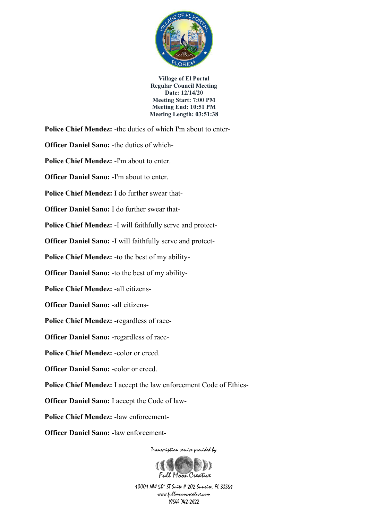

**Police Chief Mendez:** -the duties of which I'm about to enter-

**Officer Daniel Sano:** -the duties of which-

**Police Chief Mendez:** -I'm about to enter.

**Officer Daniel Sano: -I'm about to enter.** 

**Police Chief Mendez:** I do further swear that-

**Officer Daniel Sano:** I do further swear that-

**Police Chief Mendez:** -I will faithfully serve and protect-

**Officer Daniel Sano:** -I will faithfully serve and protect-

**Police Chief Mendez:** -to the best of my ability-

**Officer Daniel Sano:** -to the best of my ability-

**Police Chief Mendez:** -all citizens-

**Officer Daniel Sano:** -all citizens-

**Police Chief Mendez:** -regardless of race-

**Officer Daniel Sano:** -regardless of race-

**Police Chief Mendez:** -color or creed.

**Officer Daniel Sano: -color or creed.** 

**Police Chief Mendez:** I accept the law enforcement Code of Ethics-

**Officer Daniel Sano:** I accept the Code of law-

**Police Chief Mendez:** -law enforcement-

**Officer Daniel Sano:** -law enforcement-

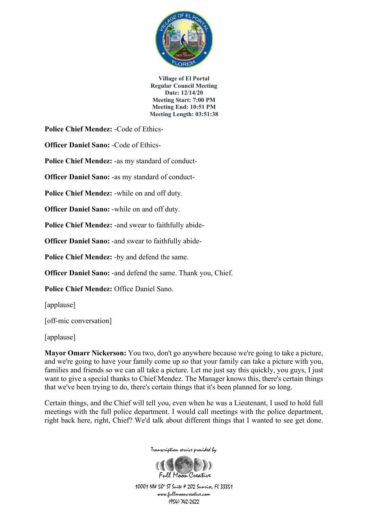

**Police Chief Mendez:** -Code of Ethics-

**Officer Daniel Sano:** -Code of Ethics-

**Police Chief Mendez:** -as my standard of conduct-

**Officer Daniel Sano:** -as my standard of conduct-

**Police Chief Mendez:** -while on and off duty.

**Officer Daniel Sano:** -while on and off duty.

**Police Chief Mendez:** -and swear to faithfully abide-

**Officer Daniel Sano:** -and swear to faithfully abide-

**Police Chief Mendez:** -by and defend the same.

**Officer Daniel Sano:** -and defend the same. Thank you, Chief.

**Police Chief Mendez:** Office Daniel Sano.

[applause]

[off-mic conversation]

[applause]

**Mayor Omarr Nickerson:** You two, don't go anywhere because we're going to take a picture, and we're going to have your family come up so that your family can take a picture with you, families and friends so we can all take a picture. Let me just say this quickly, you guys, I just want to give a special thanks to Chief Mendez. The Manager knows this, there's certain things that we've been trying to do, there's certain things that it's been planned for so long.

Certain things, and the Chief will tell you, even when he was a Lieutenant, I used to hold full meetings with the full police department. I would call meetings with the police department, right back here, right, Chief? We'd talk about different things that I wanted to see get done.



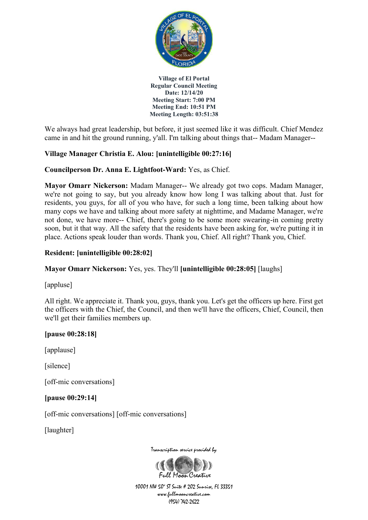

We always had great leadership, but before, it just seemed like it was difficult. Chief Mendez came in and hit the ground running, y'all. I'm talking about things that-- Madam Manager--

# **Village Manager Christia E. Alou: [unintelligible 00:27:16]**

## **Councilperson Dr. Anna E. Lightfoot-Ward:** Yes, as Chief.

**Mayor Omarr Nickerson:** Madam Manager-- We already got two cops. Madam Manager, we're not going to say, but you already know how long I was talking about that. Just for residents, you guys, for all of you who have, for such a long time, been talking about how many cops we have and talking about more safety at nighttime, and Madame Manager, we're not done, we have more-- Chief, there's going to be some more swearing-in coming pretty soon, but it that way. All the safety that the residents have been asking for, we're putting it in place. Actions speak louder than words. Thank you, Chief. All right? Thank you, Chief.

## **Resident: [unintelligible 00:28:02]**

## **Mayor Omarr Nickerson:** Yes, yes. They'll **[unintelligible 00:28:05]** [laughs]

[appluse]

All right. We appreciate it. Thank you, guys, thank you. Let's get the officers up here. First get the officers with the Chief, the Council, and then we'll have the officers, Chief, Council, then we'll get their families members up.

## **[pause 00:28:18]**

[applause]

[silence]

[off-mic conversations]

#### **[pause 00:29:14]**

[off-mic conversations] [off-mic conversations]

[laughter]



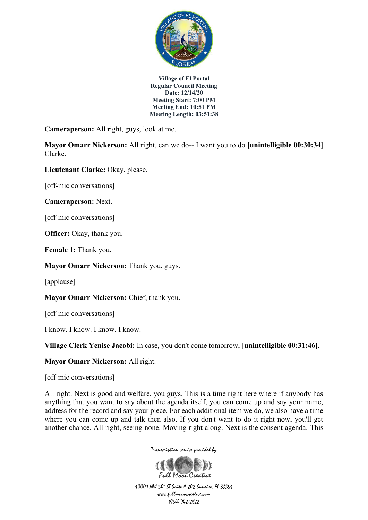

**Cameraperson:** All right, guys, look at me.

**Mayor Omarr Nickerson:** All right, can we do-- I want you to do **[unintelligible 00:30:34]**  Clarke.

**Lieutenant Clarke:** Okay, please.

[off-mic conversations]

**Cameraperson:** Next.

[off-mic conversations]

**Officer:** Okay, thank you.

**Female 1:** Thank you.

**Mayor Omarr Nickerson:** Thank you, guys.

[applause]

**Mayor Omarr Nickerson:** Chief, thank you.

[off-mic conversations]

I know. I know. I know. I know.

**Village Clerk Yenise Jacobi:** In case, you don't come tomorrow, **[unintelligible 00:31:46]**.

**Mayor Omarr Nickerson:** All right.

[off-mic conversations]

All right. Next is good and welfare, you guys. This is a time right here where if anybody has anything that you want to say about the agenda itself, you can come up and say your name, address for the record and say your piece. For each additional item we do, we also have a time where you can come up and talk then also. If you don't want to do it right now, you'll get another chance. All right, seeing none. Moving right along. Next is the consent agenda. This



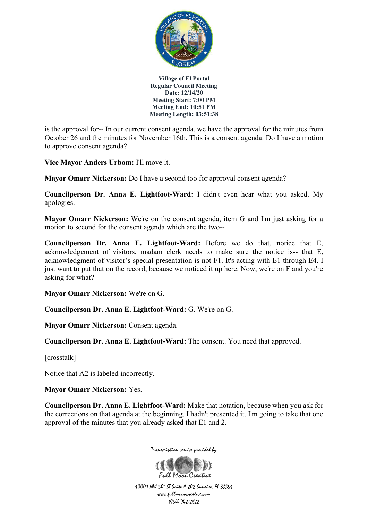

is the approval for-- In our current consent agenda, we have the approval for the minutes from October 26 and the minutes for November 16th. This is a consent agenda. Do I have a motion to approve consent agenda?

**Vice Mayor Anders Urbom:** I'll move it.

**Mayor Omarr Nickerson:** Do I have a second too for approval consent agenda?

**Councilperson Dr. Anna E. Lightfoot-Ward:** I didn't even hear what you asked. My apologies.

**Mayor Omarr Nickerson:** We're on the consent agenda, item G and I'm just asking for a motion to second for the consent agenda which are the two--

**Councilperson Dr. Anna E. Lightfoot-Ward:** Before we do that, notice that E, acknowledgement of visitors, madam clerk needs to make sure the notice is-- that E, acknowledgment of visitor's special presentation is not F1. It's acting with E1 through E4. I just want to put that on the record, because we noticed it up here. Now, we're on F and you're asking for what?

**Mayor Omarr Nickerson:** We're on G.

**Councilperson Dr. Anna E. Lightfoot-Ward:** G. We're on G.

**Mayor Omarr Nickerson:** Consent agenda.

**Councilperson Dr. Anna E. Lightfoot-Ward:** The consent. You need that approved.

[crosstalk]

Notice that A2 is labeled incorrectly.

**Mayor Omarr Nickerson:** Yes.

**Councilperson Dr. Anna E. Lightfoot-Ward:** Make that notation, because when you ask for the corrections on that agenda at the beginning, I hadn't presented it. I'm going to take that one approval of the minutes that you already asked that E1 and 2.

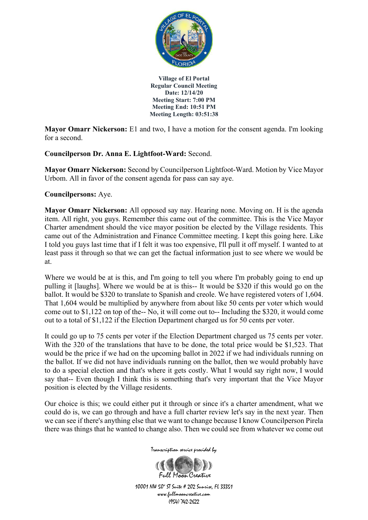

**Mayor Omarr Nickerson:** E1 and two, I have a motion for the consent agenda. I'm looking for a second.

**Councilperson Dr. Anna E. Lightfoot-Ward:** Second.

**Mayor Omarr Nickerson:** Second by Councilperson Lightfoot-Ward. Motion by Vice Mayor Urbom. All in favor of the consent agenda for pass can say aye.

**Councilpersons:** Aye.

**Mayor Omarr Nickerson:** All opposed say nay. Hearing none. Moving on. H is the agenda item. All right, you guys. Remember this came out of the committee. This is the Vice Mayor Charter amendment should the vice mayor position be elected by the Village residents. This came out of the Administration and Finance Committee meeting. I kept this going here. Like I told you guys last time that if I felt it was too expensive, I'll pull it off myself. I wanted to at least pass it through so that we can get the factual information just to see where we would be at.

Where we would be at is this, and I'm going to tell you where I'm probably going to end up pulling it [laughs]. Where we would be at is this-- It would be \$320 if this would go on the ballot. It would be \$320 to translate to Spanish and creole. We have registered voters of 1,604. That 1,604 would be multiplied by anywhere from about like 50 cents per voter which would come out to \$1,122 on top of the-- No, it will come out to-- Including the \$320, it would come out to a total of \$1,122 if the Election Department charged us for 50 cents per voter.

It could go up to 75 cents per voter if the Election Department charged us 75 cents per voter. With the 320 of the translations that have to be done, the total price would be \$1,523. That would be the price if we had on the upcoming ballot in 2022 if we had individuals running on the ballot. If we did not have individuals running on the ballot, then we would probably have to do a special election and that's where it gets costly. What I would say right now, I would say that-- Even though I think this is something that's very important that the Vice Mayor position is elected by the Village residents.

Our choice is this; we could either put it through or since it's a charter amendment, what we could do is, we can go through and have a full charter review let's say in the next year. Then we can see if there's anything else that we want to change because I know Councilperson Pirela there was things that he wanted to change also. Then we could see from whatever we come out

Transcription service provided by

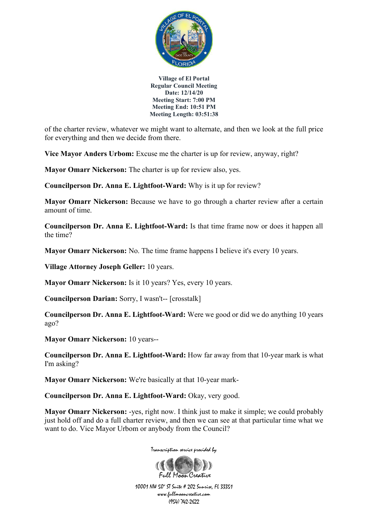

of the charter review, whatever we might want to alternate, and then we look at the full price for everything and then we decide from there.

**Vice Mayor Anders Urbom:** Excuse me the charter is up for review, anyway, right?

**Mayor Omarr Nickerson:** The charter is up for review also, yes.

**Councilperson Dr. Anna E. Lightfoot-Ward:** Why is it up for review?

**Mayor Omarr Nickerson:** Because we have to go through a charter review after a certain amount of time.

**Councilperson Dr. Anna E. Lightfoot-Ward:** Is that time frame now or does it happen all the time?

**Mayor Omarr Nickerson:** No. The time frame happens I believe it's every 10 years.

**Village Attorney Joseph Geller:** 10 years.

**Mayor Omarr Nickerson:** Is it 10 years? Yes, every 10 years.

**Councilperson Darian:** Sorry, I wasn't-- [crosstalk]

**Councilperson Dr. Anna E. Lightfoot-Ward:** Were we good or did we do anything 10 years ago?

**Mayor Omarr Nickerson:** 10 years--

**Councilperson Dr. Anna E. Lightfoot-Ward:** How far away from that 10-year mark is what I'm asking?

**Mayor Omarr Nickerson:** We're basically at that 10-year mark-

**Councilperson Dr. Anna E. Lightfoot-Ward:** Okay, very good.

**Mayor Omarr Nickerson:** -yes, right now. I think just to make it simple; we could probably just hold off and do a full charter review, and then we can see at that particular time what we want to do. Vice Mayor Urbom or anybody from the Council?

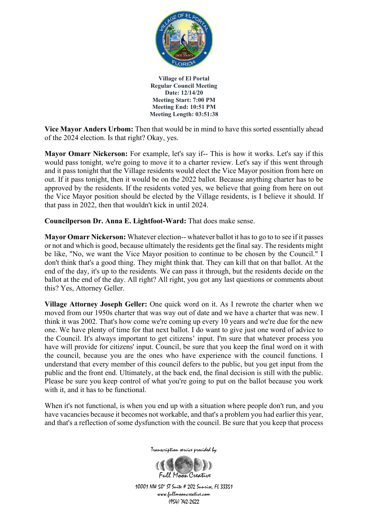

**Vice Mayor Anders Urbom:** Then that would be in mind to have this sorted essentially ahead of the 2024 election. Is that right? Okay, yes.

**Mayor Omarr Nickerson:** For example, let's say if-- This is how it works. Let's say if this would pass tonight, we're going to move it to a charter review. Let's say if this went through and it pass tonight that the Village residents would elect the Vice Mayor position from here on out. If it pass tonight, then it would be on the 2022 ballot. Because anything charter has to be approved by the residents. If the residents voted yes, we believe that going from here on out the Vice Mayor position should be elected by the Village residents, is I believe it should. If that pass in 2022, then that wouldn't kick in until 2024.

**Councilperson Dr. Anna E. Lightfoot-Ward:** That does make sense.

**Mayor Omarr Nickerson:** Whatever election-- whatever ballot it has to go to to see if it passes or not and which is good, because ultimately the residents get the final say. The residents might be like, "No, we want the Vice Mayor position to continue to be chosen by the Council." I don't think that's a good thing. They might think that. They can kill that on that ballot. At the end of the day, it's up to the residents. We can pass it through, but the residents decide on the ballot at the end of the day. All right? All right, you got any last questions or comments about this? Yes, Attorney Geller.

**Village Attorney Joseph Geller:** One quick word on it. As I rewrote the charter when we moved from our 1950s charter that was way out of date and we have a charter that was new. I think it was 2002. That's how come we're coming up every 10 years and we're due for the new one. We have plenty of time for that next ballot. I do want to give just one word of advice to the Council. It's always important to get citizens' input. I'm sure that whatever process you have will provide for citizens' input. Council, be sure that you keep the final word on it with the council, because you are the ones who have experience with the council functions. I understand that every member of this council defers to the public, but you get input from the public and the front end. Ultimately, at the back end, the final decision is still with the public. Please be sure you keep control of what you're going to put on the ballot because you work with it, and it has to be functional.

When it's not functional, is when you end up with a situation where people don't run, and you have vacancies because it becomes not workable, and that's a problem you had earlier this year, and that's a reflection of some dysfunction with the council. Be sure that you keep that process

Transcription service provided by

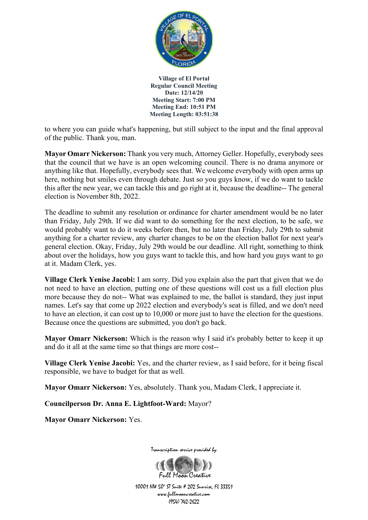

to where you can guide what's happening, but still subject to the input and the final approval of the public. Thank you, man.

**Mayor Omarr Nickerson:** Thank you very much, Attorney Geller. Hopefully, everybody sees that the council that we have is an open welcoming council. There is no drama anymore or anything like that. Hopefully, everybody sees that. We welcome everybody with open arms up here, nothing but smiles even through debate. Just so you guys know, if we do want to tackle this after the new year, we can tackle this and go right at it, because the deadline-- The general election is November 8th, 2022.

The deadline to submit any resolution or ordinance for charter amendment would be no later than Friday, July 29th. If we did want to do something for the next election, to be safe, we would probably want to do it weeks before then, but no later than Friday, July 29th to submit anything for a charter review, any charter changes to be on the election ballot for next year's general election. Okay, Friday, July 29th would be our deadline. All right, something to think about over the holidays, how you guys want to tackle this, and how hard you guys want to go at it. Madam Clerk, yes.

**Village Clerk Yenise Jacobi:** I am sorry. Did you explain also the part that given that we do not need to have an election, putting one of these questions will cost us a full election plus more because they do not-- What was explained to me, the ballot is standard, they just input names. Let's say that come up 2022 election and everybody's seat is filled, and we don't need to have an election, it can cost up to 10,000 or more just to have the election for the questions. Because once the questions are submitted, you don't go back.

**Mayor Omarr Nickerson:** Which is the reason why I said it's probably better to keep it up and do it all at the same time so that things are more cost--

**Village Clerk Yenise Jacobi:** Yes, and the charter review, as I said before, for it being fiscal responsible, we have to budget for that as well.

**Mayor Omarr Nickerson:** Yes, absolutely. Thank you, Madam Clerk, I appreciate it.

**Councilperson Dr. Anna E. Lightfoot-Ward:** Mayor?

**Mayor Omarr Nickerson:** Yes.

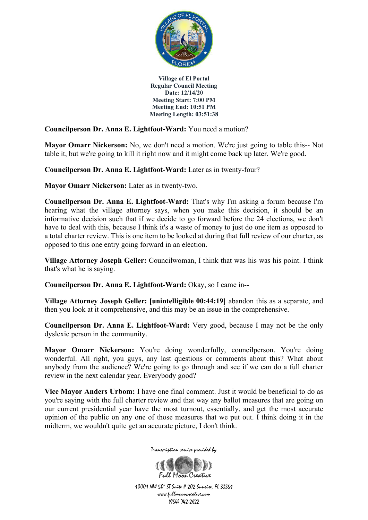

**Councilperson Dr. Anna E. Lightfoot-Ward:** You need a motion?

**Mayor Omarr Nickerson:** No, we don't need a motion. We're just going to table this-- Not table it, but we're going to kill it right now and it might come back up later. We're good.

**Councilperson Dr. Anna E. Lightfoot-Ward:** Later as in twenty-four?

**Mayor Omarr Nickerson:** Later as in twenty-two.

**Councilperson Dr. Anna E. Lightfoot-Ward:** That's why I'm asking a forum because I'm hearing what the village attorney says, when you make this decision, it should be an informative decision such that if we decide to go forward before the 24 elections, we don't have to deal with this, because I think it's a waste of money to just do one item as opposed to a total charter review. This is one item to be looked at during that full review of our charter, as opposed to this one entry going forward in an election.

**Village Attorney Joseph Geller:** Councilwoman, I think that was his was his point. I think that's what he is saying.

**Councilperson Dr. Anna E. Lightfoot-Ward:** Okay, so I came in--

**Village Attorney Joseph Geller: [unintelligible 00:44:19]** abandon this as a separate, and then you look at it comprehensive, and this may be an issue in the comprehensive.

**Councilperson Dr. Anna E. Lightfoot-Ward:** Very good, because I may not be the only dyslexic person in the community.

Mayor Omarr Nickerson: You're doing wonderfully, councilperson. You're doing wonderful. All right, you guys, any last questions or comments about this? What about anybody from the audience? We're going to go through and see if we can do a full charter review in the next calendar year. Everybody good?

**Vice Mayor Anders Urbom:** I have one final comment. Just it would be beneficial to do as you're saying with the full charter review and that way any ballot measures that are going on our current presidential year have the most turnout, essentially, and get the most accurate opinion of the public on any one of those measures that we put out. I think doing it in the midterm, we wouldn't quite get an accurate picture, I don't think.



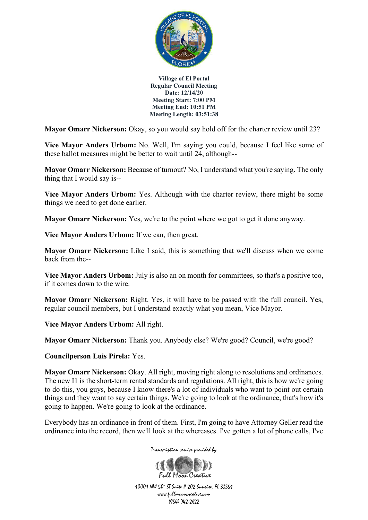

**Mayor Omarr Nickerson:** Okay, so you would say hold off for the charter review until 23?

**Vice Mayor Anders Urbom:** No. Well, I'm saying you could, because I feel like some of these ballot measures might be better to wait until 24, although--

**Mayor Omarr Nickerson:** Because of turnout? No, I understand what you're saying. The only thing that I would say is--

**Vice Mayor Anders Urbom:** Yes. Although with the charter review, there might be some things we need to get done earlier.

**Mayor Omarr Nickerson:** Yes, we're to the point where we got to get it done anyway.

**Vice Mayor Anders Urbom:** If we can, then great.

**Mayor Omarr Nickerson:** Like I said, this is something that we'll discuss when we come back from the--

**Vice Mayor Anders Urbom:** July is also an on month for committees, so that's a positive too, if it comes down to the wire.

**Mayor Omarr Nickerson:** Right. Yes, it will have to be passed with the full council. Yes, regular council members, but I understand exactly what you mean, Vice Mayor.

**Vice Mayor Anders Urbom:** All right.

**Mayor Omarr Nickerson:** Thank you. Anybody else? We're good? Council, we're good?

**Councilperson Luis Pirela:** Yes.

**Mayor Omarr Nickerson:** Okay. All right, moving right along to resolutions and ordinances. The new I1 is the short-term rental standards and regulations. All right, this is how we're going to do this, you guys, because I know there's a lot of individuals who want to point out certain things and they want to say certain things. We're going to look at the ordinance, that's how it's going to happen. We're going to look at the ordinance.

Everybody has an ordinance in front of them. First, I'm going to have Attorney Geller read the ordinance into the record, then we'll look at the whereases. I've gotten a lot of phone calls, I've



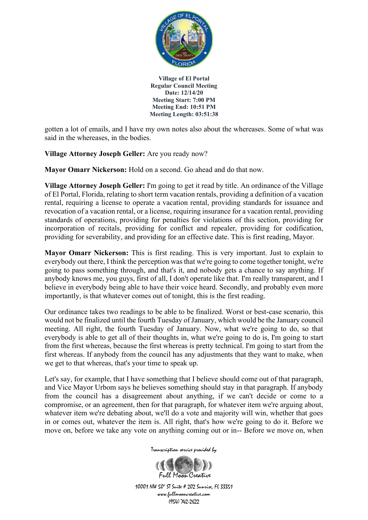

gotten a lot of emails, and I have my own notes also about the whereases. Some of what was said in the whereases, in the bodies.

**Village Attorney Joseph Geller:** Are you ready now?

**Mayor Omarr Nickerson:** Hold on a second. Go ahead and do that now.

**Village Attorney Joseph Geller:** I'm going to get it read by title. An ordinance of the Village of El Portal, Florida, relating to short term vacation rentals, providing a definition of a vacation rental, requiring a license to operate a vacation rental, providing standards for issuance and revocation of a vacation rental, or a license, requiring insurance for a vacation rental, providing standards of operations, providing for penalties for violations of this section, providing for incorporation of recitals, providing for conflict and repealer, providing for codification, providing for severability, and providing for an effective date. This is first reading, Mayor.

**Mayor Omarr Nickerson:** This is first reading. This is very important. Just to explain to everybody out there, I think the perception was that we're going to come together tonight, we're going to pass something through, and that's it, and nobody gets a chance to say anything. If anybody knows me, you guys, first of all, I don't operate like that. I'm really transparent, and I believe in everybody being able to have their voice heard. Secondly, and probably even more importantly, is that whatever comes out of tonight, this is the first reading.

Our ordinance takes two readings to be able to be finalized. Worst or best-case scenario, this would not be finalized until the fourth Tuesday of January, which would be the January council meeting. All right, the fourth Tuesday of January. Now, what we're going to do, so that everybody is able to get all of their thoughts in, what we're going to do is, I'm going to start from the first whereas, because the first whereas is pretty technical. I'm going to start from the first whereas. If anybody from the council has any adjustments that they want to make, when we get to that whereas, that's your time to speak up.

Let's say, for example, that I have something that I believe should come out of that paragraph, and Vice Mayor Urbom says he believes something should stay in that paragraph. If anybody from the council has a disagreement about anything, if we can't decide or come to a compromise, or an agreement, then for that paragraph, for whatever item we're arguing about, whatever item we're debating about, we'll do a vote and majority will win, whether that goes in or comes out, whatever the item is. All right, that's how we're going to do it. Before we move on, before we take any vote on anything coming out or in-- Before we move on, when

Transcription service provided by

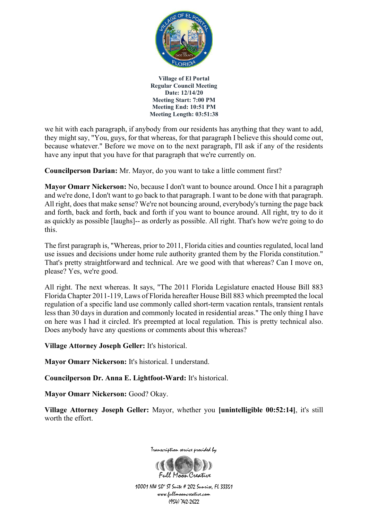

we hit with each paragraph, if anybody from our residents has anything that they want to add, they might say, "You, guys, for that whereas, for that paragraph I believe this should come out, because whatever." Before we move on to the next paragraph, I'll ask if any of the residents have any input that you have for that paragraph that we're currently on.

**Councilperson Darian:** Mr. Mayor, do you want to take a little comment first?

**Mayor Omarr Nickerson:** No, because I don't want to bounce around. Once I hit a paragraph and we're done, I don't want to go back to that paragraph. I want to be done with that paragraph. All right, does that make sense? We're not bouncing around, everybody's turning the page back and forth, back and forth, back and forth if you want to bounce around. All right, try to do it as quickly as possible [laughs]-- as orderly as possible. All right. That's how we're going to do this.

The first paragraph is, "Whereas, prior to 2011, Florida cities and counties regulated, local land use issues and decisions under home rule authority granted them by the Florida constitution." That's pretty straightforward and technical. Are we good with that whereas? Can I move on, please? Yes, we're good.

All right. The next whereas. It says, "The 2011 Florida Legislature enacted House Bill 883 Florida Chapter 2011-119, Laws of Florida hereafter House Bill 883 which preempted the local regulation of a specific land use commonly called short-term vacation rentals, transient rentals less than 30 days in duration and commonly located in residential areas." The only thing I have on here was I had it circled. It's preempted at local regulation. This is pretty technical also. Does anybody have any questions or comments about this whereas?

**Village Attorney Joseph Geller:** It's historical.

**Mayor Omarr Nickerson:** It's historical. I understand.

**Councilperson Dr. Anna E. Lightfoot-Ward:** It's historical.

**Mayor Omarr Nickerson:** Good? Okay.

**Village Attorney Joseph Geller:** Mayor, whether you **[unintelligible 00:52:14]**, it's still worth the effort.



10001 NW 50<sup>\*</sup> ST Suite # 202 Sunrise, FL 33351 www.fullmooncreative.com (954) 742-2622

Full Magn Creative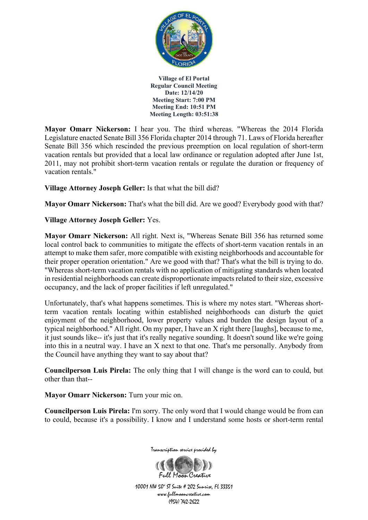

**Mayor Omarr Nickerson:** I hear you. The third whereas. "Whereas the 2014 Florida Legislature enacted Senate Bill 356 Florida chapter 2014 through 71. Laws of Florida hereafter Senate Bill 356 which rescinded the previous preemption on local regulation of short-term vacation rentals but provided that a local law ordinance or regulation adopted after June 1st, 2011, may not prohibit short-term vacation rentals or regulate the duration or frequency of vacation rentals."

**Village Attorney Joseph Geller:** Is that what the bill did?

**Mayor Omarr Nickerson:** That's what the bill did. Are we good? Everybody good with that?

# **Village Attorney Joseph Geller:** Yes.

**Mayor Omarr Nickerson:** All right. Next is, "Whereas Senate Bill 356 has returned some local control back to communities to mitigate the effects of short-term vacation rentals in an attempt to make them safer, more compatible with existing neighborhoods and accountable for their proper operation orientation." Are we good with that? That's what the bill is trying to do. "Whereas short-term vacation rentals with no application of mitigating standards when located in residential neighborhoods can create disproportionate impacts related to their size, excessive occupancy, and the lack of proper facilities if left unregulated."

Unfortunately, that's what happens sometimes. This is where my notes start. "Whereas shortterm vacation rentals locating within established neighborhoods can disturb the quiet enjoyment of the neighborhood, lower property values and burden the design layout of a typical neighborhood." All right. On my paper, I have an X right there [laughs], because to me, it just sounds like-- it's just that it's really negative sounding. It doesn't sound like we're going into this in a neutral way. I have an X next to that one. That's me personally. Anybody from the Council have anything they want to say about that?

**Councilperson Luis Pirela:** The only thing that I will change is the word can to could, but other than that--

**Mayor Omarr Nickerson:** Turn your mic on.

**Councilperson Luis Pirela:** I'm sorry. The only word that I would change would be from can to could, because it's a possibility. I know and I understand some hosts or short-term rental



Transcription service provided by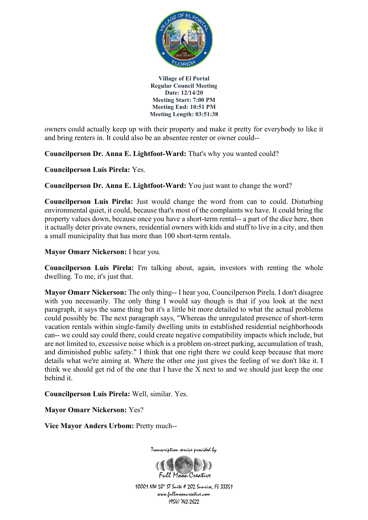

owners could actually keep up with their property and make it pretty for everybody to like it and bring renters in. It could also be an absentee renter or owner could--

**Councilperson Dr. Anna E. Lightfoot-Ward:** That's why you wanted could?

**Councilperson Luis Pirela:** Yes.

**Councilperson Dr. Anna E. Lightfoot-Ward:** You just want to change the word?

**Councilperson Luis Pirela:** Just would change the word from can to could. Disturbing environmental quiet, it could, because that's most of the complaints we have. It could bring the property values down, because once you have a short-term rental-- a part of the dice here, then it actually deter private owners, residential owners with kids and stuff to live in a city, and then a small municipality that has more than 100 short-term rentals.

**Mayor Omarr Nickerson:** I hear you.

**Councilperson Luis Pirela:** I'm talking about, again, investors with renting the whole dwelling. To me, it's just that.

**Mayor Omarr Nickerson:** The only thing-- I hear you, Councilperson Pirela. I don't disagree with you necessarily. The only thing I would say though is that if you look at the next paragraph, it says the same thing but it's a little bit more detailed to what the actual problems could possibly be. The next paragraph says, "Whereas the unregulated presence of short-term vacation rentals within single-family dwelling units in established residential neighborhoods can-- we could say could there, could create negative compatibility impacts which include, but are not limited to, excessive noise which is a problem on-street parking, accumulation of trash, and diminished public safety." I think that one right there we could keep because that more details what we're aiming at. Where the other one just gives the feeling of we don't like it. I think we should get rid of the one that I have the X next to and we should just keep the one behind it.

**Councilperson Luis Pirela:** Well, similar. Yes.

**Mayor Omarr Nickerson:** Yes?

**Vice Mayor Anders Urbom:** Pretty much--



Transcription service provided by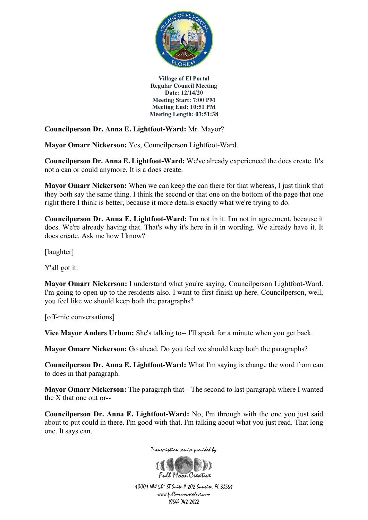

**Councilperson Dr. Anna E. Lightfoot-Ward:** Mr. Mayor?

**Mayor Omarr Nickerson:** Yes, Councilperson Lightfoot-Ward.

**Councilperson Dr. Anna E. Lightfoot-Ward:** We've already experienced the does create. It's not a can or could anymore. It is a does create.

**Mayor Omarr Nickerson:** When we can keep the can there for that whereas, I just think that they both say the same thing. I think the second or that one on the bottom of the page that one right there I think is better, because it more details exactly what we're trying to do.

**Councilperson Dr. Anna E. Lightfoot-Ward:** I'm not in it. I'm not in agreement, because it does. We're already having that. That's why it's here in it in wording. We already have it. It does create. Ask me how I know?

[laughter]

Y'all got it.

**Mayor Omarr Nickerson:** I understand what you're saying, Councilperson Lightfoot-Ward. I'm going to open up to the residents also. I want to first finish up here. Councilperson, well, you feel like we should keep both the paragraphs?

[off-mic conversations]

**Vice Mayor Anders Urbom:** She's talking to-- I'll speak for a minute when you get back.

**Mayor Omarr Nickerson:** Go ahead. Do you feel we should keep both the paragraphs?

**Councilperson Dr. Anna E. Lightfoot-Ward:** What I'm saying is change the word from can to does in that paragraph.

**Mayor Omarr Nickerson:** The paragraph that-- The second to last paragraph where I wanted the X that one out or--

**Councilperson Dr. Anna E. Lightfoot-Ward:** No, I'm through with the one you just said about to put could in there. I'm good with that. I'm talking about what you just read. That long one. It says can.



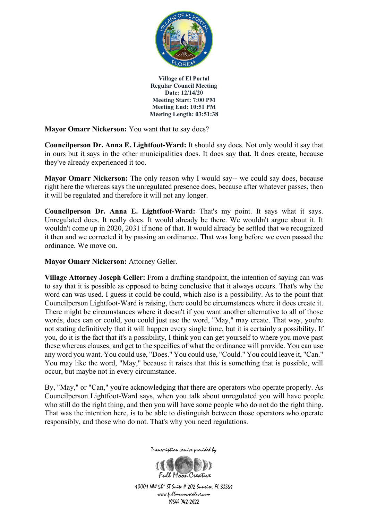

**Mayor Omarr Nickerson:** You want that to say does?

**Councilperson Dr. Anna E. Lightfoot-Ward:** It should say does. Not only would it say that in ours but it says in the other municipalities does. It does say that. It does create, because they've already experienced it too.

**Mayor Omarr Nickerson:** The only reason why I would say-- we could say does, because right here the whereas says the unregulated presence does, because after whatever passes, then it will be regulated and therefore it will not any longer.

**Councilperson Dr. Anna E. Lightfoot-Ward:** That's my point. It says what it says. Unregulated does. It really does. It would already be there. We wouldn't argue about it. It wouldn't come up in 2020, 2031 if none of that. It would already be settled that we recognized it then and we corrected it by passing an ordinance. That was long before we even passed the ordinance. We move on.

**Mayor Omarr Nickerson:** Attorney Geller.

**Village Attorney Joseph Geller:** From a drafting standpoint, the intention of saying can was to say that it is possible as opposed to being conclusive that it always occurs. That's why the word can was used. I guess it could be could, which also is a possibility. As to the point that Councilperson Lightfoot-Ward is raising, there could be circumstances where it does create it. There might be circumstances where it doesn't if you want another alternative to all of those words, does can or could, you could just use the word, "May," may create. That way, you're not stating definitively that it will happen every single time, but it is certainly a possibility. If you, do it is the fact that it's a possibility, I think you can get yourself to where you move past these whereas clauses, and get to the specifics of what the ordinance will provide. You can use any word you want. You could use, "Does." You could use, "Could." You could leave it, "Can." You may like the word, "May," because it raises that this is something that is possible, will occur, but maybe not in every circumstance.

By, "May," or "Can," you're acknowledging that there are operators who operate properly. As Councilperson Lightfoot-Ward says, when you talk about unregulated you will have people who still do the right thing, and then you will have some people who do not do the right thing. That was the intention here, is to be able to distinguish between those operators who operate responsibly, and those who do not. That's why you need regulations.



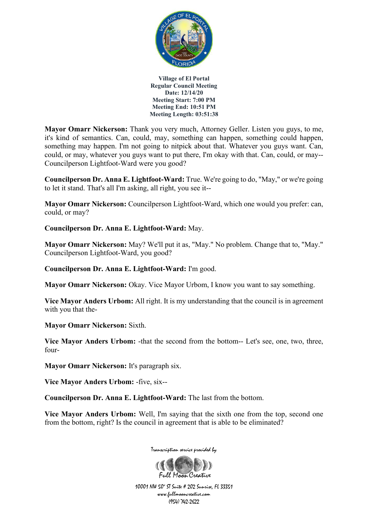

**Mayor Omarr Nickerson:** Thank you very much, Attorney Geller. Listen you guys, to me, it's kind of semantics. Can, could, may, something can happen, something could happen, something may happen. I'm not going to nitpick about that. Whatever you guys want. Can, could, or may, whatever you guys want to put there, I'm okay with that. Can, could, or may-- Councilperson Lightfoot-Ward were you good?

**Councilperson Dr. Anna E. Lightfoot-Ward:** True. We're going to do, "May," or we're going to let it stand. That's all I'm asking, all right, you see it--

**Mayor Omarr Nickerson:** Councilperson Lightfoot-Ward, which one would you prefer: can, could, or may?

**Councilperson Dr. Anna E. Lightfoot-Ward:** May.

**Mayor Omarr Nickerson:** May? We'll put it as, "May." No problem. Change that to, "May." Councilperson Lightfoot-Ward, you good?

**Councilperson Dr. Anna E. Lightfoot-Ward:** I'm good.

**Mayor Omarr Nickerson:** Okay. Vice Mayor Urbom, I know you want to say something.

**Vice Mayor Anders Urbom:** All right. It is my understanding that the council is in agreement with you that the-

**Mayor Omarr Nickerson:** Sixth.

**Vice Mayor Anders Urbom:** -that the second from the bottom-- Let's see, one, two, three, four-

**Mayor Omarr Nickerson:** It's paragraph six.

**Vice Mayor Anders Urbom:** -five, six--

**Councilperson Dr. Anna E. Lightfoot-Ward:** The last from the bottom.

**Vice Mayor Anders Urbom:** Well, I'm saying that the sixth one from the top, second one from the bottom, right? Is the council in agreement that is able to be eliminated?



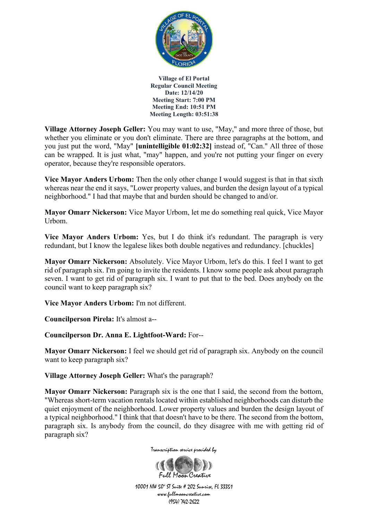

**Village Attorney Joseph Geller:** You may want to use, "May," and more three of those, but whether you eliminate or you don't eliminate. There are three paragraphs at the bottom, and you just put the word, "May" **[unintelligible 01:02:32]** instead of, "Can." All three of those can be wrapped. It is just what, "may" happen, and you're not putting your finger on every operator, because they're responsible operators.

**Vice Mayor Anders Urbom:** Then the only other change I would suggest is that in that sixth whereas near the end it says, "Lower property values, and burden the design layout of a typical neighborhood." I had that maybe that and burden should be changed to and/or.

**Mayor Omarr Nickerson:** Vice Mayor Urbom, let me do something real quick, Vice Mayor Urbom.

**Vice Mayor Anders Urbom:** Yes, but I do think it's redundant. The paragraph is very redundant, but I know the legalese likes both double negatives and redundancy. [chuckles]

**Mayor Omarr Nickerson:** Absolutely. Vice Mayor Urbom, let's do this. I feel I want to get rid of paragraph six. I'm going to invite the residents. I know some people ask about paragraph seven. I want to get rid of paragraph six. I want to put that to the bed. Does anybody on the council want to keep paragraph six?

**Vice Mayor Anders Urbom:** I'm not different.

**Councilperson Pirela:** It's almost a--

**Councilperson Dr. Anna E. Lightfoot-Ward:** For--

**Mayor Omarr Nickerson:** I feel we should get rid of paragraph six. Anybody on the council want to keep paragraph six?

**Village Attorney Joseph Geller:** What's the paragraph?

**Mayor Omarr Nickerson:** Paragraph six is the one that I said, the second from the bottom, "Whereas short-term vacation rentals located within established neighborhoods can disturb the quiet enjoyment of the neighborhood. Lower property values and burden the design layout of a typical neighborhood." I think that that doesn't have to be there. The second from the bottom, paragraph six. Is anybody from the council, do they disagree with me with getting rid of paragraph six?

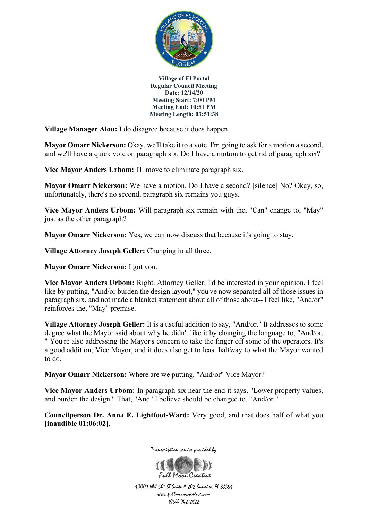

**Village Manager Alou:** I do disagree because it does happen.

**Mayor Omarr Nickerson:** Okay, we'll take it to a vote. I'm going to ask for a motion a second, and we'll have a quick vote on paragraph six. Do I have a motion to get rid of paragraph six?

**Vice Mayor Anders Urbom:** I'll move to eliminate paragraph six.

**Mayor Omarr Nickerson:** We have a motion. Do I have a second? [silence] No? Okay, so, unfortunately, there's no second, paragraph six remains you guys.

**Vice Mayor Anders Urbom:** Will paragraph six remain with the, "Can" change to, "May" just as the other paragraph?

**Mayor Omarr Nickerson:** Yes, we can now discuss that because it's going to stay.

**Village Attorney Joseph Geller:** Changing in all three.

**Mayor Omarr Nickerson:** I got you.

**Vice Mayor Anders Urbom:** Right. Attorney Geller, I'd be interested in your opinion. I feel like by putting, "And/or burden the design layout," you've now separated all of those issues in paragraph six, and not made a blanket statement about all of those about-- I feel like, "And/or" reinforces the, "May" premise.

**Village Attorney Joseph Geller:** It is a useful addition to say, "And/or." It addresses to some degree what the Mayor said about why he didn't like it by changing the language to, "And/or. " You're also addressing the Mayor's concern to take the finger off some of the operators. It's a good addition, Vice Mayor, and it does also get to least halfway to what the Mayor wanted to do.

**Mayor Omarr Nickerson:** Where are we putting, "And/or" Vice Mayor?

**Vice Mayor Anders Urbom:** In paragraph six near the end it says, "Lower property values, and burden the design." That, "And" I believe should be changed to, "And/or."

**Councilperson Dr. Anna E. Lightfoot-Ward:** Very good, and that does half of what you **[inaudible 01:06:02]**.



Transcription service provided by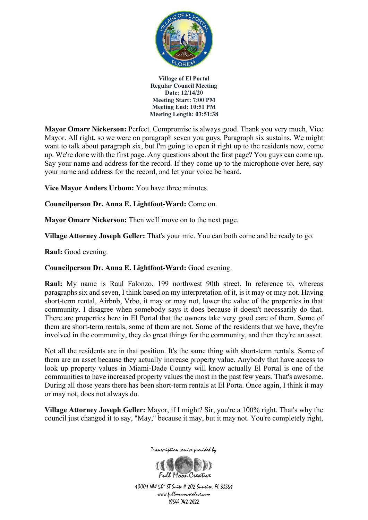

**Mayor Omarr Nickerson:** Perfect. Compromise is always good. Thank you very much, Vice Mayor. All right, so we were on paragraph seven you guys. Paragraph six sustains. We might want to talk about paragraph six, but I'm going to open it right up to the residents now, come up. We're done with the first page. Any questions about the first page? You guys can come up. Say your name and address for the record. If they come up to the microphone over here, say your name and address for the record, and let your voice be heard.

**Vice Mayor Anders Urbom:** You have three minutes.

**Councilperson Dr. Anna E. Lightfoot-Ward:** Come on.

**Mayor Omarr Nickerson:** Then we'll move on to the next page.

**Village Attorney Joseph Geller:** That's your mic. You can both come and be ready to go.

**Raul:** Good evening.

**Councilperson Dr. Anna E. Lightfoot-Ward:** Good evening.

**Raul:** My name is Raul Falonzo. 199 northwest 90th street. In reference to, whereas paragraphs six and seven, I think based on my interpretation of it, is it may or may not. Having short-term rental, Airbnb, Vrbo, it may or may not, lower the value of the properties in that community. I disagree when somebody says it does because it doesn't necessarily do that. There are properties here in El Portal that the owners take very good care of them. Some of them are short-term rentals, some of them are not. Some of the residents that we have, they're involved in the community, they do great things for the community, and then they're an asset.

Not all the residents are in that position. It's the same thing with short-term rentals. Some of them are an asset because they actually increase property value. Anybody that have access to look up property values in Miami-Dade County will know actually El Portal is one of the communities to have increased property values the most in the past few years. That's awesome. During all those years there has been short-term rentals at El Porta. Once again, I think it may or may not, does not always do.

**Village Attorney Joseph Geller:** Mayor, if I might? Sir, you're a 100% right. That's why the council just changed it to say, "May," because it may, but it may not. You're completely right,



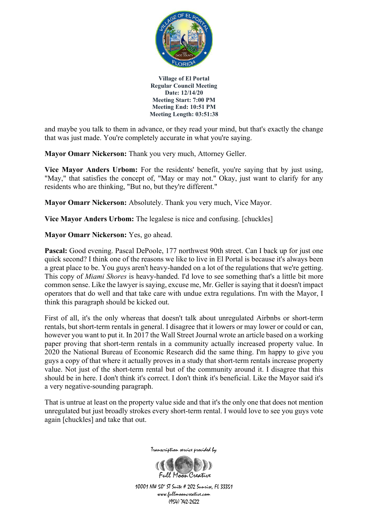

and maybe you talk to them in advance, or they read your mind, but that's exactly the change that was just made. You're completely accurate in what you're saying.

**Mayor Omarr Nickerson:** Thank you very much, Attorney Geller.

**Vice Mayor Anders Urbom:** For the residents' benefit, you're saying that by just using, "May," that satisfies the concept of, "May or may not." Okay, just want to clarify for any residents who are thinking, "But no, but they're different."

**Mayor Omarr Nickerson:** Absolutely. Thank you very much, Vice Mayor.

**Vice Mayor Anders Urbom:** The legalese is nice and confusing. [chuckles]

**Mayor Omarr Nickerson:** Yes, go ahead.

**Pascal:** Good evening. Pascal DePoole, 177 northwest 90th street. Can I back up for just one quick second? I think one of the reasons we like to live in El Portal is because it's always been a great place to be. You guys aren't heavy-handed on a lot of the regulations that we're getting. This copy of *Miami Shores* is heavy-handed. I'd love to see something that's a little bit more common sense. Like the lawyer is saying, excuse me, Mr. Geller is saying that it doesn't impact operators that do well and that take care with undue extra regulations. I'm with the Mayor, I think this paragraph should be kicked out.

First of all, it's the only whereas that doesn't talk about unregulated Airbnbs or short-term rentals, but short-term rentals in general. I disagree that it lowers or may lower or could or can, however you want to put it. In 2017 the Wall Street Journal wrote an article based on a working paper proving that short-term rentals in a community actually increased property value. In 2020 the National Bureau of Economic Research did the same thing. I'm happy to give you guys a copy of that where it actually proves in a study that short-term rentals increase property value. Not just of the short-term rental but of the community around it. I disagree that this should be in here. I don't think it's correct. I don't think it's beneficial. Like the Mayor said it's a very negative-sounding paragraph.

That is untrue at least on the property value side and that it's the only one that does not mention unregulated but just broadly strokes every short-term rental. I would love to see you guys vote again [chuckles] and take that out.



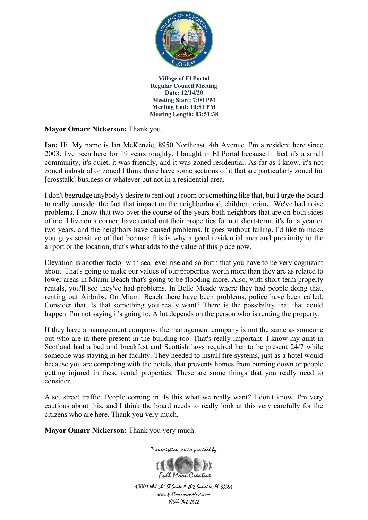

## **Mayor Omarr Nickerson:** Thank you.

**Ian:** Hi. My name is Ian McKenzie, 8950 Northeast, 4th Avenue. I'm a resident here since 2003. I've been here for 19 years roughly. I bought in El Portal because I liked it's a small community, it's quiet, it was friendly, and it was zoned residential. As far as I know, it's not zoned industrial or zoned I think there have some sections of it that are particularly zoned for [crosstalk] business or whatever but not in a residential area.

I don't begrudge anybody's desire to rent out a room or something like that, but I urge the board to really consider the fact that impact on the neighborhood, children, crime. We've had noise problems. I know that two over the course of the years both neighbors that are on both sides of me. I live on a corner, have rented out their properties for not short-term, it's for a year or two years, and the neighbors have caused problems. It goes without failing. I'd like to make you guys sensitive of that because this is why a good residential area and proximity to the airport or the location, that's what adds to the value of this place now.

Elevation is another factor with sea-level rise and so forth that you have to be very cognizant about. That's going to make our values of our properties worth more than they are as related to lower areas in Miami Beach that's going to be flooding more. Also, with short-term property rentals, you'll see they've had problems. In Belle Meade where they had people doing that, renting out Airbnbs. On Miami Beach there have been problems, police have been called. Consider that. Is that something you really want? There is the possibility that that could happen. I'm not saying it's going to. A lot depends on the person who is renting the property.

If they have a management company, the management company is not the same as someone out who are in there present in the building too. That's really important. I know my aunt in Scotland had a bed and breakfast and Scottish laws required her to be present 24/7 while someone was staying in her facility. They needed to install fire systems, just as a hotel would because you are competing with the hotels, that prevents homes from burning down or people getting injured in these rental properties. These are some things that you really need to consider.

Also, street traffic. People coming in. Is this what we really want? I don't know. I'm very cautious about this, and I think the board needs to really look at this very carefully for the citizens who are here. Thank you very much.

**Mayor Omarr Nickerson:** Thank you very much.

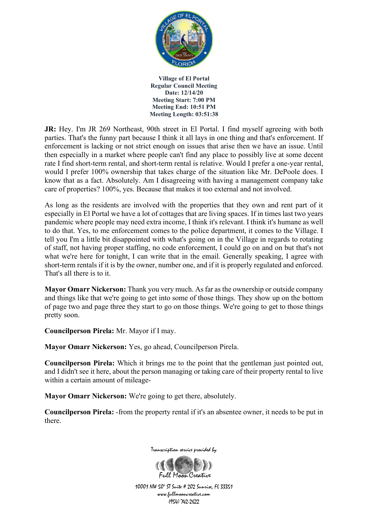

**JR:** Hey. I'm JR 269 Northeast, 90th street in El Portal. I find myself agreeing with both parties. That's the funny part because I think it all lays in one thing and that's enforcement. If enforcement is lacking or not strict enough on issues that arise then we have an issue. Until then especially in a market where people can't find any place to possibly live at some decent rate I find short-term rental, and short-term rental is relative. Would I prefer a one-year rental, would I prefer 100% ownership that takes charge of the situation like Mr. DePoole does. I know that as a fact. Absolutely. Am I disagreeing with having a management company take care of properties? 100%, yes. Because that makes it too external and not involved.

As long as the residents are involved with the properties that they own and rent part of it especially in El Portal we have a lot of cottages that are living spaces. If in times last two years pandemic where people may need extra income, I think it's relevant. I think it's humane as well to do that. Yes, to me enforcement comes to the police department, it comes to the Village. I tell you I'm a little bit disappointed with what's going on in the Village in regards to rotating of staff, not having proper staffing, no code enforcement, I could go on and on but that's not what we're here for tonight, I can write that in the email. Generally speaking, I agree with short-term rentals if it is by the owner, number one, and if it is properly regulated and enforced. That's all there is to it.

**Mayor Omarr Nickerson:** Thank you very much. As far as the ownership or outside company and things like that we're going to get into some of those things. They show up on the bottom of page two and page three they start to go on those things. We're going to get to those things pretty soon.

**Councilperson Pirela:** Mr. Mayor if I may.

**Mayor Omarr Nickerson:** Yes, go ahead, Councilperson Pirela.

**Councilperson Pirela:** Which it brings me to the point that the gentleman just pointed out, and I didn't see it here, about the person managing or taking care of their property rental to live within a certain amount of mileage-

**Mayor Omarr Nickerson:** We're going to get there, absolutely.

**Councilperson Pirela:** -from the property rental if it's an absentee owner, it needs to be put in there.



Transcription service provided by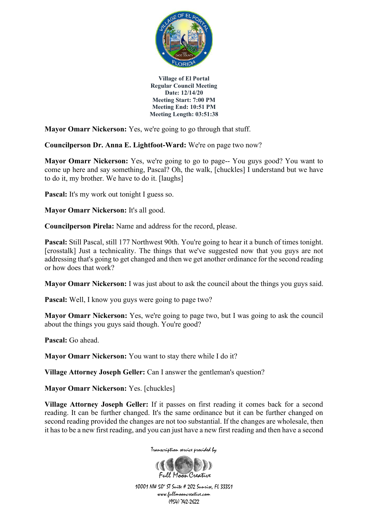

**Mayor Omarr Nickerson:** Yes, we're going to go through that stuff.

**Councilperson Dr. Anna E. Lightfoot-Ward:** We're on page two now?

**Mayor Omarr Nickerson:** Yes, we're going to go to page-- You guys good? You want to come up here and say something, Pascal? Oh, the walk, [chuckles] I understand but we have to do it, my brother. We have to do it. [laughs]

**Pascal:** It's my work out tonight I guess so.

**Mayor Omarr Nickerson:** It's all good.

**Councilperson Pirela:** Name and address for the record, please.

**Pascal:** Still Pascal, still 177 Northwest 90th. You're going to hear it a bunch of times tonight. [crosstalk] Just a technicality. The things that we've suggested now that you guys are not addressing that's going to get changed and then we get another ordinance for the second reading or how does that work?

**Mayor Omarr Nickerson:** I was just about to ask the council about the things you guys said.

Pascal: Well, I know you guys were going to page two?

**Mayor Omarr Nickerson:** Yes, we're going to page two, but I was going to ask the council about the things you guys said though. You're good?

**Pascal:** Go ahead.

**Mayor Omarr Nickerson:** You want to stay there while I do it?

**Village Attorney Joseph Geller:** Can I answer the gentleman's question?

**Mayor Omarr Nickerson:** Yes. [chuckles]

**Village Attorney Joseph Geller:** If it passes on first reading it comes back for a second reading. It can be further changed. It's the same ordinance but it can be further changed on second reading provided the changes are not too substantial. If the changes are wholesale, then it has to be a new first reading, and you can just have a new first reading and then have a second

Transcription service provided by

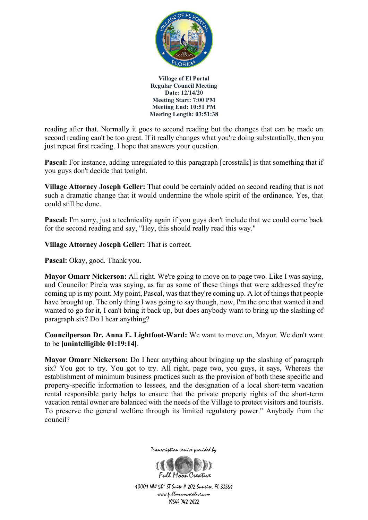

reading after that. Normally it goes to second reading but the changes that can be made on second reading can't be too great. If it really changes what you're doing substantially, then you just repeat first reading. I hope that answers your question.

**Pascal:** For instance, adding unregulated to this paragraph [crosstalk] is that something that if you guys don't decide that tonight.

**Village Attorney Joseph Geller:** That could be certainly added on second reading that is not such a dramatic change that it would undermine the whole spirit of the ordinance. Yes, that could still be done.

**Pascal:** I'm sorry, just a technicality again if you guys don't include that we could come back for the second reading and say, "Hey, this should really read this way."

**Village Attorney Joseph Geller:** That is correct.

Pascal: Okay, good. Thank you.

**Mayor Omarr Nickerson:** All right. We're going to move on to page two. Like I was saying, and Councilor Pirela was saying, as far as some of these things that were addressed they're coming up is my point. My point, Pascal, was that they're coming up. A lot of things that people have brought up. The only thing I was going to say though, now, I'm the one that wanted it and wanted to go for it, I can't bring it back up, but does anybody want to bring up the slashing of paragraph six? Do I hear anything?

**Councilperson Dr. Anna E. Lightfoot-Ward:** We want to move on, Mayor. We don't want to be **[unintelligible 01:19:14]**.

**Mayor Omarr Nickerson:** Do I hear anything about bringing up the slashing of paragraph six? You got to try. You got to try. All right, page two, you guys, it says, Whereas the establishment of minimum business practices such as the provision of both these specific and property-specific information to lessees, and the designation of a local short-term vacation rental responsible party helps to ensure that the private property rights of the short-term vacation rental owner are balanced with the needs of the Village to protect visitors and tourists. To preserve the general welfare through its limited regulatory power." Anybody from the council?



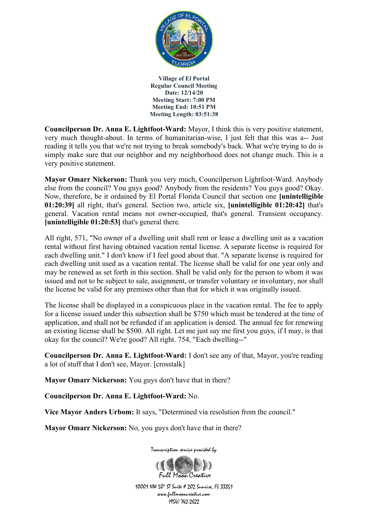

**Councilperson Dr. Anna E. Lightfoot-Ward:** Mayor, I think this is very positive statement, very much thought-about. In terms of humanitarian-wise, I just felt that this was a-- Just reading it tells you that we're not trying to break somebody's back. What we're trying to do is simply make sure that our neighbor and my neighborhood does not change much. This is a very positive statement.

**Mayor Omarr Nickerson:** Thank you very much, Councilperson Lightfoot-Ward. Anybody else from the council? You guys good? Anybody from the residents? You guys good? Okay. Now, therefore, be it ordained by El Portal Florida Council that section one **[unintelligible 01:20:39]** all right, that's general. Section two, article six, **[unintelligible 01:20:42]** that's general. Vacation rental means not owner-occupied, that's general. Transient occupancy. **[unintelligible 01:20:53]** that's general there.

All right, 571, "No owner of a dwelling unit shall rent or lease a dwelling unit as a vacation rental without first having obtained vacation rental license. A separate license is required for each dwelling unit." I don't know if I feel good about that. "A separate license is required for each dwelling unit used as a vacation rental. The license shall be valid for one year only and may be renewed as set forth in this section. Shall be valid only for the person to whom it was issued and not to be subject to sale, assignment, or transfer voluntary or involuntary, nor shall the license be valid for any premises other than that for which it was originally issued.

The license shall be displayed in a conspicuous place in the vacation rental. The fee to apply for a license issued under this subsection shall be \$750 which must be tendered at the time of application, and shall not be refunded if an application is denied. The annual fee for renewing an existing license shall be \$500. All right. Let me just say me first you guys, if I may, is that okay for the council? We're good? All right. 754, "Each dwelling--"

**Councilperson Dr. Anna E. Lightfoot-Ward:** I don't see any of that, Mayor, you're reading a lot of stuff that I don't see, Mayor. [crosstalk]

**Mayor Omarr Nickerson:** You guys don't have that in there?

**Councilperson Dr. Anna E. Lightfoot-Ward:** No.

**Vice Mayor Anders Urbom:** It says, "Determined via resolution from the council."

**Mayor Omarr Nickerson:** No, you guys don't have that in there?

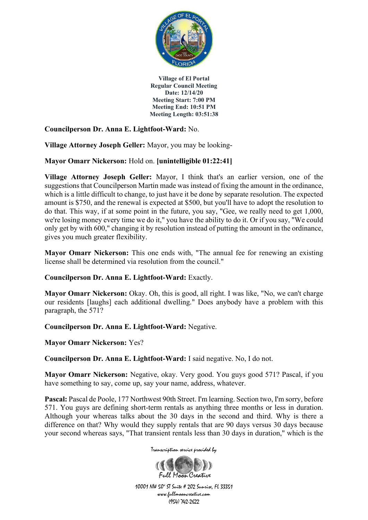

**Councilperson Dr. Anna E. Lightfoot-Ward:** No.

**Village Attorney Joseph Geller:** Mayor, you may be looking-

### **Mayor Omarr Nickerson:** Hold on. **[unintelligible 01:22:41]**

**Village Attorney Joseph Geller:** Mayor, I think that's an earlier version, one of the suggestions that Councilperson Martin made was instead of fixing the amount in the ordinance, which is a little difficult to change, to just have it be done by separate resolution. The expected amount is \$750, and the renewal is expected at \$500, but you'll have to adopt the resolution to do that. This way, if at some point in the future, you say, "Gee, we really need to get 1,000, we're losing money every time we do it," you have the ability to do it. Or if you say, "We could only get by with 600," changing it by resolution instead of putting the amount in the ordinance, gives you much greater flexibility.

**Mayor Omarr Nickerson:** This one ends with, "The annual fee for renewing an existing license shall be determined via resolution from the council."

#### **Councilperson Dr. Anna E. Lightfoot-Ward:** Exactly.

**Mayor Omarr Nickerson:** Okay. Oh, this is good, all right. I was like, "No, we can't charge our residents [laughs] each additional dwelling." Does anybody have a problem with this paragraph, the 571?

**Councilperson Dr. Anna E. Lightfoot-Ward:** Negative.

**Mayor Omarr Nickerson:** Yes?

**Councilperson Dr. Anna E. Lightfoot-Ward:** I said negative. No, I do not.

**Mayor Omarr Nickerson:** Negative, okay. Very good. You guys good 571? Pascal, if you have something to say, come up, say your name, address, whatever.

Pascal: Pascal de Poole, 177 Northwest 90th Street. I'm learning. Section two, I'm sorry, before 571. You guys are defining short-term rentals as anything three months or less in duration. Although your whereas talks about the 30 days in the second and third. Why is there a difference on that? Why would they supply rentals that are 90 days versus 30 days because your second whereas says, "That transient rentals less than 30 days in duration," which is the

Transcription service provided by

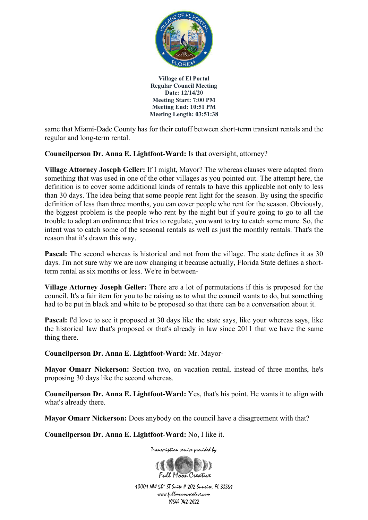

same that Miami-Dade County has for their cutoff between short-term transient rentals and the regular and long-term rental.

**Councilperson Dr. Anna E. Lightfoot-Ward:** Is that oversight, attorney?

**Village Attorney Joseph Geller:** If I might, Mayor? The whereas clauses were adapted from something that was used in one of the other villages as you pointed out. The attempt here, the definition is to cover some additional kinds of rentals to have this applicable not only to less than 30 days. The idea being that some people rent light for the season. By using the specific definition of less than three months, you can cover people who rent for the season. Obviously, the biggest problem is the people who rent by the night but if you're going to go to all the trouble to adopt an ordinance that tries to regulate, you want to try to catch some more. So, the intent was to catch some of the seasonal rentals as well as just the monthly rentals. That's the reason that it's drawn this way.

**Pascal:** The second whereas is historical and not from the village. The state defines it as 30 days. I'm not sure why we are now changing it because actually, Florida State defines a shortterm rental as six months or less. We're in between-

**Village Attorney Joseph Geller:** There are a lot of permutations if this is proposed for the council. It's a fair item for you to be raising as to what the council wants to do, but something had to be put in black and white to be proposed so that there can be a conversation about it.

**Pascal:** I'd love to see it proposed at 30 days like the state says, like your whereas says, like the historical law that's proposed or that's already in law since 2011 that we have the same thing there.

**Councilperson Dr. Anna E. Lightfoot-Ward:** Mr. Mayor-

**Mayor Omarr Nickerson:** Section two, on vacation rental, instead of three months, he's proposing 30 days like the second whereas.

**Councilperson Dr. Anna E. Lightfoot-Ward:** Yes, that's his point. He wants it to align with what's already there.

**Mayor Omarr Nickerson:** Does anybody on the council have a disagreement with that?

**Councilperson Dr. Anna E. Lightfoot-Ward:** No, I like it.

Transcription service provided by

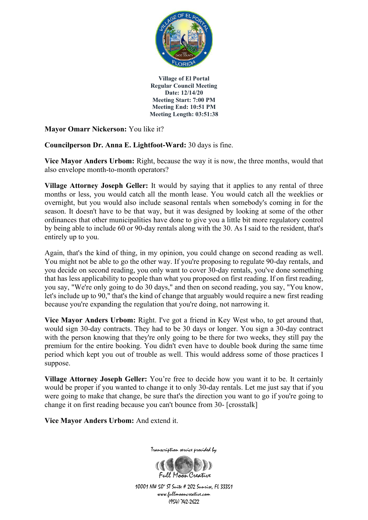

**Mayor Omarr Nickerson:** You like it?

**Councilperson Dr. Anna E. Lightfoot-Ward:** 30 days is fine.

**Vice Mayor Anders Urbom:** Right, because the way it is now, the three months, would that also envelope month-to-month operators?

**Village Attorney Joseph Geller:** It would by saying that it applies to any rental of three months or less, you would catch all the month lease. You would catch all the weeklies or overnight, but you would also include seasonal rentals when somebody's coming in for the season. It doesn't have to be that way, but it was designed by looking at some of the other ordinances that other municipalities have done to give you a little bit more regulatory control by being able to include 60 or 90-day rentals along with the 30. As I said to the resident, that's entirely up to you.

Again, that's the kind of thing, in my opinion, you could change on second reading as well. You might not be able to go the other way. If you're proposing to regulate 90-day rentals, and you decide on second reading, you only want to cover 30-day rentals, you've done something that has less applicability to people than what you proposed on first reading. If on first reading, you say, "We're only going to do 30 days," and then on second reading, you say, "You know, let's include up to 90," that's the kind of change that arguably would require a new first reading because you're expanding the regulation that you're doing, not narrowing it.

**Vice Mayor Anders Urbom:** Right. I've got a friend in Key West who, to get around that, would sign 30-day contracts. They had to be 30 days or longer. You sign a 30-day contract with the person knowing that they're only going to be there for two weeks, they still pay the premium for the entire booking. You didn't even have to double book during the same time period which kept you out of trouble as well. This would address some of those practices I suppose.

**Village Attorney Joseph Geller:** You're free to decide how you want it to be. It certainly would be proper if you wanted to change it to only 30-day rentals. Let me just say that if you were going to make that change, be sure that's the direction you want to go if you're going to change it on first reading because you can't bounce from 30- [crosstalk]

**Vice Mayor Anders Urbom:** And extend it.



Transcription service provided by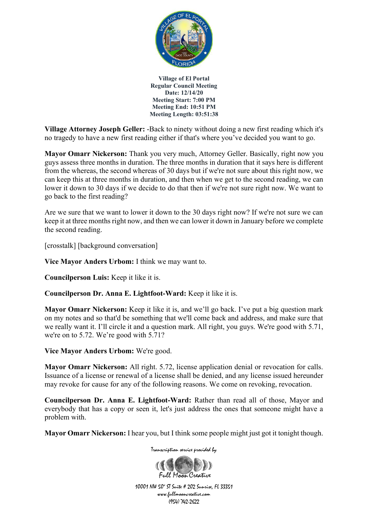

**Village Attorney Joseph Geller:** -Back to ninety without doing a new first reading which it's no tragedy to have a new first reading either if that's where you've decided you want to go.

**Mayor Omarr Nickerson:** Thank you very much, Attorney Geller. Basically, right now you guys assess three months in duration. The three months in duration that it says here is different from the whereas, the second whereas of 30 days but if we're not sure about this right now, we can keep this at three months in duration, and then when we get to the second reading, we can lower it down to 30 days if we decide to do that then if we're not sure right now. We want to go back to the first reading?

Are we sure that we want to lower it down to the 30 days right now? If we're not sure we can keep it at three months right now, and then we can lower it down in January before we complete the second reading.

[crosstalk] [background conversation]

**Vice Mayor Anders Urbom:** I think we may want to.

**Councilperson Luis:** Keep it like it is.

**Councilperson Dr. Anna E. Lightfoot-Ward:** Keep it like it is.

**Mayor Omarr Nickerson:** Keep it like it is, and we'll go back. I've put a big question mark on my notes and so that'd be something that we'll come back and address, and make sure that we really want it. I'll circle it and a question mark. All right, you guys. We're good with 5.71, we're on to 5.72. We're good with 5.71?

**Vice Mayor Anders Urbom:** We're good.

**Mayor Omarr Nickerson:** All right. 5.72, license application denial or revocation for calls. Issuance of a license or renewal of a license shall be denied, and any license issued hereunder may revoke for cause for any of the following reasons. We come on revoking, revocation.

**Councilperson Dr. Anna E. Lightfoot-Ward:** Rather than read all of those, Mayor and everybody that has a copy or seen it, let's just address the ones that someone might have a problem with.

**Mayor Omarr Nickerson:** I hear you, but I think some people might just got it tonight though.

Transcription service provided by

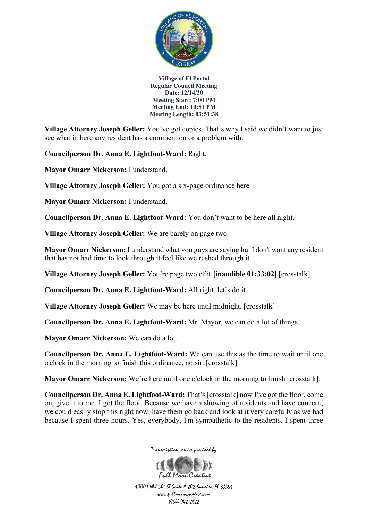

**Village Attorney Joseph Geller:** You've got copies. That's why I said we didn't want to just see what in here any resident has a comment on or a problem with.

**Councilperson Dr. Anna E. Lightfoot-Ward:** Right.

**Mayor Omarr Nickerson:** I understand.

**Village Attorney Joseph Geller:** You got a six-page ordinance here.

**Mayor Omarr Nickerson:** I understand.

**Councilperson Dr. Anna E. Lightfoot-Ward:** You don't want to be here all night.

**Village Attorney Joseph Geller:** We are barely on page two.

**Mayor Omarr Nickerson:** I understand what you guys are saying but I don't want any resident that has not had time to look through it feel like we rushed through it.

**Village Attorney Joseph Geller:** You're page two of it **[inaudible 01:33:02]** [crosstalk]

**Councilperson Dr. Anna E. Lightfoot-Ward:** All right, let's do it.

**Village Attorney Joseph Geller:** We may be here until midnight. [crosstalk]

**Councilperson Dr. Anna E. Lightfoot-Ward:** Mr. Mayor, we can do a lot of things.

**Mayor Omarr Nickerson:** We can do a lot.

**Councilperson Dr. Anna E. Lightfoot-Ward:** We can use this as the time to wait until one o'clock in the morning to finish this ordinance, no sir. [crosstalk]

**Mayor Omarr Nickerson:** We're here until one o'clock in the morning to finish [crosstalk].

**Councilperson Dr. Anna E. Lightfoot-Ward:** That's [crosstalk] now I've got the floor, come on, give it to me. I got the floor. Because we have a showing of residents and have concern, we could easily stop this right now, have them go back and look at it very carefully as we had because I spent three hours. Yes, everybody, I'm sympathetic to the residents. I spent three



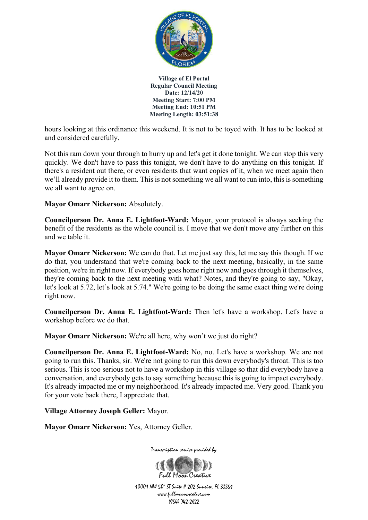

hours looking at this ordinance this weekend. It is not to be toyed with. It has to be looked at and considered carefully.

Not this ram down your through to hurry up and let's get it done tonight. We can stop this very quickly. We don't have to pass this tonight, we don't have to do anything on this tonight. If there's a resident out there, or even residents that want copies of it, when we meet again then we'll already provide it to them. This is not something we all want to run into, this is something we all want to agree on.

**Mayor Omarr Nickerson:** Absolutely.

**Councilperson Dr. Anna E. Lightfoot-Ward:** Mayor, your protocol is always seeking the benefit of the residents as the whole council is. I move that we don't move any further on this and we table it.

**Mayor Omarr Nickerson:** We can do that. Let me just say this, let me say this though. If we do that, you understand that we're coming back to the next meeting, basically, in the same position, we're in right now. If everybody goes home right now and goes through it themselves, they're coming back to the next meeting with what? Notes, and they're going to say, "Okay, let's look at 5.72, let's look at 5.74." We're going to be doing the same exact thing we're doing right now.

**Councilperson Dr. Anna E. Lightfoot-Ward:** Then let's have a workshop. Let's have a workshop before we do that.

**Mayor Omarr Nickerson:** We're all here, why won't we just do right?

**Councilperson Dr. Anna E. Lightfoot-Ward:** No, no. Let's have a workshop. We are not going to run this. Thanks, sir. We're not going to run this down everybody's throat. This is too serious. This is too serious not to have a workshop in this village so that did everybody have a conversation, and everybody gets to say something because this is going to impact everybody. It's already impacted me or my neighborhood. It's already impacted me. Very good. Thank you for your vote back there, I appreciate that.

**Village Attorney Joseph Geller:** Mayor.

**Mayor Omarr Nickerson:** Yes, Attorney Geller.



Transcription service provided by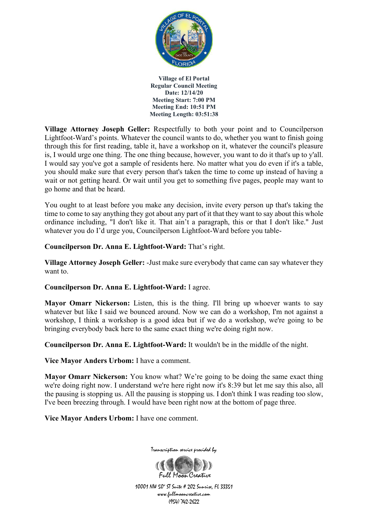

**Village Attorney Joseph Geller:** Respectfully to both your point and to Councilperson Lightfoot-Ward's points. Whatever the council wants to do, whether you want to finish going through this for first reading, table it, have a workshop on it, whatever the council's pleasure is, I would urge one thing. The one thing because, however, you want to do it that's up to y'all. I would say you've got a sample of residents here. No matter what you do even if it's a table, you should make sure that every person that's taken the time to come up instead of having a wait or not getting heard. Or wait until you get to something five pages, people may want to go home and that be heard.

You ought to at least before you make any decision, invite every person up that's taking the time to come to say anything they got about any part of it that they want to say about this whole ordinance including, "I don't like it. That ain't a paragraph, this or that I don't like." Just whatever you do I'd urge you, Councilperson Lightfoot-Ward before you table-

**Councilperson Dr. Anna E. Lightfoot-Ward:** That's right.

**Village Attorney Joseph Geller:** -Just make sure everybody that came can say whatever they want to.

### **Councilperson Dr. Anna E. Lightfoot-Ward:** I agree.

**Mayor Omarr Nickerson:** Listen, this is the thing. I'll bring up whoever wants to say whatever but like I said we bounced around. Now we can do a workshop, I'm not against a workshop, I think a workshop is a good idea but if we do a workshop, we're going to be bringing everybody back here to the same exact thing we're doing right now.

**Councilperson Dr. Anna E. Lightfoot-Ward:** It wouldn't be in the middle of the night.

**Vice Mayor Anders Urbom:** I have a comment.

**Mayor Omarr Nickerson:** You know what? We're going to be doing the same exact thing we're doing right now. I understand we're here right now it's 8:39 but let me say this also, all the pausing is stopping us. All the pausing is stopping us. I don't think I was reading too slow, I've been breezing through. I would have been right now at the bottom of page three.

**Vice Mayor Anders Urbom:** I have one comment.



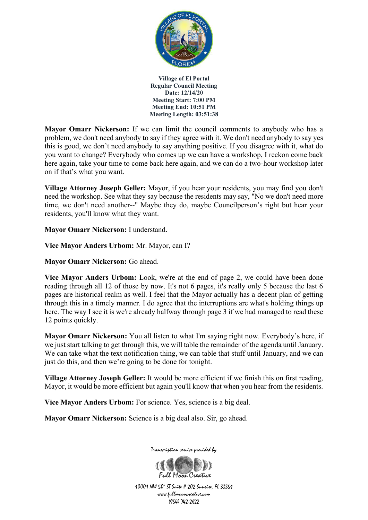

**Mayor Omarr Nickerson:** If we can limit the council comments to anybody who has a problem, we don't need anybody to say if they agree with it. We don't need anybody to say yes this is good, we don't need anybody to say anything positive. If you disagree with it, what do you want to change? Everybody who comes up we can have a workshop, I reckon come back here again, take your time to come back here again, and we can do a two-hour workshop later on if that's what you want.

**Village Attorney Joseph Geller:** Mayor, if you hear your residents, you may find you don't need the workshop. See what they say because the residents may say, "No we don't need more time, we don't need another--" Maybe they do, maybe Councilperson's right but hear your residents, you'll know what they want.

**Mayor Omarr Nickerson:** I understand.

**Vice Mayor Anders Urbom:** Mr. Mayor, can I?

**Mayor Omarr Nickerson:** Go ahead.

**Vice Mayor Anders Urbom:** Look, we're at the end of page 2, we could have been done reading through all 12 of those by now. It's not 6 pages, it's really only 5 because the last 6 pages are historical realm as well. I feel that the Mayor actually has a decent plan of getting through this in a timely manner. I do agree that the interruptions are what's holding things up here. The way I see it is we're already halfway through page 3 if we had managed to read these 12 points quickly.

**Mayor Omarr Nickerson:** You all listen to what I'm saying right now. Everybody's here, if we just start talking to get through this, we will table the remainder of the agenda until January. We can take what the text notification thing, we can table that stuff until January, and we can just do this, and then we're going to be done for tonight.

**Village Attorney Joseph Geller:** It would be more efficient if we finish this on first reading, Mayor, it would be more efficient but again you'll know that when you hear from the residents.

**Vice Mayor Anders Urbom:** For science. Yes, science is a big deal.

**Mayor Omarr Nickerson:** Science is a big deal also. Sir, go ahead.



Transcription service provided by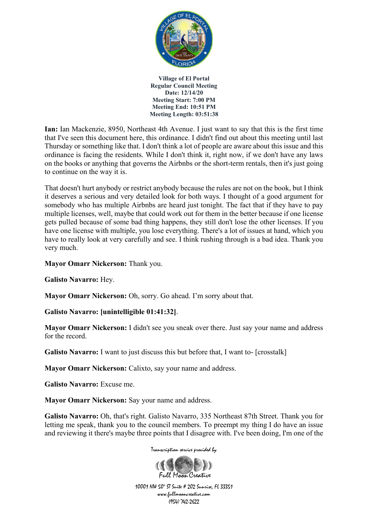

**Ian:** Ian Mackenzie, 8950, Northeast 4th Avenue. I just want to say that this is the first time that I've seen this document here, this ordinance. I didn't find out about this meeting until last Thursday or something like that. I don't think a lot of people are aware about this issue and this ordinance is facing the residents. While I don't think it, right now, if we don't have any laws on the books or anything that governs the Airbnbs or the short-term rentals, then it's just going to continue on the way it is.

That doesn't hurt anybody or restrict anybody because the rules are not on the book, but I think it deserves a serious and very detailed look for both ways. I thought of a good argument for somebody who has multiple Airbnbs are heard just tonight. The fact that if they have to pay multiple licenses, well, maybe that could work out for them in the better because if one license gets pulled because of some bad thing happens, they still don't lose the other licenses. If you have one license with multiple, you lose everything. There's a lot of issues at hand, which you have to really look at very carefully and see. I think rushing through is a bad idea. Thank you very much.

**Mayor Omarr Nickerson:** Thank you.

**Galisto Navarro:** Hey.

**Mayor Omarr Nickerson:** Oh, sorry. Go ahead. I'm sorry about that.

### **Galisto Navarro: [unintelligible 01:41:32]**.

**Mayor Omarr Nickerson:** I didn't see you sneak over there. Just say your name and address for the record.

**Galisto Navarro:** I want to just discuss this but before that, I want to- [crosstalk]

**Mayor Omarr Nickerson:** Calixto, say your name and address.

**Galisto Navarro:** Excuse me.

**Mayor Omarr Nickerson:** Say your name and address.

**Galisto Navarro:** Oh, that's right. Galisto Navarro, 335 Northeast 87th Street. Thank you for letting me speak, thank you to the council members. To preempt my thing I do have an issue and reviewing it there's maybe three points that I disagree with. I've been doing, I'm one of the

Transcription service provided by

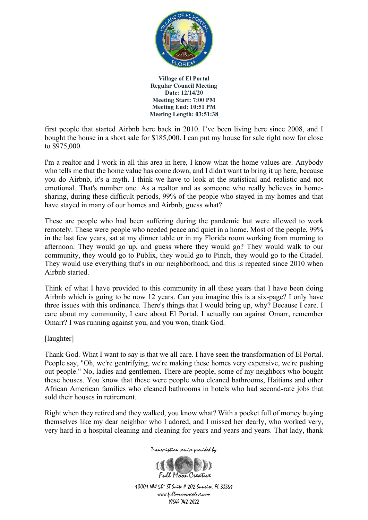

first people that started Airbnb here back in 2010. I've been living here since 2008, and I bought the house in a short sale for \$185,000. I can put my house for sale right now for close to \$975,000.

I'm a realtor and I work in all this area in here, I know what the home values are. Anybody who tells me that the home value has come down, and I didn't want to bring it up here, because you do Airbnb, it's a myth. I think we have to look at the statistical and realistic and not emotional. That's number one. As a realtor and as someone who really believes in homesharing, during these difficult periods, 99% of the people who stayed in my homes and that have stayed in many of our homes and Airbnb, guess what?

These are people who had been suffering during the pandemic but were allowed to work remotely. These were people who needed peace and quiet in a home. Most of the people, 99% in the last few years, sat at my dinner table or in my Florida room working from morning to afternoon. They would go up, and guess where they would go? They would walk to our community, they would go to Publix, they would go to Pinch, they would go to the Citadel. They would use everything that's in our neighborhood, and this is repeated since 2010 when Airbnb started.

Think of what I have provided to this community in all these years that I have been doing Airbnb which is going to be now 12 years. Can you imagine this is a six-page? I only have three issues with this ordinance. There's things that I would bring up, why? Because I care. I care about my community, I care about El Portal. I actually ran against Omarr, remember Omarr? I was running against you, and you won, thank God.

[laughter]

Thank God. What I want to say is that we all care. I have seen the transformation of El Portal. People say, "Oh, we're gentrifying, we're making these homes very expensive, we're pushing out people." No, ladies and gentlemen. There are people, some of my neighbors who bought these houses. You know that these were people who cleaned bathrooms, Haitians and other African American families who cleaned bathrooms in hotels who had second-rate jobs that sold their houses in retirement.

Right when they retired and they walked, you know what? With a pocket full of money buying themselves like my dear neighbor who I adored, and I missed her dearly, who worked very, very hard in a hospital cleaning and cleaning for years and years and years. That lady, thank

Transcription service provided by

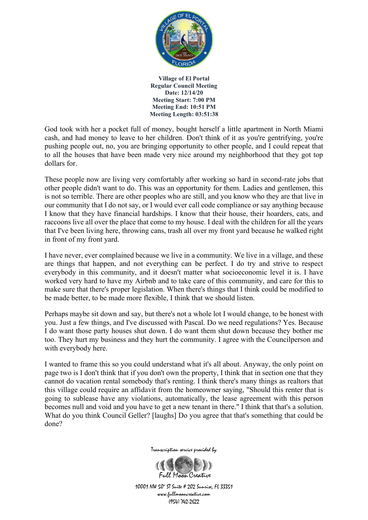

God took with her a pocket full of money, bought herself a little apartment in North Miami cash, and had money to leave to her children. Don't think of it as you're gentrifying, you're pushing people out, no, you are bringing opportunity to other people, and I could repeat that to all the houses that have been made very nice around my neighborhood that they got top dollars for.

These people now are living very comfortably after working so hard in second-rate jobs that other people didn't want to do. This was an opportunity for them. Ladies and gentlemen, this is not so terrible. There are other peoples who are still, and you know who they are that live in our community that I do not say, or I would ever call code compliance or say anything because I know that they have financial hardships. I know that their house, their hoarders, cats, and raccoons live all over the place that come to my house. I deal with the children for all the years that I've been living here, throwing cans, trash all over my front yard because he walked right in front of my front yard.

I have never, ever complained because we live in a community. We live in a village, and these are things that happen, and not everything can be perfect. I do try and strive to respect everybody in this community, and it doesn't matter what socioeconomic level it is. I have worked very hard to have my Airbnb and to take care of this community, and care for this to make sure that there's proper legislation. When there's things that I think could be modified to be made better, to be made more flexible, I think that we should listen.

Perhaps maybe sit down and say, but there's not a whole lot I would change, to be honest with you. Just a few things, and I've discussed with Pascal. Do we need regulations? Yes. Because I do want those party houses shut down. I do want them shut down because they bother me too. They hurt my business and they hurt the community. I agree with the Councilperson and with everybody here.

I wanted to frame this so you could understand what it's all about. Anyway, the only point on page two is I don't think that if you don't own the property, I think that in section one that they cannot do vacation rental somebody that's renting. I think there's many things as realtors that this village could require an affidavit from the homeowner saying, "Should this renter that is going to sublease have any violations, automatically, the lease agreement with this person becomes null and void and you have to get a new tenant in there." I think that that's a solution. What do you think Council Geller? [laughs] Do you agree that that's something that could be done?



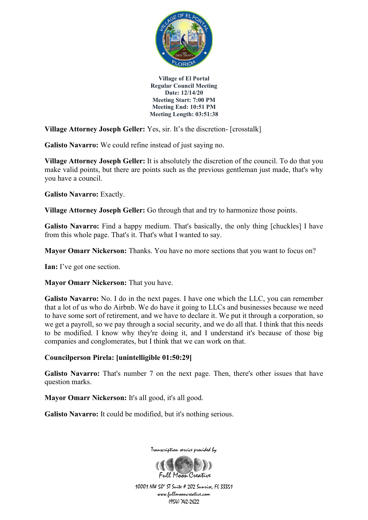

**Village Attorney Joseph Geller:** Yes, sir. It's the discretion- [crosstalk]

**Galisto Navarro:** We could refine instead of just saying no.

**Village Attorney Joseph Geller:** It is absolutely the discretion of the council. To do that you make valid points, but there are points such as the previous gentleman just made, that's why you have a council.

**Galisto Navarro:** Exactly.

**Village Attorney Joseph Geller:** Go through that and try to harmonize those points.

Galisto Navarro: Find a happy medium. That's basically, the only thing [chuckles] I have from this whole page. That's it. That's what I wanted to say.

**Mayor Omarr Nickerson:** Thanks. You have no more sections that you want to focus on?

**Ian:** I've got one section.

**Mayor Omarr Nickerson:** That you have.

**Galisto Navarro:** No. I do in the next pages. I have one which the LLC, you can remember that a lot of us who do Airbnb. We do have it going to LLCs and businesses because we need to have some sort of retirement, and we have to declare it. We put it through a corporation, so we get a payroll, so we pay through a social security, and we do all that. I think that this needs to be modified. I know why they're doing it, and I understand it's because of those big companies and conglomerates, but I think that we can work on that.

### **Councilperson Pirela: [unintelligible 01:50:29]**

**Galisto Navarro:** That's number 7 on the next page. Then, there's other issues that have question marks.

**Mayor Omarr Nickerson:** It's all good, it's all good.

Galisto Navarro: It could be modified, but it's nothing serious.

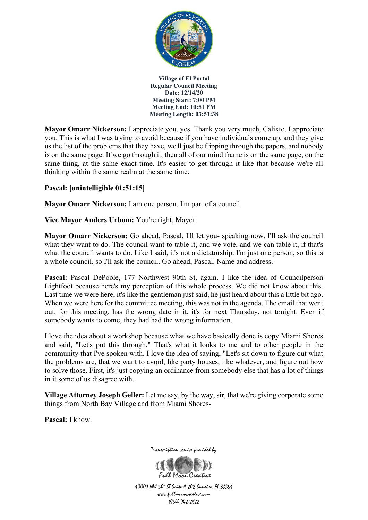

**Mayor Omarr Nickerson:** I appreciate you, yes. Thank you very much, Calixto. I appreciate you. This is what I was trying to avoid because if you have individuals come up, and they give us the list of the problems that they have, we'll just be flipping through the papers, and nobody is on the same page. If we go through it, then all of our mind frame is on the same page, on the same thing, at the same exact time. It's easier to get through it like that because we're all thinking within the same realm at the same time.

### **Pascal: [unintelligible 01:51:15]**

**Mayor Omarr Nickerson:** I am one person, I'm part of a council.

**Vice Mayor Anders Urbom:** You're right, Mayor.

**Mayor Omarr Nickerson:** Go ahead, Pascal, I'll let you- speaking now, I'll ask the council what they want to do. The council want to table it, and we vote, and we can table it, if that's what the council wants to do. Like I said, it's not a dictatorship. I'm just one person, so this is a whole council, so I'll ask the council. Go ahead, Pascal. Name and address.

Pascal: Pascal DePoole, 177 Northwest 90th St, again. I like the idea of Councilperson Lightfoot because here's my perception of this whole process. We did not know about this. Last time we were here, it's like the gentleman just said, he just heard about this a little bit ago. When we were here for the committee meeting, this was not in the agenda. The email that went out, for this meeting, has the wrong date in it, it's for next Thursday, not tonight. Even if somebody wants to come, they had had the wrong information.

I love the idea about a workshop because what we have basically done is copy Miami Shores and said, "Let's put this through." That's what it looks to me and to other people in the community that I've spoken with. I love the idea of saying, "Let's sit down to figure out what the problems are, that we want to avoid, like party houses, like whatever, and figure out how to solve those. First, it's just copying an ordinance from somebody else that has a lot of things in it some of us disagree with.

**Village Attorney Joseph Geller:** Let me say, by the way, sir, that we're giving corporate some things from North Bay Village and from Miami Shores-

**Pascal:** I know.



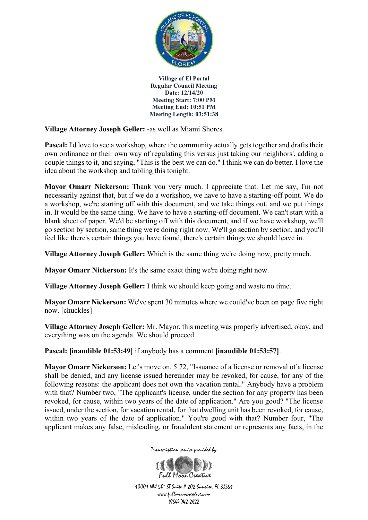

**Village Attorney Joseph Geller:** -as well as Miami Shores.

Pascal: I'd love to see a workshop, where the community actually gets together and drafts their own ordinance or their own way of regulating this versus just taking our neighbors', adding a couple things to it, and saying, "This is the best we can do." I think we can do better. I love the idea about the workshop and tabling this tonight.

**Mayor Omarr Nickerson:** Thank you very much. I appreciate that. Let me say, I'm not necessarily against that, but if we do a workshop, we have to have a starting-off point. We do a workshop, we're starting off with this document, and we take things out, and we put things in. It would be the same thing. We have to have a starting-off document. We can't start with a blank sheet of paper. We'd be starting off with this document, and if we have workshop, we'll go section by section, same thing we're doing right now. We'll go section by section, and you'll feel like there's certain things you have found, there's certain things we should leave in.

**Village Attorney Joseph Geller:** Which is the same thing we're doing now, pretty much.

**Mayor Omarr Nickerson:** It's the same exact thing we're doing right now.

**Village Attorney Joseph Geller:** I think we should keep going and waste no time.

**Mayor Omarr Nickerson:** We've spent 30 minutes where we could've been on page five right now. [chuckles]

**Village Attorney Joseph Geller:** Mr. Mayor, this meeting was properly advertised, okay, and everything was on the agenda. We should proceed.

**Pascal: [inaudible 01:53:49]** if anybody has a comment **[inaudible 01:53:57]**.

**Mayor Omarr Nickerson:** Let's move on. 5.72, "Issuance of a license or removal of a license shall be denied, and any license issued hereunder may be revoked, for cause, for any of the following reasons: the applicant does not own the vacation rental." Anybody have a problem with that? Number two, "The applicant's license, under the section for any property has been revoked, for cause, within two years of the date of application." Are you good? "The license issued, under the section, for vacation rental, for that dwelling unit has been revoked, for cause, within two years of the date of application." You're good with that? Number four, "The applicant makes any false, misleading, or fraudulent statement or represents any facts, in the

Transcription service provided by

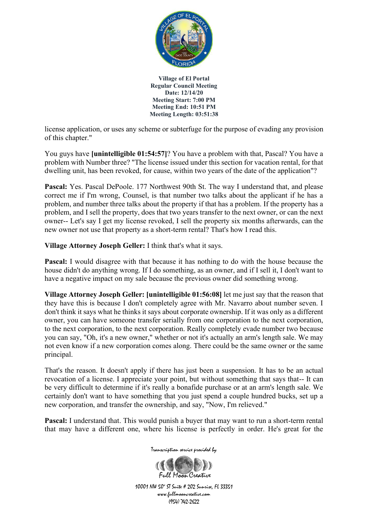

license application, or uses any scheme or subterfuge for the purpose of evading any provision of this chapter."

You guys have **[unintelligible 01:54:57]**? You have a problem with that, Pascal? You have a problem with Number three? "The license issued under this section for vacation rental, for that dwelling unit, has been revoked, for cause, within two years of the date of the application"?

**Pascal:** Yes. Pascal DePoole. 177 Northwest 90th St. The way I understand that, and please correct me if I'm wrong, Counsel, is that number two talks about the applicant if he has a problem, and number three talks about the property if that has a problem. If the property has a problem, and I sell the property, does that two years transfer to the next owner, or can the next owner-- Let's say I get my license revoked, I sell the property six months afterwards, can the new owner not use that property as a short-term rental? That's how I read this.

**Village Attorney Joseph Geller:** I think that's what it says.

**Pascal:** I would disagree with that because it has nothing to do with the house because the house didn't do anything wrong. If I do something, as an owner, and if I sell it, I don't want to have a negative impact on my sale because the previous owner did something wrong.

**Village Attorney Joseph Geller: [unintelligible 01:56:08]** let me just say that the reason that they have this is because I don't completely agree with Mr. Navarro about number seven. I don't think it says what he thinks it says about corporate ownership. If it was only as a different owner, you can have someone transfer serially from one corporation to the next corporation, to the next corporation, to the next corporation. Really completely evade number two because you can say, "Oh, it's a new owner," whether or not it's actually an arm's length sale. We may not even know if a new corporation comes along. There could be the same owner or the same principal.

That's the reason. It doesn't apply if there has just been a suspension. It has to be an actual revocation of a license. I appreciate your point, but without something that says that-- It can be very difficult to determine if it's really a bonafide purchase or at an arm's length sale. We certainly don't want to have something that you just spend a couple hundred bucks, set up a new corporation, and transfer the ownership, and say, "Now, I'm relieved."

**Pascal:** I understand that. This would punish a buyer that may want to run a short-term rental that may have a different one, where his license is perfectly in order. He's great for the

Transcription service provided by

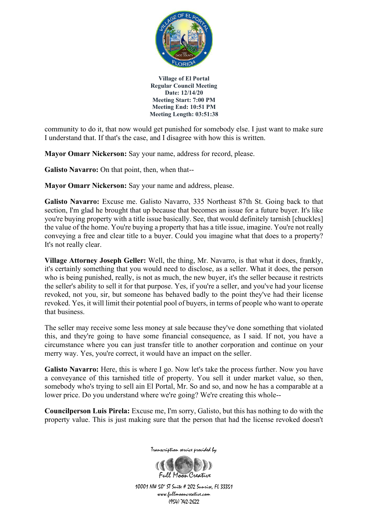

community to do it, that now would get punished for somebody else. I just want to make sure I understand that. If that's the case, and I disagree with how this is written.

**Mayor Omarr Nickerson:** Say your name, address for record, please.

**Galisto Navarro:** On that point, then, when that--

**Mayor Omarr Nickerson:** Say your name and address, please.

**Galisto Navarro:** Excuse me. Galisto Navarro, 335 Northeast 87th St. Going back to that section, I'm glad he brought that up because that becomes an issue for a future buyer. It's like you're buying property with a title issue basically. See, that would definitely tarnish [chuckles] the value of the home. You're buying a property that has a title issue, imagine. You're not really conveying a free and clear title to a buyer. Could you imagine what that does to a property? It's not really clear.

**Village Attorney Joseph Geller:** Well, the thing, Mr. Navarro, is that what it does, frankly, it's certainly something that you would need to disclose, as a seller. What it does, the person who is being punished, really, is not as much, the new buyer, it's the seller because it restricts the seller's ability to sell it for that purpose. Yes, if you're a seller, and you've had your license revoked, not you, sir, but someone has behaved badly to the point they've had their license revoked. Yes, it will limit their potential pool of buyers, in terms of people who want to operate that business.

The seller may receive some less money at sale because they've done something that violated this, and they're going to have some financial consequence, as I said. If not, you have a circumstance where you can just transfer title to another corporation and continue on your merry way. Yes, you're correct, it would have an impact on the seller.

Galisto Navarro: Here, this is where I go. Now let's take the process further. Now you have a conveyance of this tarnished title of property. You sell it under market value, so then, somebody who's trying to sell ain El Portal, Mr. So and so, and now he has a comparable at a lower price. Do you understand where we're going? We're creating this whole--

**Councilperson Luis Pirela:** Excuse me, I'm sorry, Galisto, but this has nothing to do with the property value. This is just making sure that the person that had the license revoked doesn't



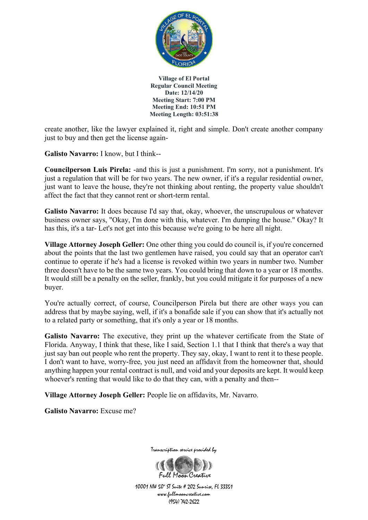

create another, like the lawyer explained it, right and simple. Don't create another company just to buy and then get the license again-

**Galisto Navarro:** I know, but I think--

**Councilperson Luis Pirela:** -and this is just a punishment. I'm sorry, not a punishment. It's just a regulation that will be for two years. The new owner, if it's a regular residential owner, just want to leave the house, they're not thinking about renting, the property value shouldn't affect the fact that they cannot rent or short-term rental.

**Galisto Navarro:** It does because I'd say that, okay, whoever, the unscrupulous or whatever business owner says, "Okay, I'm done with this, whatever. I'm dumping the house." Okay? It has this, it's a tar- Let's not get into this because we're going to be here all night.

**Village Attorney Joseph Geller:** One other thing you could do council is, if you're concerned about the points that the last two gentlemen have raised, you could say that an operator can't continue to operate if he's had a license is revoked within two years in number two. Number three doesn't have to be the same two years. You could bring that down to a year or 18 months. It would still be a penalty on the seller, frankly, but you could mitigate it for purposes of a new buyer.

You're actually correct, of course, Councilperson Pirela but there are other ways you can address that by maybe saying, well, if it's a bonafide sale if you can show that it's actually not to a related party or something, that it's only a year or 18 months.

Galisto Navarro: The executive, they print up the whatever certificate from the State of Florida. Anyway, I think that these, like I said, Section 1.1 that I think that there's a way that just say ban out people who rent the property. They say, okay, I want to rent it to these people. I don't want to have, worry-free, you just need an affidavit from the homeowner that, should anything happen your rental contract is null, and void and your deposits are kept. It would keep whoever's renting that would like to do that they can, with a penalty and then--

**Village Attorney Joseph Geller:** People lie on affidavits, Mr. Navarro.

**Galisto Navarro:** Excuse me?



Full Magn Creative 10001 NW 50<sup>\*</sup> ST Suite # 202 Sunrise, FL 33351 www.fullmooncreative.com (954) 742-2622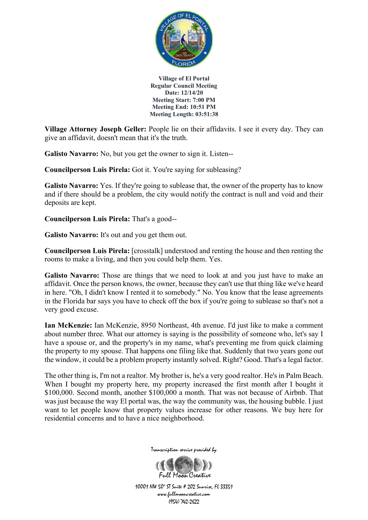

**Village Attorney Joseph Geller:** People lie on their affidavits. I see it every day. They can give an affidavit, doesn't mean that it's the truth.

**Galisto Navarro:** No, but you get the owner to sign it. Listen--

**Councilperson Luis Pirela:** Got it. You're saying for subleasing?

**Galisto Navarro:** Yes. If they're going to sublease that, the owner of the property has to know and if there should be a problem, the city would notify the contract is null and void and their deposits are kept.

**Councilperson Luis Pirela:** That's a good--

**Galisto Navarro:** It's out and you get them out.

**Councilperson Luis Pirela:** [crosstalk] understood and renting the house and then renting the rooms to make a living, and then you could help them. Yes.

Galisto Navarro: Those are things that we need to look at and you just have to make an affidavit. Once the person knows, the owner, because they can't use that thing like we've heard in here. "Oh, I didn't know I rented it to somebody." No. You know that the lease agreements in the Florida bar says you have to check off the box if you're going to sublease so that's not a very good excuse.

**Ian McKenzie:** Ian McKenzie, 8950 Northeast, 4th avenue. I'd just like to make a comment about number three. What our attorney is saying is the possibility of someone who, let's say I have a spouse or, and the property's in my name, what's preventing me from quick claiming the property to my spouse. That happens one filing like that. Suddenly that two years gone out the window, it could be a problem property instantly solved. Right? Good. That's a legal factor.

The other thing is, I'm not a realtor. My brother is, he's a very good realtor. He's in Palm Beach. When I bought my property here, my property increased the first month after I bought it \$100,000. Second month, another \$100,000 a month. That was not because of Airbnb. That was just because the way El portal was, the way the community was, the housing bubble. I just want to let people know that property values increase for other reasons. We buy here for residential concerns and to have a nice neighborhood.



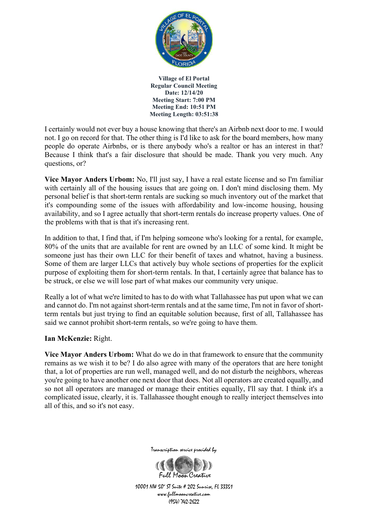

I certainly would not ever buy a house knowing that there's an Airbnb next door to me. I would not. I go on record for that. The other thing is I'd like to ask for the board members, how many people do operate Airbnbs, or is there anybody who's a realtor or has an interest in that? Because I think that's a fair disclosure that should be made. Thank you very much. Any questions, or?

**Vice Mayor Anders Urbom:** No, I'll just say, I have a real estate license and so I'm familiar with certainly all of the housing issues that are going on. I don't mind disclosing them. My personal belief is that short-term rentals are sucking so much inventory out of the market that it's compounding some of the issues with affordability and low-income housing, housing availability, and so I agree actually that short-term rentals do increase property values. One of the problems with that is that it's increasing rent.

In addition to that, I find that, if I'm helping someone who's looking for a rental, for example, 80% of the units that are available for rent are owned by an LLC of some kind. It might be someone just has their own LLC for their benefit of taxes and whatnot, having a business. Some of them are larger LLCs that actively buy whole sections of properties for the explicit purpose of exploiting them for short-term rentals. In that, I certainly agree that balance has to be struck, or else we will lose part of what makes our community very unique.

Really a lot of what we're limited to has to do with what Tallahassee has put upon what we can and cannot do. I'm not against short-term rentals and at the same time, I'm not in favor of shortterm rentals but just trying to find an equitable solution because, first of all, Tallahassee has said we cannot prohibit short-term rentals, so we're going to have them.

**Ian McKenzie:** Right.

**Vice Mayor Anders Urbom:** What do we do in that framework to ensure that the community remains as we wish it to be? I do also agree with many of the operators that are here tonight that, a lot of properties are run well, managed well, and do not disturb the neighbors, whereas you're going to have another one next door that does. Not all operators are created equally, and so not all operators are managed or manage their entities equally, I'll say that. I think it's a complicated issue, clearly, it is. Tallahassee thought enough to really interject themselves into all of this, and so it's not easy.



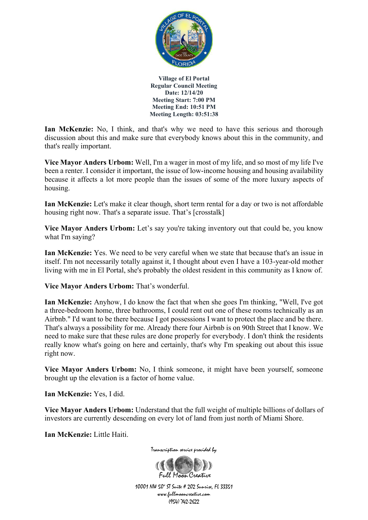

**Ian McKenzie:** No, I think, and that's why we need to have this serious and thorough discussion about this and make sure that everybody knows about this in the community, and that's really important.

**Vice Mayor Anders Urbom:** Well, I'm a wager in most of my life, and so most of my life I've been a renter. I consider it important, the issue of low-income housing and housing availability because it affects a lot more people than the issues of some of the more luxury aspects of housing.

**Ian McKenzie:** Let's make it clear though, short term rental for a day or two is not affordable housing right now. That's a separate issue. That's [crosstalk]

**Vice Mayor Anders Urbom:** Let's say you're taking inventory out that could be, you know what I'm saying?

**Ian McKenzie:** Yes. We need to be very careful when we state that because that's an issue in itself. I'm not necessarily totally against it, I thought about even I have a 103-year-old mother living with me in El Portal, she's probably the oldest resident in this community as I know of.

**Vice Mayor Anders Urbom:** That's wonderful.

**Ian McKenzie:** Anyhow, I do know the fact that when she goes I'm thinking, "Well, I've got a three-bedroom home, three bathrooms, I could rent out one of these rooms technically as an Airbnb." I'd want to be there because I got possessions I want to protect the place and be there. That's always a possibility for me. Already there four Airbnb is on 90th Street that I know. We need to make sure that these rules are done properly for everybody. I don't think the residents really know what's going on here and certainly, that's why I'm speaking out about this issue right now.

**Vice Mayor Anders Urbom:** No, I think someone, it might have been yourself, someone brought up the elevation is a factor of home value.

**Ian McKenzie:** Yes, I did.

**Vice Mayor Anders Urbom:** Understand that the full weight of multiple billions of dollars of investors are currently descending on every lot of land from just north of Miami Shore.

**Ian McKenzie:** Little Haiti.



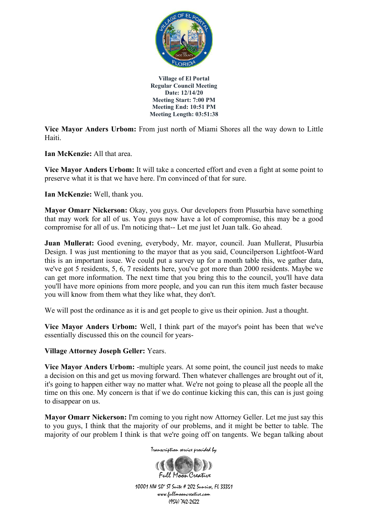

**Vice Mayor Anders Urbom:** From just north of Miami Shores all the way down to Little Haiti.

**Ian McKenzie:** All that area.

**Vice Mayor Anders Urbom:** It will take a concerted effort and even a fight at some point to preserve what it is that we have here. I'm convinced of that for sure.

**Ian McKenzie:** Well, thank you.

**Mayor Omarr Nickerson:** Okay, you guys. Our developers from Plusurbia have something that may work for all of us. You guys now have a lot of compromise, this may be a good compromise for all of us. I'm noticing that-- Let me just let Juan talk. Go ahead.

**Juan Mullerat:** Good evening, everybody, Mr. mayor, council. Juan Mullerat, Plusurbia Design. I was just mentioning to the mayor that as you said, Councilperson Lightfoot-Ward this is an important issue. We could put a survey up for a month table this, we gather data, we've got 5 residents, 5, 6, 7 residents here, you've got more than 2000 residents. Maybe we can get more information. The next time that you bring this to the council, you'll have data you'll have more opinions from more people, and you can run this item much faster because you will know from them what they like what, they don't.

We will post the ordinance as it is and get people to give us their opinion. Just a thought.

**Vice Mayor Anders Urbom:** Well, I think part of the mayor's point has been that we've essentially discussed this on the council for years-

**Village Attorney Joseph Geller:** Years.

**Vice Mayor Anders Urbom:** -multiple years. At some point, the council just needs to make a decision on this and get us moving forward. Then whatever challenges are brought out of it, it's going to happen either way no matter what. We're not going to please all the people all the time on this one. My concern is that if we do continue kicking this can, this can is just going to disappear on us.

**Mayor Omarr Nickerson:** I'm coming to you right now Attorney Geller. Let me just say this to you guys, I think that the majority of our problems, and it might be better to table. The majority of our problem I think is that we're going off on tangents. We began talking about

Transcription service provided by

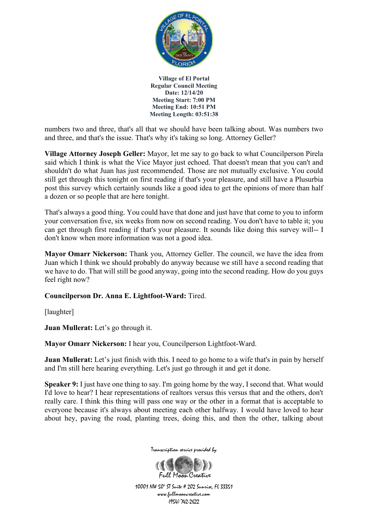

numbers two and three, that's all that we should have been talking about. Was numbers two and three, and that's the issue. That's why it's taking so long. Attorney Geller?

**Village Attorney Joseph Geller:** Mayor, let me say to go back to what Councilperson Pirela said which I think is what the Vice Mayor just echoed. That doesn't mean that you can't and shouldn't do what Juan has just recommended. Those are not mutually exclusive. You could still get through this tonight on first reading if that's your pleasure, and still have a Plusurbia post this survey which certainly sounds like a good idea to get the opinions of more than half a dozen or so people that are here tonight.

That's always a good thing. You could have that done and just have that come to you to inform your conversation five, six weeks from now on second reading. You don't have to table it; you can get through first reading if that's your pleasure. It sounds like doing this survey will-- I don't know when more information was not a good idea.

**Mayor Omarr Nickerson:** Thank you, Attorney Geller. The council, we have the idea from Juan which I think we should probably do anyway because we still have a second reading that we have to do. That will still be good anyway, going into the second reading. How do you guys feel right now?

### **Councilperson Dr. Anna E. Lightfoot-Ward:** Tired.

[laughter]

**Juan Mullerat:** Let's go through it.

**Mayor Omarr Nickerson:** I hear you, Councilperson Lightfoot-Ward.

**Juan Mullerat:** Let's just finish with this. I need to go home to a wife that's in pain by herself and I'm still here hearing everything. Let's just go through it and get it done.

**Speaker 9:** I just have one thing to say. I'm going home by the way, I second that. What would I'd love to hear? I hear representations of realtors versus this versus that and the others, don't really care. I think this thing will pass one way or the other in a format that is acceptable to everyone because it's always about meeting each other halfway. I would have loved to hear about hey, paving the road, planting trees, doing this, and then the other, talking about



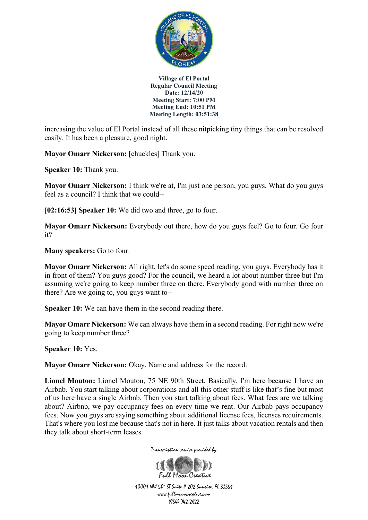

increasing the value of El Portal instead of all these nitpicking tiny things that can be resolved easily. It has been a pleasure, good night.

**Mayor Omarr Nickerson:** [chuckles] Thank you.

**Speaker 10:** Thank you.

**Mayor Omarr Nickerson:** I think we're at, I'm just one person, you guys. What do you guys feel as a council? I think that we could--

**[02:16:53] Speaker 10:** We did two and three, go to four.

**Mayor Omarr Nickerson:** Everybody out there, how do you guys feel? Go to four. Go four it?

**Many speakers:** Go to four.

**Mayor Omarr Nickerson:** All right, let's do some speed reading, you guys. Everybody has it in front of them? You guys good? For the council, we heard a lot about number three but I'm assuming we're going to keep number three on there. Everybody good with number three on there? Are we going to, you guys want to--

**Speaker 10:** We can have them in the second reading there.

**Mayor Omarr Nickerson:** We can always have them in a second reading. For right now we're going to keep number three?

**Speaker 10:** Yes.

**Mayor Omarr Nickerson:** Okay. Name and address for the record.

**Lionel Mouton:** Lionel Mouton, 75 NE 90th Street. Basically, I'm here because I have an Airbnb. You start talking about corporations and all this other stuff is like that's fine but most of us here have a single Airbnb. Then you start talking about fees. What fees are we talking about? Airbnb, we pay occupancy fees on every time we rent. Our Airbnb pays occupancy fees. Now you guys are saying something about additional license fees, licenses requirements. That's where you lost me because that's not in here. It just talks about vacation rentals and then they talk about short-term leases.

Transcription service provided by

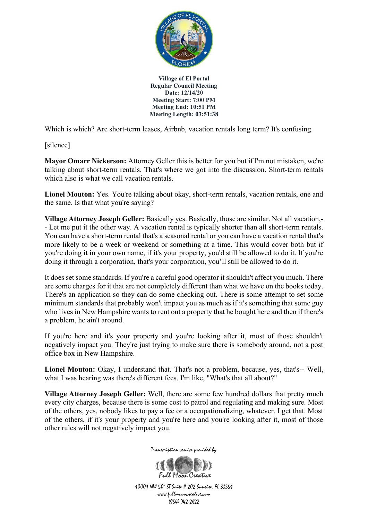

Which is which? Are short-term leases, Airbnb, vacation rentals long term? It's confusing.

[silence]

**Mayor Omarr Nickerson:** Attorney Geller this is better for you but if I'm not mistaken, we're talking about short-term rentals. That's where we got into the discussion. Short-term rentals which also is what we call vacation rentals.

Lionel Mouton: Yes. You're talking about okay, short-term rentals, vacation rentals, one and the same. Is that what you're saying?

**Village Attorney Joseph Geller:** Basically yes. Basically, those are similar. Not all vacation,- - Let me put it the other way. A vacation rental is typically shorter than all short-term rentals. You can have a short-term rental that's a seasonal rental or you can have a vacation rental that's more likely to be a week or weekend or something at a time. This would cover both but if you're doing it in your own name, if it's your property, you'd still be allowed to do it. If you're doing it through a corporation, that's your corporation, you'll still be allowed to do it.

It does set some standards. If you're a careful good operator it shouldn't affect you much. There are some charges for it that are not completely different than what we have on the books today. There's an application so they can do some checking out. There is some attempt to set some minimum standards that probably won't impact you as much as if it's something that some guy who lives in New Hampshire wants to rent out a property that he bought here and then if there's a problem, he ain't around.

If you're here and it's your property and you're looking after it, most of those shouldn't negatively impact you. They're just trying to make sure there is somebody around, not a post office box in New Hampshire.

Lionel Mouton: Okay, I understand that. That's not a problem, because, yes, that's-- Well, what I was hearing was there's different fees. I'm like, "What's that all about?"

**Village Attorney Joseph Geller:** Well, there are some few hundred dollars that pretty much every city charges, because there is some cost to patrol and regulating and making sure. Most of the others, yes, nobody likes to pay a fee or a occupationalizing, whatever. I get that. Most of the others, if it's your property and you're here and you're looking after it, most of those other rules will not negatively impact you.



Transcription service provided by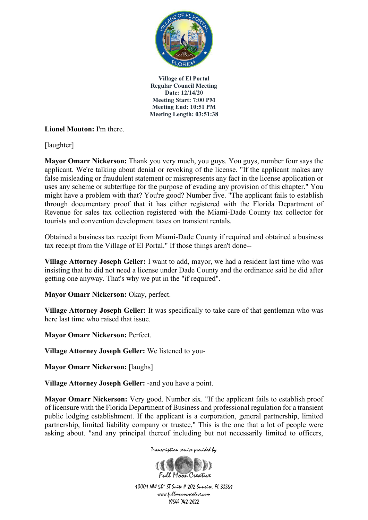

## **Lionel Mouton:** I'm there.

[laughter]

**Mayor Omarr Nickerson:** Thank you very much, you guys. You guys, number four says the applicant. We're talking about denial or revoking of the license. "If the applicant makes any false misleading or fraudulent statement or misrepresents any fact in the license application or uses any scheme or subterfuge for the purpose of evading any provision of this chapter." You might have a problem with that? You're good? Number five. "The applicant fails to establish through documentary proof that it has either registered with the Florida Department of Revenue for sales tax collection registered with the Miami-Dade County tax collector for tourists and convention development taxes on transient rentals.

Obtained a business tax receipt from Miami-Dade County if required and obtained a business tax receipt from the Village of El Portal." If those things aren't done--

**Village Attorney Joseph Geller:** I want to add, mayor, we had a resident last time who was insisting that he did not need a license under Dade County and the ordinance said he did after getting one anyway. That's why we put in the "if required".

**Mayor Omarr Nickerson: Okay, perfect.** 

**Village Attorney Joseph Geller:** It was specifically to take care of that gentleman who was here last time who raised that issue.

**Mayor Omarr Nickerson:** Perfect.

**Village Attorney Joseph Geller:** We listened to you-

**Mayor Omarr Nickerson:** [laughs]

**Village Attorney Joseph Geller:** -and you have a point.

**Mayor Omarr Nickerson:** Very good. Number six. "If the applicant fails to establish proof of licensure with the Florida Department of Business and professional regulation for a transient public lodging establishment. If the applicant is a corporation, general partnership, limited partnership, limited liability company or trustee," This is the one that a lot of people were asking about. "and any principal thereof including but not necessarily limited to officers,

Transcription service provided by

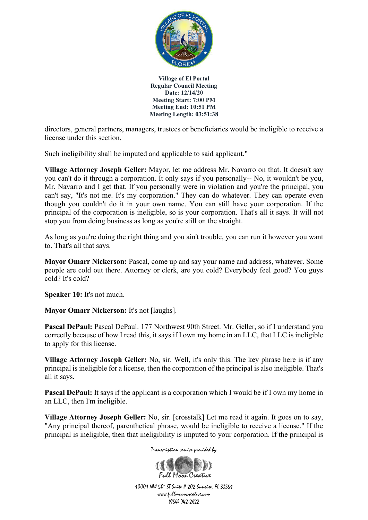

directors, general partners, managers, trustees or beneficiaries would be ineligible to receive a license under this section.

Such ineligibility shall be imputed and applicable to said applicant."

**Village Attorney Joseph Geller:** Mayor, let me address Mr. Navarro on that. It doesn't say you can't do it through a corporation. It only says if you personally-- No, it wouldn't be you, Mr. Navarro and I get that. If you personally were in violation and you're the principal, you can't say, "It's not me. It's my corporation." They can do whatever. They can operate even though you couldn't do it in your own name. You can still have your corporation. If the principal of the corporation is ineligible, so is your corporation. That's all it says. It will not stop you from doing business as long as you're still on the straight.

As long as you're doing the right thing and you ain't trouble, you can run it however you want to. That's all that says.

**Mayor Omarr Nickerson:** Pascal, come up and say your name and address, whatever. Some people are cold out there. Attorney or clerk, are you cold? Everybody feel good? You guys cold? It's cold?

**Speaker 10:** It's not much.

**Mayor Omarr Nickerson:** It's not [laughs].

**Pascal DePaul:** Pascal DePaul. 177 Northwest 90th Street. Mr. Geller, so if I understand you correctly because of how I read this, it says if I own my home in an LLC, that LLC is ineligible to apply for this license.

**Village Attorney Joseph Geller:** No, sir. Well, it's only this. The key phrase here is if any principal is ineligible for a license, then the corporation of the principal is also ineligible. That's all it says.

**Pascal DePaul:** It says if the applicant is a corporation which I would be if I own my home in an LLC, then I'm ineligible.

**Village Attorney Joseph Geller:** No, sir. [crosstalk] Let me read it again. It goes on to say, "Any principal thereof, parenthetical phrase, would be ineligible to receive a license." If the principal is ineligible, then that ineligibility is imputed to your corporation. If the principal is

Transcription service provided by

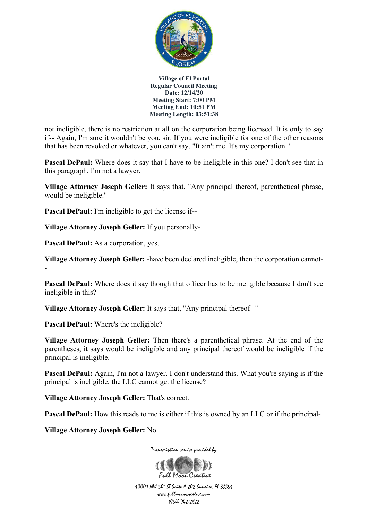

not ineligible, there is no restriction at all on the corporation being licensed. It is only to say if-- Again, I'm sure it wouldn't be you, sir. If you were ineligible for one of the other reasons that has been revoked or whatever, you can't say, "It ain't me. It's my corporation."

**Pascal DePaul:** Where does it say that I have to be ineligible in this one? I don't see that in this paragraph. I'm not a lawyer.

**Village Attorney Joseph Geller:** It says that, "Any principal thereof, parenthetical phrase, would be ineligible."

**Pascal DePaul:** I'm ineligible to get the license if--

**Village Attorney Joseph Geller:** If you personally-

**Pascal DePaul:** As a corporation, yes.

**Village Attorney Joseph Geller:** -have been declared ineligible, then the corporation cannot- -

**Pascal DePaul:** Where does it say though that officer has to be ineligible because I don't see ineligible in this?

**Village Attorney Joseph Geller:** It says that, "Any principal thereof--"

**Pascal DePaul:** Where's the ineligible?

**Village Attorney Joseph Geller:** Then there's a parenthetical phrase. At the end of the parentheses, it says would be ineligible and any principal thereof would be ineligible if the principal is ineligible.

**Pascal DePaul:** Again, I'm not a lawyer. I don't understand this. What you're saying is if the principal is ineligible, the LLC cannot get the license?

**Village Attorney Joseph Geller:** That's correct.

**Pascal DePaul:** How this reads to me is either if this is owned by an LLC or if the principal-

**Village Attorney Joseph Geller:** No.

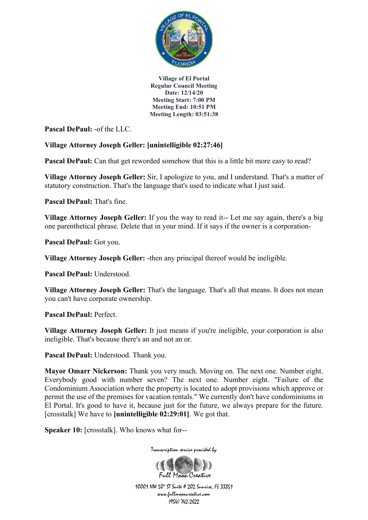

**Pascal DePaul:** -of the LLC.

# **Village Attorney Joseph Geller: [unintelligible 02:27:46]**

**Pascal DePaul:** Can that get reworded somehow that this is a little bit more easy to read?

**Village Attorney Joseph Geller:** Sir, I apologize to you, and I understand. That's a matter of statutory construction. That's the language that's used to indicate what I just said.

**Pascal DePaul:** That's fine.

**Village Attorney Joseph Geller:** If you the way to read it-- Let me say again, there's a big one parenthetical phrase. Delete that in your mind. If it says if the owner is a corporation-

**Pascal DePaul:** Got you.

**Village Attorney Joseph Geller:** -then any principal thereof would be ineligible.

**Pascal DePaul:** Understood.

**Village Attorney Joseph Geller:** That's the language. That's all that means. It does not mean you can't have corporate ownership.

**Pascal DePaul:** Perfect.

**Village Attorney Joseph Geller:** It just means if you're ineligible, your corporation is also ineligible. That's because there's an and not an or.

Pascal DePaul: Understood. Thank you.

**Mayor Omarr Nickerson:** Thank you very much. Moving on. The next one. Number eight. Everybody good with number seven? The next one. Number eight. "Failure of the Condominium Association where the property is located to adopt provisions which approve or permit the use of the premises for vacation rentals." We currently don't have condominiums in El Portal. It's good to have it, because just for the future, we always prepare for the future. [crosstalk] We have to **[unintelligible 02:29:01]**. We got that.

**Speaker 10:** [crosstalk]. Who knows what for--

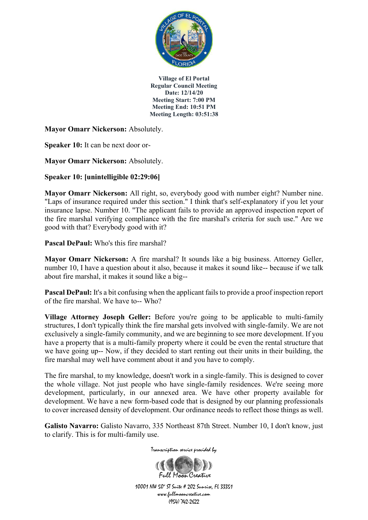

**Mayor Omarr Nickerson:** Absolutely.

**Speaker 10:** It can be next door or-

**Mayor Omarr Nickerson:** Absolutely.

**Speaker 10: [unintelligible 02:29:06]**

**Mayor Omarr Nickerson:** All right, so, everybody good with number eight? Number nine. "Laps of insurance required under this section." I think that's self-explanatory if you let your insurance lapse. Number 10. "The applicant fails to provide an approved inspection report of the fire marshal verifying compliance with the fire marshal's criteria for such use." Are we good with that? Everybody good with it?

**Pascal DePaul:** Who's this fire marshal?

**Mayor Omarr Nickerson:** A fire marshal? It sounds like a big business. Attorney Geller, number 10, I have a question about it also, because it makes it sound like-- because if we talk about fire marshal, it makes it sound like a big--

**Pascal DePaul:** It's a bit confusing when the applicant fails to provide a proof inspection report of the fire marshal. We have to-- Who?

**Village Attorney Joseph Geller:** Before you're going to be applicable to multi-family structures, I don't typically think the fire marshal gets involved with single-family. We are not exclusively a single-family community, and we are beginning to see more development. If you have a property that is a multi-family property where it could be even the rental structure that we have going up-- Now, if they decided to start renting out their units in their building, the fire marshal may well have comment about it and you have to comply.

The fire marshal, to my knowledge, doesn't work in a single-family. This is designed to cover the whole village. Not just people who have single-family residences. We're seeing more development, particularly, in our annexed area. We have other property available for development. We have a new form-based code that is designed by our planning professionals to cover increased density of development. Our ordinance needs to reflect those things as well.

**Galisto Navarro:** Galisto Navarro, 335 Northeast 87th Street. Number 10, I don't know, just to clarify. This is for multi-family use.



Transcription service provided by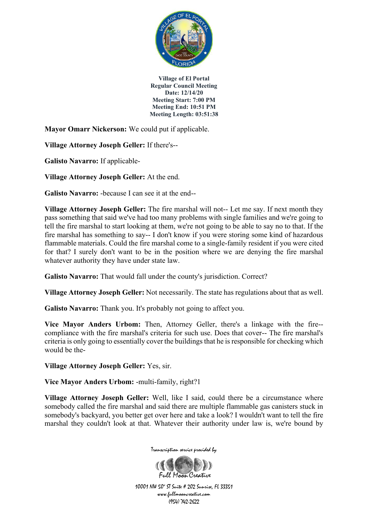

**Mayor Omarr Nickerson:** We could put if applicable.

**Village Attorney Joseph Geller:** If there's--

**Galisto Navarro:** If applicable-

**Village Attorney Joseph Geller:** At the end.

**Galisto Navarro:** -because I can see it at the end--

**Village Attorney Joseph Geller:** The fire marshal will not-- Let me say. If next month they pass something that said we've had too many problems with single families and we're going to tell the fire marshal to start looking at them, we're not going to be able to say no to that. If the fire marshal has something to say-- I don't know if you were storing some kind of hazardous flammable materials. Could the fire marshal come to a single-family resident if you were cited for that? I surely don't want to be in the position where we are denying the fire marshal whatever authority they have under state law.

Galisto Navarro: That would fall under the county's jurisdiction. Correct?

**Village Attorney Joseph Geller:** Not necessarily. The state has regulations about that as well.

Galisto Navarro: Thank you. It's probably not going to affect you.

**Vice Mayor Anders Urbom:** Then, Attorney Geller, there's a linkage with the fire- compliance with the fire marshal's criteria for such use. Does that cover-- The fire marshal's criteria is only going to essentially cover the buildings that he is responsible for checking which would be the-

**Village Attorney Joseph Geller:** Yes, sir.

**Vice Mayor Anders Urbom:** -multi-family, right?1

**Village Attorney Joseph Geller:** Well, like I said, could there be a circumstance where somebody called the fire marshal and said there are multiple flammable gas canisters stuck in somebody's backyard, you better get over here and take a look? I wouldn't want to tell the fire marshal they couldn't look at that. Whatever their authority under law is, we're bound by



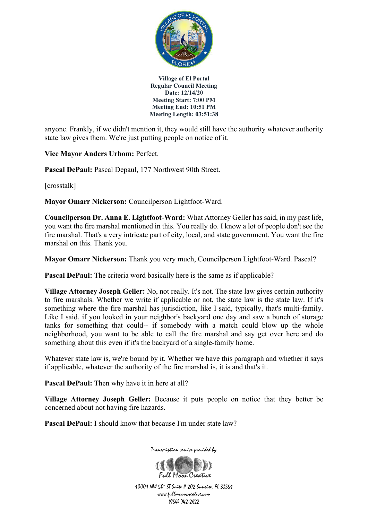

anyone. Frankly, if we didn't mention it, they would still have the authority whatever authority state law gives them. We're just putting people on notice of it.

**Vice Mayor Anders Urbom:** Perfect.

Pascal DePaul: Pascal Depaul, 177 Northwest 90th Street.

[crosstalk]

**Mayor Omarr Nickerson:** Councilperson Lightfoot-Ward.

**Councilperson Dr. Anna E. Lightfoot-Ward:** What Attorney Geller has said, in my past life, you want the fire marshal mentioned in this. You really do. I know a lot of people don't see the fire marshal. That's a very intricate part of city, local, and state government. You want the fire marshal on this. Thank you.

**Mayor Omarr Nickerson:** Thank you very much, Councilperson Lightfoot-Ward. Pascal?

**Pascal DePaul:** The criteria word basically here is the same as if applicable?

**Village Attorney Joseph Geller:** No, not really. It's not. The state law gives certain authority to fire marshals. Whether we write if applicable or not, the state law is the state law. If it's something where the fire marshal has jurisdiction, like I said, typically, that's multi-family. Like I said, if you looked in your neighbor's backyard one day and saw a bunch of storage tanks for something that could-- if somebody with a match could blow up the whole neighborhood, you want to be able to call the fire marshal and say get over here and do something about this even if it's the backyard of a single-family home.

Whatever state law is, we're bound by it. Whether we have this paragraph and whether it says if applicable, whatever the authority of the fire marshal is, it is and that's it.

**Pascal DePaul:** Then why have it in here at all?

**Village Attorney Joseph Geller:** Because it puts people on notice that they better be concerned about not having fire hazards.

**Pascal DePaul:** I should know that because I'm under state law?



Transcription service provided by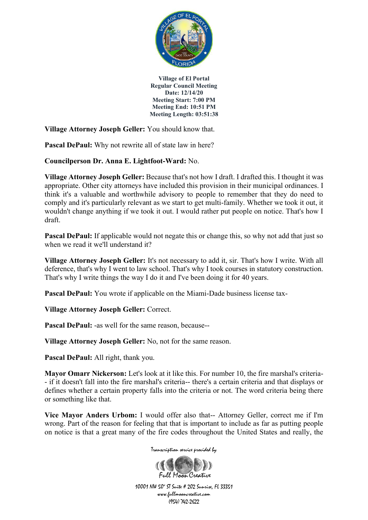

**Village Attorney Joseph Geller:** You should know that.

**Pascal DePaul:** Why not rewrite all of state law in here?

**Councilperson Dr. Anna E. Lightfoot-Ward:** No.

**Village Attorney Joseph Geller:** Because that's not how I draft. I drafted this. I thought it was appropriate. Other city attorneys have included this provision in their municipal ordinances. I think it's a valuable and worthwhile advisory to people to remember that they do need to comply and it's particularly relevant as we start to get multi-family. Whether we took it out, it wouldn't change anything if we took it out. I would rather put people on notice. That's how I draft.

**Pascal DePaul:** If applicable would not negate this or change this, so why not add that just so when we read it we'll understand it?

**Village Attorney Joseph Geller:** It's not necessary to add it, sir. That's how I write. With all deference, that's why I went to law school. That's why I took courses in statutory construction. That's why I write things the way I do it and I've been doing it for 40 years.

**Pascal DePaul:** You wrote if applicable on the Miami-Dade business license tax-

**Village Attorney Joseph Geller:** Correct.

**Pascal DePaul:** -as well for the same reason, because--

**Village Attorney Joseph Geller:** No, not for the same reason.

**Pascal DePaul:** All right, thank you.

**Mayor Omarr Nickerson:** Let's look at it like this. For number 10, the fire marshal's criteria- - if it doesn't fall into the fire marshal's criteria-- there's a certain criteria and that displays or defines whether a certain property falls into the criteria or not. The word criteria being there or something like that.

**Vice Mayor Anders Urbom:** I would offer also that-- Attorney Geller, correct me if I'm wrong. Part of the reason for feeling that that is important to include as far as putting people on notice is that a great many of the fire codes throughout the United States and really, the

Transcription service provided by

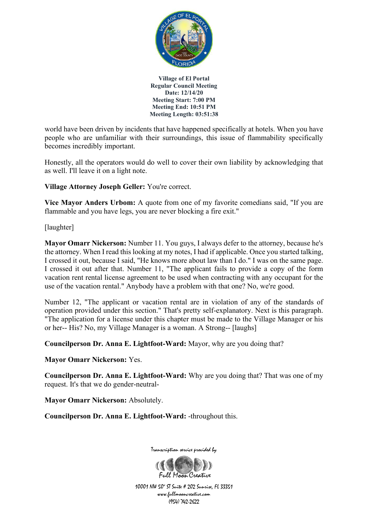

world have been driven by incidents that have happened specifically at hotels. When you have people who are unfamiliar with their surroundings, this issue of flammability specifically becomes incredibly important.

Honestly, all the operators would do well to cover their own liability by acknowledging that as well. I'll leave it on a light note.

**Village Attorney Joseph Geller:** You're correct.

**Vice Mayor Anders Urbom:** A quote from one of my favorite comedians said, "If you are flammable and you have legs, you are never blocking a fire exit."

[laughter]

**Mayor Omarr Nickerson:** Number 11. You guys, I always defer to the attorney, because he's the attorney. When I read this looking at my notes, I had if applicable. Once you started talking, I crossed it out, because I said, "He knows more about law than I do." I was on the same page. I crossed it out after that. Number 11, "The applicant fails to provide a copy of the form vacation rent rental license agreement to be used when contracting with any occupant for the use of the vacation rental." Anybody have a problem with that one? No, we're good.

Number 12, "The applicant or vacation rental are in violation of any of the standards of operation provided under this section." That's pretty self-explanatory. Next is this paragraph. "The application for a license under this chapter must be made to the Village Manager or his or her-- His? No, my Village Manager is a woman. A Strong-- [laughs]

**Councilperson Dr. Anna E. Lightfoot-Ward:** Mayor, why are you doing that?

**Mayor Omarr Nickerson:** Yes.

**Councilperson Dr. Anna E. Lightfoot-Ward:** Why are you doing that? That was one of my request. It's that we do gender-neutral-

**Mayor Omarr Nickerson:** Absolutely.

**Councilperson Dr. Anna E. Lightfoot-Ward:** -throughout this.



Transcription service provided by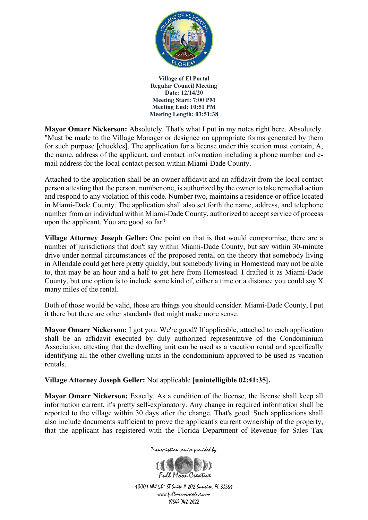

**Mayor Omarr Nickerson:** Absolutely. That's what I put in my notes right here. Absolutely. "Must be made to the Village Manager or designee on appropriate forms generated by them for such purpose [chuckles]. The application for a license under this section must contain, A, the name, address of the applicant, and contact information including a phone number and email address for the local contact person within Miami-Dade County.

Attached to the application shall be an owner affidavit and an affidavit from the local contact person attesting that the person, number one, is authorized by the owner to take remedial action and respond to any violation of this code. Number two, maintains a residence or office located in Miami-Dade County. The application shall also set forth the name, address, and telephone number from an individual within Miami-Dade County, authorized to accept service of process upon the applicant. You are good so far?

**Village Attorney Joseph Geller:** One point on that is that would compromise, there are a number of jurisdictions that don't say within Miami-Dade County, but say within 30-minute drive under normal circumstances of the proposed rental on the theory that somebody living in Allendale could get here pretty quickly, but somebody living in Homestead may not be able to, that may be an hour and a half to get here from Homestead. I drafted it as Miami-Dade County, but one option is to include some kind of, either a time or a distance you could say X many miles of the rental.

Both of those would be valid, those are things you should consider. Miami-Dade County, I put it there but there are other standards that might make more sense.

**Mayor Omarr Nickerson:** I got you. We're good? If applicable, attached to each application shall be an affidavit executed by duly authorized representative of the Condominium Association, attesting that the dwelling unit can be used as a vacation rental and specifically identifying all the other dwelling units in the condominium approved to be used as vacation rentals.

## **Village Attorney Joseph Geller:** Not applicable **[unintelligible 02:41:35].**

**Mayor Omarr Nickerson:** Exactly. As a condition of the license, the license shall keep all information current, it's pretty self-explanatory. Any change in required information shall be reported to the village within 30 days after the change. That's good. Such applications shall also include documents sufficient to prove the applicant's current ownership of the property, that the applicant has registered with the Florida Department of Revenue for Sales Tax



10001 NW 50<sup>\*</sup> ST Suite # 202 Sunrise, FL 33351 www.fullmooncreative.com (954) 742-2622

Full Magn Creative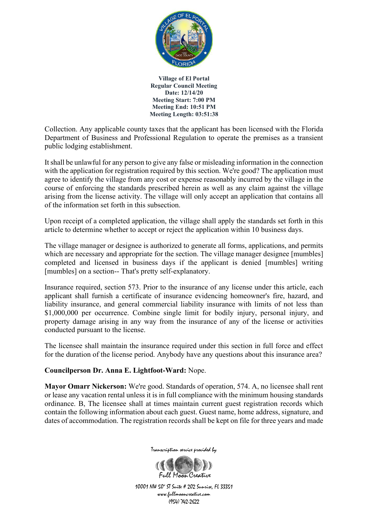

Collection. Any applicable county taxes that the applicant has been licensed with the Florida Department of Business and Professional Regulation to operate the premises as a transient public lodging establishment.

It shall be unlawful for any person to give any false or misleading information in the connection with the application for registration required by this section. We're good? The application must agree to identify the village from any cost or expense reasonably incurred by the village in the course of enforcing the standards prescribed herein as well as any claim against the village arising from the license activity. The village will only accept an application that contains all of the information set forth in this subsection.

Upon receipt of a completed application, the village shall apply the standards set forth in this article to determine whether to accept or reject the application within 10 business days.

The village manager or designee is authorized to generate all forms, applications, and permits which are necessary and appropriate for the section. The village manager designee [mumbles] completed and licensed in business days if the applicant is denied [mumbles] writing [mumbles] on a section-- That's pretty self-explanatory.

Insurance required, section 573. Prior to the insurance of any license under this article, each applicant shall furnish a certificate of insurance evidencing homeowner's fire, hazard, and liability insurance, and general commercial liability insurance with limits of not less than \$1,000,000 per occurrence. Combine single limit for bodily injury, personal injury, and property damage arising in any way from the insurance of any of the license or activities conducted pursuant to the license.

The licensee shall maintain the insurance required under this section in full force and effect for the duration of the license period. Anybody have any questions about this insurance area?

## **Councilperson Dr. Anna E. Lightfoot-Ward:** Nope.

**Mayor Omarr Nickerson:** We're good. Standards of operation, 574. A, no licensee shall rent or lease any vacation rental unless it is in full compliance with the minimum housing standards ordinance. B, The licensee shall at times maintain current guest registration records which contain the following information about each guest. Guest name, home address, signature, and dates of accommodation. The registration records shall be kept on file for three years and made



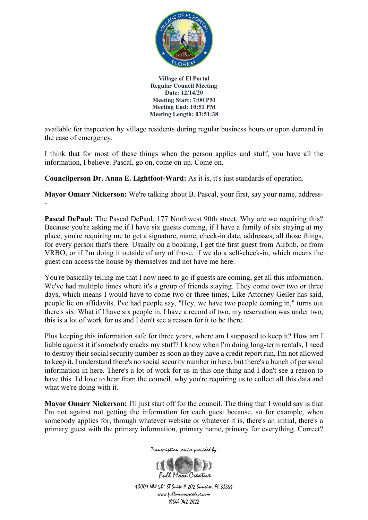

available for inspection by village residents during regular business hours or upon demand in the case of emergency.

I think that for most of these things when the person applies and stuff, you have all the information, I believe. Pascal, go on, come on up. Come on.

**Councilperson Dr. Anna E. Lightfoot-Ward:** As it is, it's just standards of operation.

**Mayor Omarr Nickerson:** We're talking about B. Pascal, your first, say your name, address- -

**Pascal DePaul:** The Pascal DePaul, 177 Northwest 90th street. Why are we requiring this? Because you're asking me if I have six guests coming, if I have a family of six staying at my place, you're requiring me to get a signature, name, check-in date, addresses, all those things, for every person that's there. Usually on a booking, I get the first guest from Airbnb, or from VRBO, or if I'm doing it outside of any of those, if we do a self-check-in, which means the guest can access the house by themselves and not have me here.

You're basically telling me that I now need to go if guests are coming, get all this information. We've had multiple times where it's a group of friends staying. They come over two or three days, which means I would have to come two or three times, Like Attorney Geller has said, people lie on affidavits. I've had people say, "Hey, we have two people coming in," turns out there's six. What if I have six people in, I have a record of two, my reservation was under two, this is a lot of work for us and I don't see a reason for it to be there.

Plus keeping this information safe for three years, where am I supposed to keep it? How am I liable against it if somebody cracks my stuff? I know when I'm doing long-term rentals, I need to destroy their social security number as soon as they have a credit report run, I'm not allowed to keep it. I understand there's no social security number in here, but there's a bunch of personal information in here. There's a lot of work for us in this one thing and I don't see a reason to have this. I'd love to hear from the council, why you're requiring us to collect all this data and what we're doing with it.

**Mayor Omarr Nickerson:** I'll just start off for the council. The thing that I would say is that I'm not against not getting the information for each guest because, so for example, when somebody applies for, through whatever website or whatever it is, there's an initial, there's a primary guest with the primary information, primary name, primary for everything. Correct?

Transcription service provided by

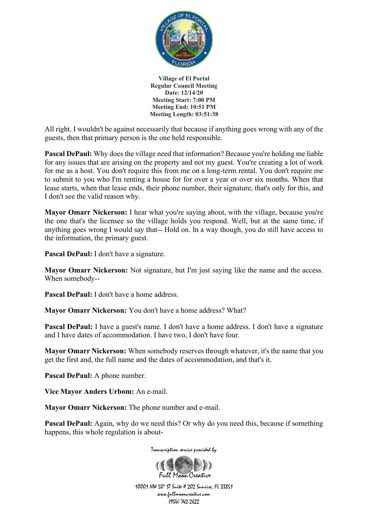

All right. I wouldn't be against necessarily that because if anything goes wrong with any of the guests, then that primary person is the one held responsible.

**Pascal DePaul:** Why does the village need that information? Because you're holding me liable for any issues that are arising on the property and not my guest. You're creating a lot of work for me as a host. You don't require this from me on a long-term rental. You don't require me to submit to you who I'm renting a house for for over a year or over six months. When that lease starts, when that lease ends, their phone number, their signature, that's only for this, and I don't see the valid reason why.

**Mayor Omarr Nickerson:** I hear what you're saying about, with the village, because you're the one that's the licensee so the village holds you respond. Well, but at the same time, if anything goes wrong I would say that-- Hold on. In a way though, you do still have access to the information, the primary guest.

**Pascal DePaul:** I don't have a signature.

**Mayor Omarr Nickerson:** Not signature, but I'm just saying like the name and the access. When somebody--

**Pascal DePaul:** I don't have a home address.

**Mayor Omarr Nickerson:** You don't have a home address? What?

**Pascal DePaul:** I have a guest's name. I don't have a home address. I don't have a signature and I have dates of accommodation. I have two, I don't have four.

**Mayor Omarr Nickerson:** When somebody reserves through whatever, it's the name that you get the first and, the full name and the dates of accommodation, and that's it.

**Pascal DePaul:** A phone number.

**Vice Mayor Anders Urbom:** An e-mail.

**Mayor Omarr Nickerson:** The phone number and e-mail.

**Pascal DePaul:** Again, why do we need this? Or why do you need this, because if something happens, this whole regulation is about-



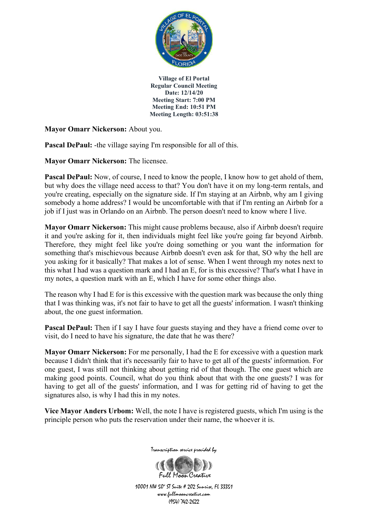

**Mayor Omarr Nickerson:** About you.

**Pascal DePaul:** -the village saying I'm responsible for all of this.

**Mayor Omarr Nickerson:** The licensee.

Pascal DePaul: Now, of course, I need to know the people, I know how to get ahold of them, but why does the village need access to that? You don't have it on my long-term rentals, and you're creating, especially on the signature side. If I'm staying at an Airbnb, why am I giving somebody a home address? I would be uncomfortable with that if I'm renting an Airbnb for a job if I just was in Orlando on an Airbnb. The person doesn't need to know where I live.

**Mayor Omarr Nickerson:** This might cause problems because, also if Airbnb doesn't require it and you're asking for it, then individuals might feel like you're going far beyond Airbnb. Therefore, they might feel like you're doing something or you want the information for something that's mischievous because Airbnb doesn't even ask for that, SO why the hell are you asking for it basically? That makes a lot of sense. When I went through my notes next to this what I had was a question mark and I had an E, for is this excessive? That's what I have in my notes, a question mark with an E, which I have for some other things also.

The reason why I had E for is this excessive with the question mark was because the only thing that I was thinking was, it's not fair to have to get all the guests' information. I wasn't thinking about, the one guest information.

**Pascal DePaul:** Then if I say I have four guests staying and they have a friend come over to visit, do I need to have his signature, the date that he was there?

**Mayor Omarr Nickerson:** For me personally, I had the E for excessive with a question mark because I didn't think that it's necessarily fair to have to get all of the guests' information. For one guest, I was still not thinking about getting rid of that though. The one guest which are making good points. Council, what do you think about that with the one guests? I was for having to get all of the guests' information, and I was for getting rid of having to get the signatures also, is why I had this in my notes.

**Vice Mayor Anders Urbom:** Well, the note I have is registered guests, which I'm using is the principle person who puts the reservation under their name, the whoever it is.



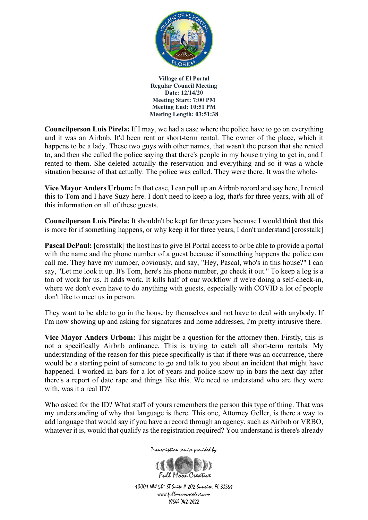

**Councilperson Luis Pirela:** If I may, we had a case where the police have to go on everything and it was an Airbnb. It'd been rent or short-term rental. The owner of the place, which it happens to be a lady. These two guys with other names, that wasn't the person that she rented to, and then she called the police saying that there's people in my house trying to get in, and I rented to them. She deleted actually the reservation and everything and so it was a whole situation because of that actually. The police was called. They were there. It was the whole-

**Vice Mayor Anders Urbom:** In that case, I can pull up an Airbnb record and say here, I rented this to Tom and I have Suzy here. I don't need to keep a log, that's for three years, with all of this information on all of these guests.

**Councilperson Luis Pirela:** It shouldn't be kept for three years because I would think that this is more for if something happens, or why keep it for three years, I don't understand [crosstalk]

**Pascal DePaul:** [crosstalk] the host has to give El Portal access to or be able to provide a portal with the name and the phone number of a guest because if something happens the police can call me. They have my number, obviously, and say, "Hey, Pascal, who's in this house?" I can say, "Let me look it up. It's Tom, here's his phone number, go check it out." To keep a log is a ton of work for us. It adds work. It kills half of our workflow if we're doing a self-check-in, where we don't even have to do anything with guests, especially with COVID a lot of people don't like to meet us in person.

They want to be able to go in the house by themselves and not have to deal with anybody. If I'm now showing up and asking for signatures and home addresses, I'm pretty intrusive there.

**Vice Mayor Anders Urbom:** This might be a question for the attorney then. Firstly, this is not a specifically Airbnb ordinance. This is trying to catch all short-term rentals. My understanding of the reason for this piece specifically is that if there was an occurrence, there would be a starting point of someone to go and talk to you about an incident that might have happened. I worked in bars for a lot of years and police show up in bars the next day after there's a report of date rape and things like this. We need to understand who are they were with, was it a real ID?

Who asked for the ID? What staff of yours remembers the person this type of thing. That was my understanding of why that language is there. This one, Attorney Geller, is there a way to add language that would say if you have a record through an agency, such as Airbnb or VRBO, whatever it is, would that qualify as the registration required? You understand is there's already

Transcription service provided by

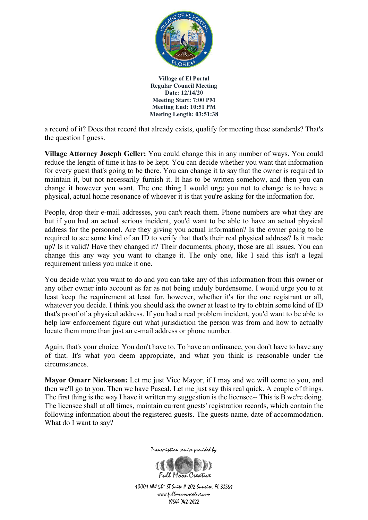

a record of it? Does that record that already exists, qualify for meeting these standards? That's the question I guess.

**Village Attorney Joseph Geller:** You could change this in any number of ways. You could reduce the length of time it has to be kept. You can decide whether you want that information for every guest that's going to be there. You can change it to say that the owner is required to maintain it, but not necessarily furnish it. It has to be written somehow, and then you can change it however you want. The one thing I would urge you not to change is to have a physical, actual home resonance of whoever it is that you're asking for the information for.

People, drop their e-mail addresses, you can't reach them. Phone numbers are what they are but if you had an actual serious incident, you'd want to be able to have an actual physical address for the personnel. Are they giving you actual information? Is the owner going to be required to see some kind of an ID to verify that that's their real physical address? Is it made up? Is it valid? Have they changed it? Their documents, phony, those are all issues. You can change this any way you want to change it. The only one, like I said this isn't a legal requirement unless you make it one.

You decide what you want to do and you can take any of this information from this owner or any other owner into account as far as not being unduly burdensome. I would urge you to at least keep the requirement at least for, however, whether it's for the one registrant or all, whatever you decide. I think you should ask the owner at least to try to obtain some kind of ID that's proof of a physical address. If you had a real problem incident, you'd want to be able to help law enforcement figure out what jurisdiction the person was from and how to actually locate them more than just an e-mail address or phone number.

Again, that's your choice. You don't have to. To have an ordinance, you don't have to have any of that. It's what you deem appropriate, and what you think is reasonable under the circumstances.

**Mayor Omarr Nickerson:** Let me just Vice Mayor, if I may and we will come to you, and then we'll go to you. Then we have Pascal. Let me just say this real quick. A couple of things. The first thing is the way I have it written my suggestion is the licensee-- This is B we're doing. The licensee shall at all times, maintain current guests' registration records, which contain the following information about the registered guests. The guests name, date of accommodation. What do I want to say?



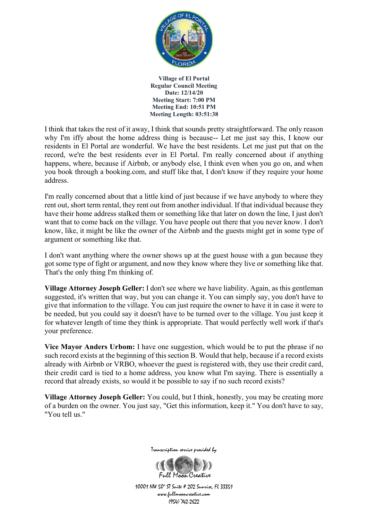

I think that takes the rest of it away, I think that sounds pretty straightforward. The only reason why I'm iffy about the home address thing is because-- Let me just say this, I know our residents in El Portal are wonderful. We have the best residents. Let me just put that on the record, we're the best residents ever in El Portal. I'm really concerned about if anything happens, where, because if Airbnb, or anybody else, I think even when you go on, and when you book through a booking.com, and stuff like that, I don't know if they require your home address.

I'm really concerned about that a little kind of just because if we have anybody to where they rent out, short term rental, they rent out from another individual. If that individual because they have their home address stalked them or something like that later on down the line, I just don't want that to come back on the village. You have people out there that you never know. I don't know, like, it might be like the owner of the Airbnb and the guests might get in some type of argument or something like that.

I don't want anything where the owner shows up at the guest house with a gun because they got some type of fight or argument, and now they know where they live or something like that. That's the only thing I'm thinking of.

**Village Attorney Joseph Geller:** I don't see where we have liability. Again, as this gentleman suggested, it's written that way, but you can change it. You can simply say, you don't have to give that information to the village. You can just require the owner to have it in case it were to be needed, but you could say it doesn't have to be turned over to the village. You just keep it for whatever length of time they think is appropriate. That would perfectly well work if that's your preference.

**Vice Mayor Anders Urbom:** I have one suggestion, which would be to put the phrase if no such record exists at the beginning of this section B. Would that help, because if a record exists already with Airbnb or VRBO, whoever the guest is registered with, they use their credit card, their credit card is tied to a home address, you know what I'm saying. There is essentially a record that already exists, so would it be possible to say if no such record exists?

**Village Attorney Joseph Geller:** You could, but I think, honestly, you may be creating more of a burden on the owner. You just say, "Get this information, keep it." You don't have to say, "You tell us."



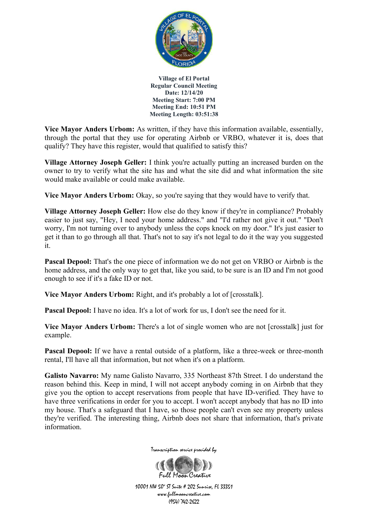

**Vice Mayor Anders Urbom:** As written, if they have this information available, essentially, through the portal that they use for operating Airbnb or VRBO, whatever it is, does that qualify? They have this register, would that qualified to satisfy this?

**Village Attorney Joseph Geller:** I think you're actually putting an increased burden on the owner to try to verify what the site has and what the site did and what information the site would make available or could make available.

Vice Mayor Anders Urbom: Okay, so you're saying that they would have to verify that.

**Village Attorney Joseph Geller:** How else do they know if they're in compliance? Probably easier to just say, "Hey, I need your home address." and "I'd rather not give it out." "Don't worry, I'm not turning over to anybody unless the cops knock on my door." It's just easier to get it than to go through all that. That's not to say it's not legal to do it the way you suggested it.

**Pascal Depool:** That's the one piece of information we do not get on VRBO or Airbnb is the home address, and the only way to get that, like you said, to be sure is an ID and I'm not good enough to see if it's a fake ID or not.

**Vice Mayor Anders Urbom:** Right, and it's probably a lot of [crosstalk].

**Pascal Depool:** I have no idea. It's a lot of work for us, I don't see the need for it.

**Vice Mayor Anders Urbom:** There's a lot of single women who are not [crosstalk] just for example.

**Pascal Depool:** If we have a rental outside of a platform, like a three-week or three-month rental, I'll have all that information, but not when it's on a platform.

**Galisto Navarro:** My name Galisto Navarro, 335 Northeast 87th Street. I do understand the reason behind this. Keep in mind, I will not accept anybody coming in on Airbnb that they give you the option to accept reservations from people that have ID-verified. They have to have three verifications in order for you to accept. I won't accept anybody that has no ID into my house. That's a safeguard that I have, so those people can't even see my property unless they're verified. The interesting thing, Airbnb does not share that information, that's private information.



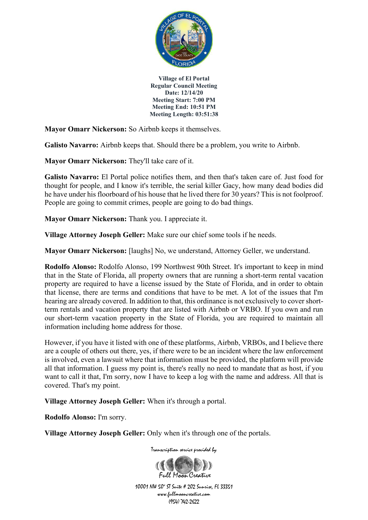

**Mayor Omarr Nickerson:** So Airbnb keeps it themselves.

**Galisto Navarro:** Airbnb keeps that. Should there be a problem, you write to Airbnb.

**Mayor Omarr Nickerson:** They'll take care of it.

**Galisto Navarro:** El Portal police notifies them, and then that's taken care of. Just food for thought for people, and I know it's terrible, the serial killer Gacy, how many dead bodies did he have under his floorboard of his house that he lived there for 30 years? This is not foolproof. People are going to commit crimes, people are going to do bad things.

**Mayor Omarr Nickerson:** Thank you. I appreciate it.

**Village Attorney Joseph Geller:** Make sure our chief some tools if he needs.

**Mayor Omarr Nickerson:** [laughs] No, we understand, Attorney Geller, we understand.

**Rodolfo Alonso:** Rodolfo Alonso, 199 Northwest 90th Street. It's important to keep in mind that in the State of Florida, all property owners that are running a short-term rental vacation property are required to have a license issued by the State of Florida, and in order to obtain that license, there are terms and conditions that have to be met. A lot of the issues that I'm hearing are already covered. In addition to that, this ordinance is not exclusively to cover shortterm rentals and vacation property that are listed with Airbnb or VRBO. If you own and run our short-term vacation property in the State of Florida, you are required to maintain all information including home address for those.

However, if you have it listed with one of these platforms, Airbnb, VRBOs, and I believe there are a couple of others out there, yes, if there were to be an incident where the law enforcement is involved, even a lawsuit where that information must be provided, the platform will provide all that information. I guess my point is, there's really no need to mandate that as host, if you want to call it that, I'm sorry, now I have to keep a log with the name and address. All that is covered. That's my point.

**Village Attorney Joseph Geller:** When it's through a portal.

**Rodolfo Alonso:** I'm sorry.

**Village Attorney Joseph Geller:** Only when it's through one of the portals.

Transcription service provided by

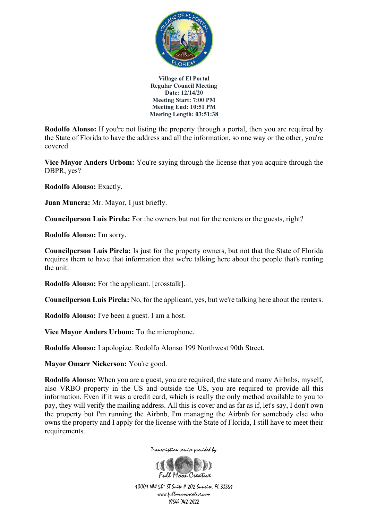

**Rodolfo Alonso:** If you're not listing the property through a portal, then you are required by the State of Florida to have the address and all the information, so one way or the other, you're covered.

**Vice Mayor Anders Urbom:** You're saying through the license that you acquire through the DBPR, yes?

**Rodolfo Alonso:** Exactly.

**Juan Munera:** Mr. Mayor, I just briefly.

**Councilperson Luis Pirela:** For the owners but not for the renters or the guests, right?

**Rodolfo Alonso:** I'm sorry.

**Councilperson Luis Pirela:** Is just for the property owners, but not that the State of Florida requires them to have that information that we're talking here about the people that's renting the unit.

**Rodolfo Alonso:** For the applicant. [crosstalk].

**Councilperson Luis Pirela:** No, for the applicant, yes, but we're talking here about the renters.

**Rodolfo Alonso:** I've been a guest. I am a host.

**Vice Mayor Anders Urbom:** To the microphone.

**Rodolfo Alonso:** I apologize. Rodolfo Alonso 199 Northwest 90th Street.

**Mayor Omarr Nickerson:** You're good.

**Rodolfo Alonso:** When you are a guest, you are required, the state and many Airbnbs, myself, also VRBO property in the US and outside the US, you are required to provide all this information. Even if it was a credit card, which is really the only method available to you to pay, they will verify the mailing address. All this is cover and as far as if, let's say, I don't own the property but I'm running the Airbnb, I'm managing the Airbnb for somebody else who owns the property and I apply for the license with the State of Florida, I still have to meet their requirements.



Transcription service provided by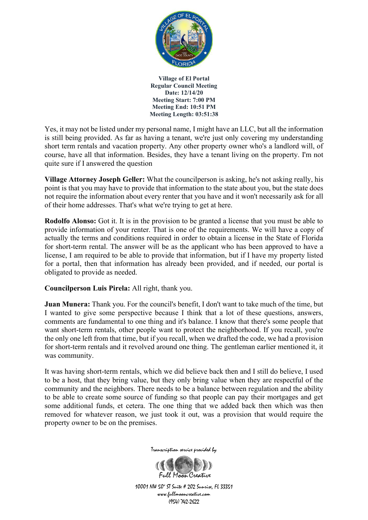

Yes, it may not be listed under my personal name, I might have an LLC, but all the information is still being provided. As far as having a tenant, we're just only covering my understanding short term rentals and vacation property. Any other property owner who's a landlord will, of course, have all that information. Besides, they have a tenant living on the property. I'm not quite sure if I answered the question

**Village Attorney Joseph Geller:** What the councilperson is asking, he's not asking really, his point is that you may have to provide that information to the state about you, but the state does not require the information about every renter that you have and it won't necessarily ask for all of their home addresses. That's what we're trying to get at here.

**Rodolfo Alonso:** Got it. It is in the provision to be granted a license that you must be able to provide information of your renter. That is one of the requirements. We will have a copy of actually the terms and conditions required in order to obtain a license in the State of Florida for short-term rental. The answer will be as the applicant who has been approved to have a license, I am required to be able to provide that information, but if I have my property listed for a portal, then that information has already been provided, and if needed, our portal is obligated to provide as needed.

**Councilperson Luis Pirela:** All right, thank you.

**Juan Munera:** Thank you. For the council's benefit, I don't want to take much of the time, but I wanted to give some perspective because I think that a lot of these questions, answers, comments are fundamental to one thing and it's balance. I know that there's some people that want short-term rentals, other people want to protect the neighborhood. If you recall, you're the only one left from that time, but if you recall, when we drafted the code, we had a provision for short-term rentals and it revolved around one thing. The gentleman earlier mentioned it, it was community.

It was having short-term rentals, which we did believe back then and I still do believe, I used to be a host, that they bring value, but they only bring value when they are respectful of the community and the neighbors. There needs to be a balance between regulation and the ability to be able to create some source of funding so that people can pay their mortgages and get some additional funds, et cetera. The one thing that we added back then which was then removed for whatever reason, we just took it out, was a provision that would require the property owner to be on the premises.



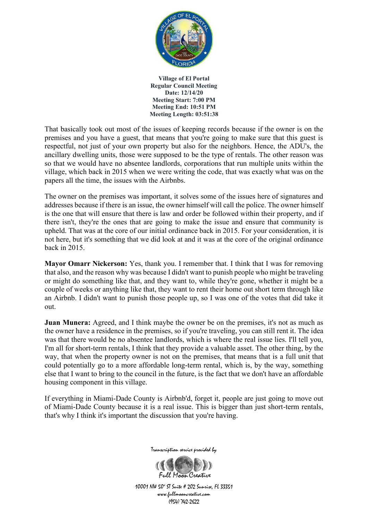

That basically took out most of the issues of keeping records because if the owner is on the premises and you have a guest, that means that you're going to make sure that this guest is respectful, not just of your own property but also for the neighbors. Hence, the ADU's, the ancillary dwelling units, those were supposed to be the type of rentals. The other reason was so that we would have no absentee landlords, corporations that run multiple units within the village, which back in 2015 when we were writing the code, that was exactly what was on the papers all the time, the issues with the Airbnbs.

The owner on the premises was important, it solves some of the issues here of signatures and addresses because if there is an issue, the owner himself will call the police. The owner himself is the one that will ensure that there is law and order be followed within their property, and if there isn't, they're the ones that are going to make the issue and ensure that community is upheld. That was at the core of our initial ordinance back in 2015. For your consideration, it is not here, but it's something that we did look at and it was at the core of the original ordinance back in 2015.

**Mayor Omarr Nickerson:** Yes, thank you. I remember that. I think that I was for removing that also, and the reason why was because I didn't want to punish people who might be traveling or might do something like that, and they want to, while they're gone, whether it might be a couple of weeks or anything like that, they want to rent their home out short term through like an Airbnb. I didn't want to punish those people up, so I was one of the votes that did take it out.

**Juan Munera:** Agreed, and I think maybe the owner be on the premises, it's not as much as the owner have a residence in the premises, so if you're traveling, you can still rent it. The idea was that there would be no absentee landlords, which is where the real issue lies. I'll tell you, I'm all for short-term rentals, I think that they provide a valuable asset. The other thing, by the way, that when the property owner is not on the premises, that means that is a full unit that could potentially go to a more affordable long-term rental, which is, by the way, something else that I want to bring to the council in the future, is the fact that we don't have an affordable housing component in this village.

If everything in Miami-Dade County is Airbnb'd, forget it, people are just going to move out of Miami-Dade County because it is a real issue. This is bigger than just short-term rentals, that's why I think it's important the discussion that you're having.



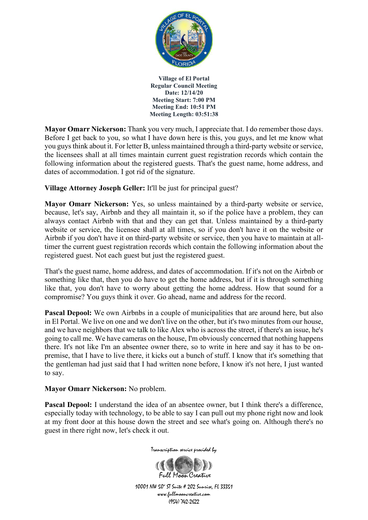

**Mayor Omarr Nickerson:** Thank you very much, I appreciate that. I do remember those days. Before I get back to you, so what I have down here is this, you guys, and let me know what you guys think about it. For letter B, unless maintained through a third-party website or service, the licensees shall at all times maintain current guest registration records which contain the following information about the registered guests. That's the guest name, home address, and dates of accommodation. I got rid of the signature.

**Village Attorney Joseph Geller:** It'll be just for principal guest?

**Mayor Omarr Nickerson:** Yes, so unless maintained by a third-party website or service, because, let's say, Airbnb and they all maintain it, so if the police have a problem, they can always contact Airbnb with that and they can get that. Unless maintained by a third-party website or service, the licensee shall at all times, so if you don't have it on the website or Airbnb if you don't have it on third-party website or service, then you have to maintain at alltimer the current guest registration records which contain the following information about the registered guest. Not each guest but just the registered guest.

That's the guest name, home address, and dates of accommodation. If it's not on the Airbnb or something like that, then you do have to get the home address, but if it is through something like that, you don't have to worry about getting the home address. How that sound for a compromise? You guys think it over. Go ahead, name and address for the record.

Pascal Depool: We own Airbnbs in a couple of municipalities that are around here, but also in El Portal. We live on one and we don't live on the other, but it's two minutes from our house, and we have neighbors that we talk to like Alex who is across the street, if there's an issue, he's going to call me. We have cameras on the house, I'm obviously concerned that nothing happens there. It's not like I'm an absentee owner there, so to write in here and say it has to be onpremise, that I have to live there, it kicks out a bunch of stuff. I know that it's something that the gentleman had just said that I had written none before, I know it's not here, I just wanted to say.

## **Mayor Omarr Nickerson:** No problem.

**Pascal Depool:** I understand the idea of an absentee owner, but I think there's a difference, especially today with technology, to be able to say I can pull out my phone right now and look at my front door at this house down the street and see what's going on. Although there's no guest in there right now, let's check it out.



Transcription service provided by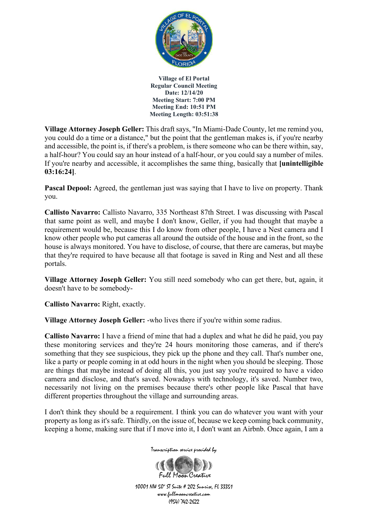

**Village Attorney Joseph Geller:** This draft says, "In Miami-Dade County, let me remind you, you could do a time or a distance," but the point that the gentleman makes is, if you're nearby and accessible, the point is, if there's a problem, is there someone who can be there within, say, a half-hour? You could say an hour instead of a half-hour, or you could say a number of miles. If you're nearby and accessible, it accomplishes the same thing, basically that **[unintelligible 03:16:24]**.

**Pascal Depool:** Agreed, the gentleman just was saying that I have to live on property. Thank you.

**Callisto Navarro:** Callisto Navarro, 335 Northeast 87th Street. I was discussing with Pascal that same point as well, and maybe I don't know, Geller, if you had thought that maybe a requirement would be, because this I do know from other people, I have a Nest camera and I know other people who put cameras all around the outside of the house and in the front, so the house is always monitored. You have to disclose, of course, that there are cameras, but maybe that they're required to have because all that footage is saved in Ring and Nest and all these portals.

**Village Attorney Joseph Geller:** You still need somebody who can get there, but, again, it doesn't have to be somebody-

**Callisto Navarro:** Right, exactly.

**Village Attorney Joseph Geller:** -who lives there if you're within some radius.

**Callisto Navarro:** I have a friend of mine that had a duplex and what he did he paid, you pay these monitoring services and they're 24 hours monitoring those cameras, and if there's something that they see suspicious, they pick up the phone and they call. That's number one, like a party or people coming in at odd hours in the night when you should be sleeping. Those are things that maybe instead of doing all this, you just say you're required to have a video camera and disclose, and that's saved. Nowadays with technology, it's saved. Number two, necessarily not living on the premises because there's other people like Pascal that have different properties throughout the village and surrounding areas.

I don't think they should be a requirement. I think you can do whatever you want with your property as long as it's safe. Thirdly, on the issue of, because we keep coming back community, keeping a home, making sure that if I move into it, I don't want an Airbnb. Once again, I am a

Transcription service provided by

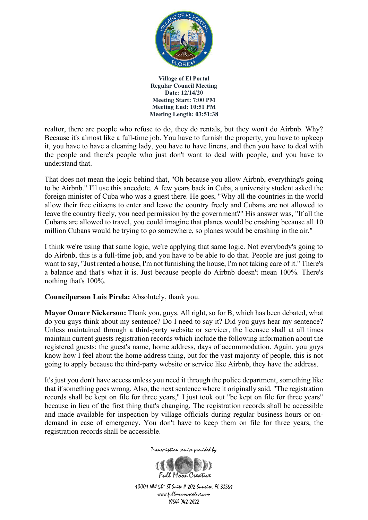

realtor, there are people who refuse to do, they do rentals, but they won't do Airbnb. Why? Because it's almost like a full-time job. You have to furnish the property, you have to upkeep it, you have to have a cleaning lady, you have to have linens, and then you have to deal with the people and there's people who just don't want to deal with people, and you have to understand that.

That does not mean the logic behind that, "Oh because you allow Airbnb, everything's going to be Airbnb." I'll use this anecdote. A few years back in Cuba, a university student asked the foreign minister of Cuba who was a guest there. He goes, "Why all the countries in the world allow their free citizens to enter and leave the country freely and Cubans are not allowed to leave the country freely, you need permission by the government?" His answer was, "If all the Cubans are allowed to travel, you could imagine that planes would be crashing because all 10 million Cubans would be trying to go somewhere, so planes would be crashing in the air."

I think we're using that same logic, we're applying that same logic. Not everybody's going to do Airbnb, this is a full-time job, and you have to be able to do that. People are just going to want to say, "Just rented a house, I'm not furnishing the house, I'm not taking care of it." There's a balance and that's what it is. Just because people do Airbnb doesn't mean 100%. There's nothing that's 100%.

## **Councilperson Luis Pirela:** Absolutely, thank you.

**Mayor Omarr Nickerson:** Thank you, guys. All right, so for B, which has been debated, what do you guys think about my sentence? Do I need to say it? Did you guys hear my sentence? Unless maintained through a third-party website or servicer, the licensee shall at all times maintain current guests registration records which include the following information about the registered guests; the guest's name, home address, days of accommodation. Again, you guys know how I feel about the home address thing, but for the vast majority of people, this is not going to apply because the third-party website or service like Airbnb, they have the address.

It's just you don't have access unless you need it through the police department, something like that if something goes wrong. Also, the next sentence where it originally said, "The registration records shall be kept on file for three years," I just took out "be kept on file for three years" because in lieu of the first thing that's changing. The registration records shall be accessible and made available for inspection by village officials during regular business hours or ondemand in case of emergency. You don't have to keep them on file for three years, the registration records shall be accessible.



Full Magn Creative 10001 NW 50<sup>\*</sup> ST Suite # 202 Sunrise, FL 33351 www.fullmooncreative.com (954) 742-2622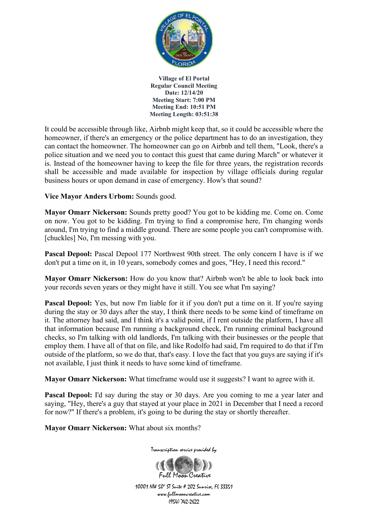

It could be accessible through like, Airbnb might keep that, so it could be accessible where the homeowner, if there's an emergency or the police department has to do an investigation, they can contact the homeowner. The homeowner can go on Airbnb and tell them, "Look, there's a police situation and we need you to contact this guest that came during March" or whatever it is. Instead of the homeowner having to keep the file for three years, the registration records shall be accessible and made available for inspection by village officials during regular business hours or upon demand in case of emergency. How's that sound?

**Vice Mayor Anders Urbom:** Sounds good.

**Mayor Omarr Nickerson:** Sounds pretty good? You got to be kidding me. Come on. Come on now. You got to be kidding. I'm trying to find a compromise here, I'm changing words around, I'm trying to find a middle ground. There are some people you can't compromise with. [chuckles] No, I'm messing with you.

Pascal Depool: Pascal Depool 177 Northwest 90th street. The only concern I have is if we don't put a time on it, in 10 years, somebody comes and goes, "Hey, I need this record."

**Mayor Omarr Nickerson:** How do you know that? Airbnb won't be able to look back into your records seven years or they might have it still. You see what I'm saying?

**Pascal Depool:** Yes, but now I'm liable for it if you don't put a time on it. If you're saying during the stay or 30 days after the stay, I think there needs to be some kind of timeframe on it. The attorney had said, and I think it's a valid point, if I rent outside the platform, I have all that information because I'm running a background check, I'm running criminal background checks, so I'm talking with old landlords, I'm talking with their businesses or the people that employ them. I have all of that on file, and like Rodolfo had said, I'm required to do that if I'm outside of the platform, so we do that, that's easy. I love the fact that you guys are saying if it's not available, I just think it needs to have some kind of timeframe.

**Mayor Omarr Nickerson:** What timeframe would use it suggests? I want to agree with it.

**Pascal Depool:** I'd say during the stay or 30 days. Are you coming to me a year later and saying, "Hey, there's a guy that stayed at your place in 2021 in December that I need a record for now?" If there's a problem, it's going to be during the stay or shortly thereafter.

**Mayor Omarr Nickerson:** What about six months?

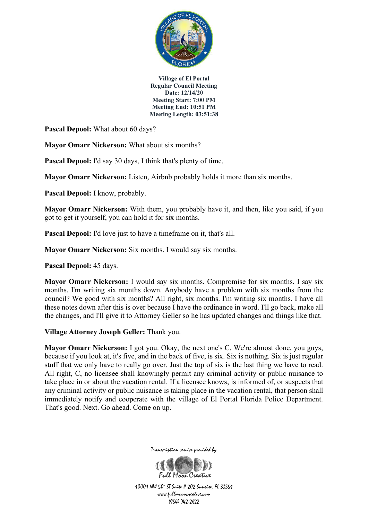

Pascal Depool: What about 60 days?

**Mayor Omarr Nickerson:** What about six months?

**Pascal Depool:** I'd say 30 days, I think that's plenty of time.

**Mayor Omarr Nickerson:** Listen, Airbnb probably holds it more than six months.

Pascal Depool: I know, probably.

**Mayor Omarr Nickerson:** With them, you probably have it, and then, like you said, if you got to get it yourself, you can hold it for six months.

**Pascal Depool:** I'd love just to have a timeframe on it, that's all.

**Mayor Omarr Nickerson:** Six months. I would say six months.

**Pascal Depool:** 45 days.

**Mayor Omarr Nickerson:** I would say six months. Compromise for six months. I say six months. I'm writing six months down. Anybody have a problem with six months from the council? We good with six months? All right, six months. I'm writing six months. I have all these notes down after this is over because I have the ordinance in word. I'll go back, make all the changes, and I'll give it to Attorney Geller so he has updated changes and things like that.

**Village Attorney Joseph Geller:** Thank you.

**Mayor Omarr Nickerson:** I got you. Okay, the next one's C. We're almost done, you guys, because if you look at, it's five, and in the back of five, is six. Six is nothing. Six is just regular stuff that we only have to really go over. Just the top of six is the last thing we have to read. All right, C, no licensee shall knowingly permit any criminal activity or public nuisance to take place in or about the vacation rental. If a licensee knows, is informed of, or suspects that any criminal activity or public nuisance is taking place in the vacation rental, that person shall immediately notify and cooperate with the village of El Portal Florida Police Department. That's good. Next. Go ahead. Come on up.



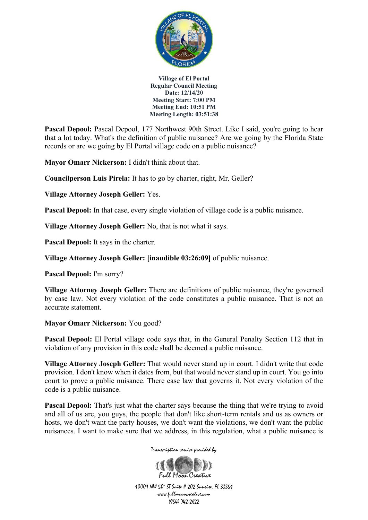

Pascal Depool: Pascal Depool, 177 Northwest 90th Street. Like I said, you're going to hear that a lot today. What's the definition of public nuisance? Are we going by the Florida State records or are we going by El Portal village code on a public nuisance?

**Mayor Omarr Nickerson:** I didn't think about that.

**Councilperson Luis Pirela:** It has to go by charter, right, Mr. Geller?

**Village Attorney Joseph Geller:** Yes.

**Pascal Depool:** In that case, every single violation of village code is a public nuisance.

**Village Attorney Joseph Geller:** No, that is not what it says.

**Pascal Depool:** It says in the charter.

**Village Attorney Joseph Geller: [inaudible 03:26:09]** of public nuisance.

**Pascal Depool:** I'm sorry?

**Village Attorney Joseph Geller:** There are definitions of public nuisance, they're governed by case law. Not every violation of the code constitutes a public nuisance. That is not an accurate statement.

## **Mayor Omarr Nickerson:** You good?

**Pascal Depool:** El Portal village code says that, in the General Penalty Section 112 that in violation of any provision in this code shall be deemed a public nuisance.

**Village Attorney Joseph Geller:** That would never stand up in court. I didn't write that code provision. I don't know when it dates from, but that would never stand up in court. You go into court to prove a public nuisance. There case law that governs it. Not every violation of the code is a public nuisance.

**Pascal Depool:** That's just what the charter says because the thing that we're trying to avoid and all of us are, you guys, the people that don't like short-term rentals and us as owners or hosts, we don't want the party houses, we don't want the violations, we don't want the public nuisances. I want to make sure that we address, in this regulation, what a public nuisance is

Transcription service provided by

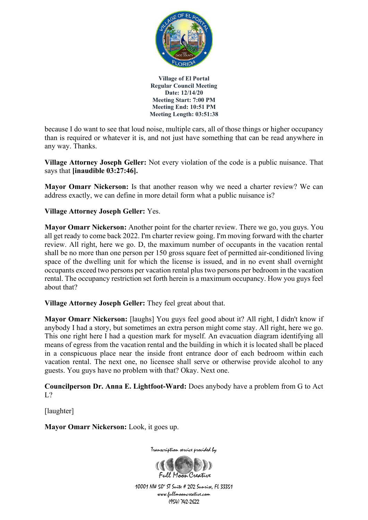

because I do want to see that loud noise, multiple cars, all of those things or higher occupancy than is required or whatever it is, and not just have something that can be read anywhere in any way. Thanks.

**Village Attorney Joseph Geller:** Not every violation of the code is a public nuisance. That says that **[inaudible 03:27:46].**

**Mayor Omarr Nickerson:** Is that another reason why we need a charter review? We can address exactly, we can define in more detail form what a public nuisance is?

# **Village Attorney Joseph Geller:** Yes.

**Mayor Omarr Nickerson:** Another point for the charter review. There we go, you guys. You all get ready to come back 2022. I'm charter review going. I'm moving forward with the charter review. All right, here we go. D, the maximum number of occupants in the vacation rental shall be no more than one person per 150 gross square feet of permitted air-conditioned living space of the dwelling unit for which the license is issued, and in no event shall overnight occupants exceed two persons per vacation rental plus two persons per bedroom in the vacation rental. The occupancy restriction set forth herein is a maximum occupancy. How you guys feel about that?

**Village Attorney Joseph Geller:** They feel great about that.

**Mayor Omarr Nickerson:** [laughs] You guys feel good about it? All right, I didn't know if anybody I had a story, but sometimes an extra person might come stay. All right, here we go. This one right here I had a question mark for myself. An evacuation diagram identifying all means of egress from the vacation rental and the building in which it is located shall be placed in a conspicuous place near the inside front entrance door of each bedroom within each vacation rental. The next one, no licensee shall serve or otherwise provide alcohol to any guests. You guys have no problem with that? Okay. Next one.

**Councilperson Dr. Anna E. Lightfoot-Ward:** Does anybody have a problem from G to Act  $L^2$ 

[laughter]

**Mayor Omarr Nickerson:** Look, it goes up.



Transcription service provided by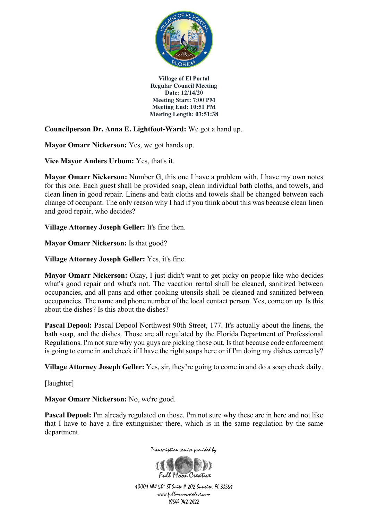

**Councilperson Dr. Anna E. Lightfoot-Ward:** We got a hand up.

**Mayor Omarr Nickerson:** Yes, we got hands up.

**Vice Mayor Anders Urbom:** Yes, that's it.

**Mayor Omarr Nickerson:** Number G, this one I have a problem with. I have my own notes for this one. Each guest shall be provided soap, clean individual bath cloths, and towels, and clean linen in good repair. Linens and bath cloths and towels shall be changed between each change of occupant. The only reason why I had if you think about this was because clean linen and good repair, who decides?

**Village Attorney Joseph Geller:** It's fine then.

**Mayor Omarr Nickerson:** Is that good?

**Village Attorney Joseph Geller:** Yes, it's fine.

**Mayor Omarr Nickerson:** Okay, I just didn't want to get picky on people like who decides what's good repair and what's not. The vacation rental shall be cleaned, sanitized between occupancies, and all pans and other cooking utensils shall be cleaned and sanitized between occupancies. The name and phone number of the local contact person. Yes, come on up. Is this about the dishes? Is this about the dishes?

Pascal Depool: Pascal Depool Northwest 90th Street, 177. It's actually about the linens, the bath soap, and the dishes. Those are all regulated by the Florida Department of Professional Regulations. I'm not sure why you guys are picking those out. Is that because code enforcement is going to come in and check if I have the right soaps here or if I'm doing my dishes correctly?

**Village Attorney Joseph Geller:** Yes, sir, they're going to come in and do a soap check daily.

[laughter]

**Mayor Omarr Nickerson:** No, we're good.

**Pascal Depool:** I'm already regulated on those. I'm not sure why these are in here and not like that I have to have a fire extinguisher there, which is in the same regulation by the same department.





(954) 742-2622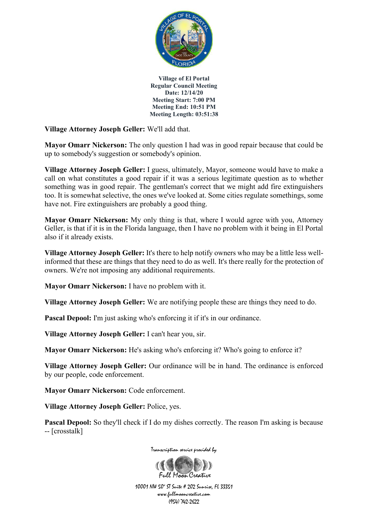

**Village Attorney Joseph Geller:** We'll add that.

**Mayor Omarr Nickerson:** The only question I had was in good repair because that could be up to somebody's suggestion or somebody's opinion.

**Village Attorney Joseph Geller:** I guess, ultimately, Mayor, someone would have to make a call on what constitutes a good repair if it was a serious legitimate question as to whether something was in good repair. The gentleman's correct that we might add fire extinguishers too. It is somewhat selective, the ones we've looked at. Some cities regulate somethings, some have not. Fire extinguishers are probably a good thing.

**Mayor Omarr Nickerson:** My only thing is that, where I would agree with you, Attorney Geller, is that if it is in the Florida language, then I have no problem with it being in El Portal also if it already exists.

**Village Attorney Joseph Geller:** It's there to help notify owners who may be a little less wellinformed that these are things that they need to do as well. It's there really for the protection of owners. We're not imposing any additional requirements.

**Mayor Omarr Nickerson:** I have no problem with it.

**Village Attorney Joseph Geller:** We are notifying people these are things they need to do.

**Pascal Depool:** I'm just asking who's enforcing it if it's in our ordinance.

**Village Attorney Joseph Geller:** I can't hear you, sir.

**Mayor Omarr Nickerson:** He's asking who's enforcing it? Who's going to enforce it?

**Village Attorney Joseph Geller:** Our ordinance will be in hand. The ordinance is enforced by our people, code enforcement.

**Mayor Omarr Nickerson:** Code enforcement.

**Village Attorney Joseph Geller:** Police, yes.

**Pascal Depool:** So they'll check if I do my dishes correctly. The reason I'm asking is because -- [crosstalk]



Transcription service provided by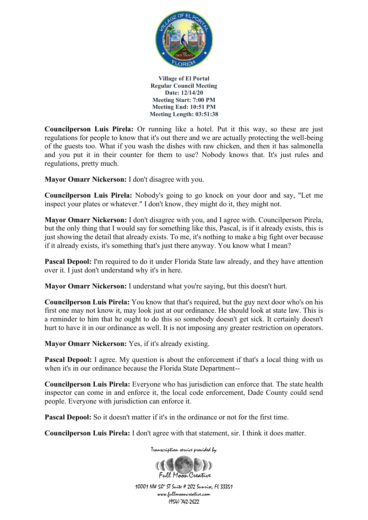

**Councilperson Luis Pirela:** Or running like a hotel. Put it this way, so these are just regulations for people to know that it's out there and we are actually protecting the well-being of the guests too. What if you wash the dishes with raw chicken, and then it has salmonella and you put it in their counter for them to use? Nobody knows that. It's just rules and regulations, pretty much.

**Mayor Omarr Nickerson:** I don't disagree with you.

**Councilperson Luis Pirela:** Nobody's going to go knock on your door and say, "Let me inspect your plates or whatever." I don't know, they might do it, they might not.

**Mayor Omarr Nickerson:** I don't disagree with you, and I agree with. Councilperson Pirela, but the only thing that I would say for something like this, Pascal, is if it already exists, this is just showing the detail that already exists. To me, it's nothing to make a big fight over because if it already exists, it's something that's just there anyway. You know what I mean?

**Pascal Depool:** I'm required to do it under Florida State law already, and they have attention over it. I just don't understand why it's in here.

**Mayor Omarr Nickerson:** I understand what you're saying, but this doesn't hurt.

**Councilperson Luis Pirela:** You know that that's required, but the guy next door who's on his first one may not know it, may look just at our ordinance. He should look at state law. This is a reminder to him that he ought to do this so somebody doesn't get sick. It certainly doesn't hurt to have it in our ordinance as well. It is not imposing any greater restriction on operators.

**Mayor Omarr Nickerson:** Yes, if it's already existing.

**Pascal Depool:** I agree. My question is about the enforcement if that's a local thing with us when it's in our ordinance because the Florida State Department--

**Councilperson Luis Pirela:** Everyone who has jurisdiction can enforce that. The state health inspector can come in and enforce it, the local code enforcement, Dade County could send people. Everyone with jurisdiction can enforce it.

**Pascal Depool:** So it doesn't matter if it's in the ordinance or not for the first time.

**Councilperson Luis Pirela:** I don't agree with that statement, sir. I think it does matter.

Transcription service provided by

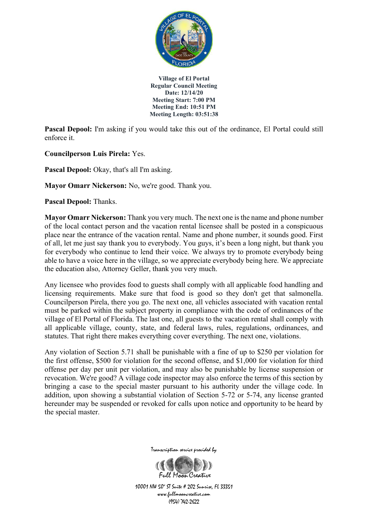

**Pascal Depool:** I'm asking if you would take this out of the ordinance, El Portal could still enforce it.

**Councilperson Luis Pirela:** Yes.

**Pascal Depool:** Okay, that's all I'm asking.

**Mayor Omarr Nickerson:** No, we're good. Thank you.

**Pascal Depool:** Thanks.

**Mayor Omarr Nickerson:** Thank you very much. The next one is the name and phone number of the local contact person and the vacation rental licensee shall be posted in a conspicuous place near the entrance of the vacation rental. Name and phone number, it sounds good. First of all, let me just say thank you to everybody. You guys, it's been a long night, but thank you for everybody who continue to lend their voice. We always try to promote everybody being able to have a voice here in the village, so we appreciate everybody being here. We appreciate the education also, Attorney Geller, thank you very much.

Any licensee who provides food to guests shall comply with all applicable food handling and licensing requirements. Make sure that food is good so they don't get that salmonella. Councilperson Pirela, there you go. The next one, all vehicles associated with vacation rental must be parked within the subject property in compliance with the code of ordinances of the village of El Portal of Florida. The last one, all guests to the vacation rental shall comply with all applicable village, county, state, and federal laws, rules, regulations, ordinances, and statutes. That right there makes everything cover everything. The next one, violations.

Any violation of Section 5.71 shall be punishable with a fine of up to \$250 per violation for the first offense, \$500 for violation for the second offense, and \$1,000 for violation for third offense per day per unit per violation, and may also be punishable by license suspension or revocation. We're good? A village code inspector may also enforce the terms of this section by bringing a case to the special master pursuant to his authority under the village code. In addition, upon showing a substantial violation of Section 5-72 or 5-74, any license granted hereunder may be suspended or revoked for calls upon notice and opportunity to be heard by the special master.



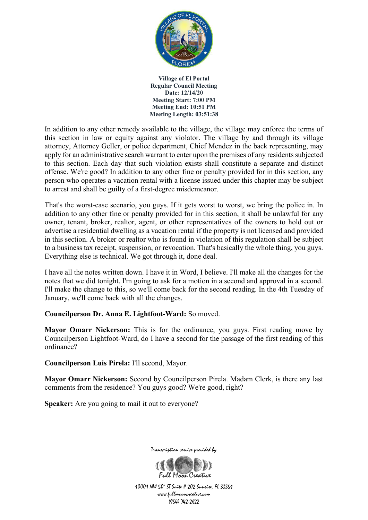

In addition to any other remedy available to the village, the village may enforce the terms of this section in law or equity against any violator. The village by and through its village attorney, Attorney Geller, or police department, Chief Mendez in the back representing, may apply for an administrative search warrant to enter upon the premises of any residents subjected to this section. Each day that such violation exists shall constitute a separate and distinct offense. We're good? In addition to any other fine or penalty provided for in this section, any person who operates a vacation rental with a license issued under this chapter may be subject to arrest and shall be guilty of a first-degree misdemeanor.

That's the worst-case scenario, you guys. If it gets worst to worst, we bring the police in. In addition to any other fine or penalty provided for in this section, it shall be unlawful for any owner, tenant, broker, realtor, agent, or other representatives of the owners to hold out or advertise a residential dwelling as a vacation rental if the property is not licensed and provided in this section. A broker or realtor who is found in violation of this regulation shall be subject to a business tax receipt, suspension, or revocation. That's basically the whole thing, you guys. Everything else is technical. We got through it, done deal.

I have all the notes written down. I have it in Word, I believe. I'll make all the changes for the notes that we did tonight. I'm going to ask for a motion in a second and approval in a second. I'll make the change to this, so we'll come back for the second reading. In the 4th Tuesday of January, we'll come back with all the changes.

## **Councilperson Dr. Anna E. Lightfoot-Ward:** So moved.

**Mayor Omarr Nickerson:** This is for the ordinance, you guys. First reading move by Councilperson Lightfoot-Ward, do I have a second for the passage of the first reading of this ordinance?

**Councilperson Luis Pirela:** I'll second, Mayor.

**Mayor Omarr Nickerson:** Second by Councilperson Pirela. Madam Clerk, is there any last comments from the residence? You guys good? We're good, right?

**Speaker:** Are you going to mail it out to everyone?



Transcription service provided by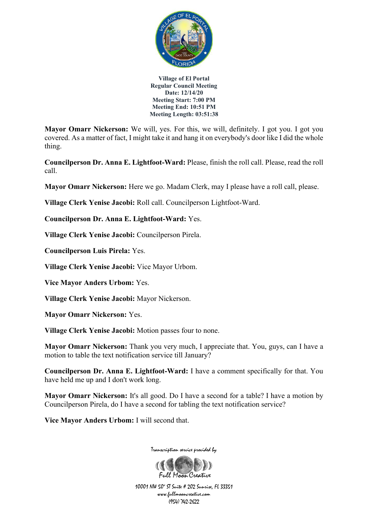

**Mayor Omarr Nickerson:** We will, yes. For this, we will, definitely. I got you. I got you covered. As a matter of fact, I might take it and hang it on everybody's door like I did the whole thing.

**Councilperson Dr. Anna E. Lightfoot-Ward:** Please, finish the roll call. Please, read the roll call.

**Mayor Omarr Nickerson:** Here we go. Madam Clerk, may I please have a roll call, please.

**Village Clerk Yenise Jacobi:** Roll call. Councilperson Lightfoot-Ward.

**Councilperson Dr. Anna E. Lightfoot-Ward:** Yes.

**Village Clerk Yenise Jacobi:** Councilperson Pirela.

**Councilperson Luis Pirela:** Yes.

**Village Clerk Yenise Jacobi:** Vice Mayor Urbom.

**Vice Mayor Anders Urbom:** Yes.

**Village Clerk Yenise Jacobi:** Mayor Nickerson.

**Mayor Omarr Nickerson:** Yes.

**Village Clerk Yenise Jacobi:** Motion passes four to none.

**Mayor Omarr Nickerson:** Thank you very much, I appreciate that. You, guys, can I have a motion to table the text notification service till January?

**Councilperson Dr. Anna E. Lightfoot-Ward:** I have a comment specifically for that. You have held me up and I don't work long.

**Mayor Omarr Nickerson:** It's all good. Do I have a second for a table? I have a motion by Councilperson Pirela, do I have a second for tabling the text notification service?

**Vice Mayor Anders Urbom:** I will second that.



Transcription service provided by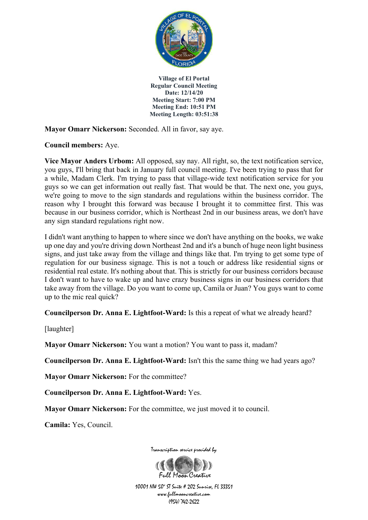

**Mayor Omarr Nickerson:** Seconded. All in favor, say aye.

**Council members:** Aye.

**Vice Mayor Anders Urbom:** All opposed, say nay. All right, so, the text notification service, you guys, I'll bring that back in January full council meeting. I've been trying to pass that for a while, Madam Clerk. I'm trying to pass that village-wide text notification service for you guys so we can get information out really fast. That would be that. The next one, you guys, we're going to move to the sign standards and regulations within the business corridor. The reason why I brought this forward was because I brought it to committee first. This was because in our business corridor, which is Northeast 2nd in our business areas, we don't have any sign standard regulations right now.

I didn't want anything to happen to where since we don't have anything on the books, we wake up one day and you're driving down Northeast 2nd and it's a bunch of huge neon light business signs, and just take away from the village and things like that. I'm trying to get some type of regulation for our business signage. This is not a touch or address like residential signs or residential real estate. It's nothing about that. This is strictly for our business corridors because I don't want to have to wake up and have crazy business signs in our business corridors that take away from the village. Do you want to come up, Camila or Juan? You guys want to come up to the mic real quick?

**Councilperson Dr. Anna E. Lightfoot-Ward:** Is this a repeat of what we already heard?

[laughter]

**Mayor Omarr Nickerson:** You want a motion? You want to pass it, madam?

**Councilperson Dr. Anna E. Lightfoot-Ward:** Isn't this the same thing we had years ago?

**Mayor Omarr Nickerson:** For the committee?

**Councilperson Dr. Anna E. Lightfoot-Ward:** Yes.

**Mayor Omarr Nickerson:** For the committee, we just moved it to council.

**Camila:** Yes, Council.



Transcription service provided by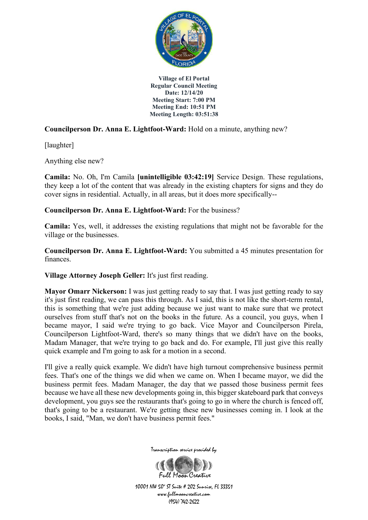

**Councilperson Dr. Anna E. Lightfoot-Ward:** Hold on a minute, anything new?

[laughter]

Anything else new?

**Camila:** No. Oh, I'm Camila **[unintelligible 03:42:19]** Service Design. These regulations, they keep a lot of the content that was already in the existing chapters for signs and they do cover signs in residential. Actually, in all areas, but it does more specifically--

**Councilperson Dr. Anna E. Lightfoot-Ward:** For the business?

**Camila:** Yes, well, it addresses the existing regulations that might not be favorable for the village or the businesses.

**Councilperson Dr. Anna E. Lightfoot-Ward:** You submitted a 45 minutes presentation for finances.

**Village Attorney Joseph Geller:** It's just first reading.

**Mayor Omarr Nickerson:** I was just getting ready to say that. I was just getting ready to say it's just first reading, we can pass this through. As I said, this is not like the short-term rental, this is something that we're just adding because we just want to make sure that we protect ourselves from stuff that's not on the books in the future. As a council, you guys, when I became mayor, I said we're trying to go back. Vice Mayor and Councilperson Pirela, Councilperson Lightfoot-Ward, there's so many things that we didn't have on the books, Madam Manager, that we're trying to go back and do. For example, I'll just give this really quick example and I'm going to ask for a motion in a second.

I'll give a really quick example. We didn't have high turnout comprehensive business permit fees. That's one of the things we did when we came on. When I became mayor, we did the business permit fees. Madam Manager, the day that we passed those business permit fees because we have all these new developments going in, this bigger skateboard park that conveys development, you guys see the restaurants that's going to go in where the church is fenced off, that's going to be a restaurant. We're getting these new businesses coming in. I look at the books, I said, "Man, we don't have business permit fees."



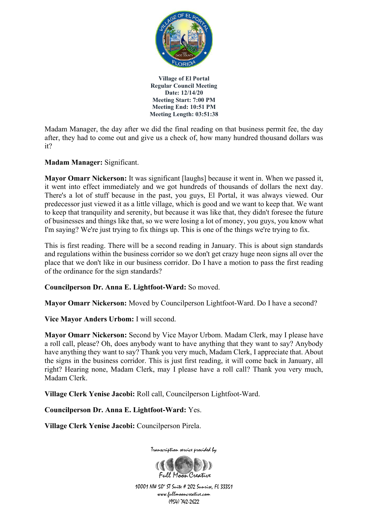

Madam Manager, the day after we did the final reading on that business permit fee, the day after, they had to come out and give us a check of, how many hundred thousand dollars was it?

# **Madam Manager:** Significant.

**Mayor Omarr Nickerson:** It was significant [laughs] because it went in. When we passed it, it went into effect immediately and we got hundreds of thousands of dollars the next day. There's a lot of stuff because in the past, you guys, El Portal, it was always viewed. Our predecessor just viewed it as a little village, which is good and we want to keep that. We want to keep that tranquility and serenity, but because it was like that, they didn't foresee the future of businesses and things like that, so we were losing a lot of money, you guys, you know what I'm saying? We're just trying to fix things up. This is one of the things we're trying to fix.

This is first reading. There will be a second reading in January. This is about sign standards and regulations within the business corridor so we don't get crazy huge neon signs all over the place that we don't like in our business corridor. Do I have a motion to pass the first reading of the ordinance for the sign standards?

**Councilperson Dr. Anna E. Lightfoot-Ward:** So moved.

**Mayor Omarr Nickerson:** Moved by Councilperson Lightfoot-Ward. Do I have a second?

**Vice Mayor Anders Urbom:** I will second.

**Mayor Omarr Nickerson:** Second by Vice Mayor Urbom. Madam Clerk, may I please have a roll call, please? Oh, does anybody want to have anything that they want to say? Anybody have anything they want to say? Thank you very much, Madam Clerk, I appreciate that. About the signs in the business corridor. This is just first reading, it will come back in January, all right? Hearing none, Madam Clerk, may I please have a roll call? Thank you very much, Madam Clerk.

**Village Clerk Yenise Jacobi:** Roll call, Councilperson Lightfoot-Ward.

**Councilperson Dr. Anna E. Lightfoot-Ward:** Yes.

**Village Clerk Yenise Jacobi:** Councilperson Pirela.



Transcription service provided by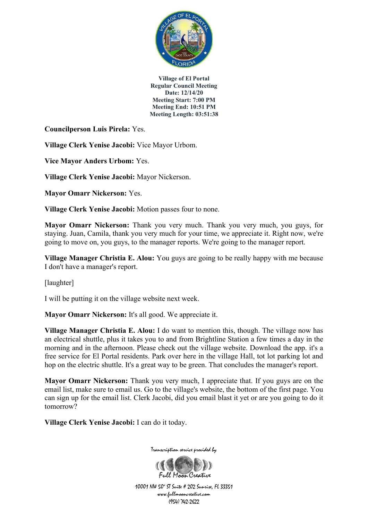

**Councilperson Luis Pirela:** Yes.

**Village Clerk Yenise Jacobi:** Vice Mayor Urbom.

**Vice Mayor Anders Urbom:** Yes.

**Village Clerk Yenise Jacobi:** Mayor Nickerson.

**Mayor Omarr Nickerson:** Yes.

**Village Clerk Yenise Jacobi:** Motion passes four to none.

**Mayor Omarr Nickerson:** Thank you very much. Thank you very much, you guys, for staying. Juan, Camila, thank you very much for your time, we appreciate it. Right now, we're going to move on, you guys, to the manager reports. We're going to the manager report.

**Village Manager Christia E. Alou:** You guys are going to be really happy with me because I don't have a manager's report.

[laughter]

I will be putting it on the village website next week.

**Mayor Omarr Nickerson:** It's all good. We appreciate it.

**Village Manager Christia E. Alou:** I do want to mention this, though. The village now has an electrical shuttle, plus it takes you to and from Brightline Station a few times a day in the morning and in the afternoon. Please check out the village website. Download the app. it's a free service for El Portal residents. Park over here in the village Hall, tot lot parking lot and hop on the electric shuttle. It's a great way to be green. That concludes the manager's report.

**Mayor Omarr Nickerson:** Thank you very much, I appreciate that. If you guys are on the email list, make sure to email us. Go to the village's website, the bottom of the first page. You can sign up for the email list. Clerk Jacobi, did you email blast it yet or are you going to do it tomorrow?

**Village Clerk Yenise Jacobi:** I can do it today.



Transcription service provided by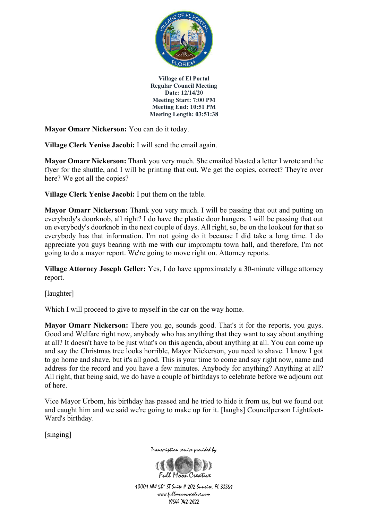

**Mayor Omarr Nickerson:** You can do it today.

**Village Clerk Yenise Jacobi:** I will send the email again.

**Mayor Omarr Nickerson:** Thank you very much. She emailed blasted a letter I wrote and the flyer for the shuttle, and I will be printing that out. We get the copies, correct? They're over here? We got all the copies?

**Village Clerk Yenise Jacobi:** I put them on the table.

**Mayor Omarr Nickerson:** Thank you very much. I will be passing that out and putting on everybody's doorknob, all right? I do have the plastic door hangers. I will be passing that out on everybody's doorknob in the next couple of days. All right, so, be on the lookout for that so everybody has that information. I'm not going do it because I did take a long time. I do appreciate you guys bearing with me with our impromptu town hall, and therefore, I'm not going to do a mayor report. We're going to move right on. Attorney reports.

**Village Attorney Joseph Geller:** Yes, I do have approximately a 30-minute village attorney report.

[laughter]

Which I will proceed to give to myself in the car on the way home.

**Mayor Omarr Nickerson:** There you go, sounds good. That's it for the reports, you guys. Good and Welfare right now, anybody who has anything that they want to say about anything at all? It doesn't have to be just what's on this agenda, about anything at all. You can come up and say the Christmas tree looks horrible, Mayor Nickerson, you need to shave. I know I got to go home and shave, but it's all good. This is your time to come and say right now, name and address for the record and you have a few minutes. Anybody for anything? Anything at all? All right, that being said, we do have a couple of birthdays to celebrate before we adjourn out of here.

Vice Mayor Urbom, his birthday has passed and he tried to hide it from us, but we found out and caught him and we said we're going to make up for it. [laughs] Councilperson Lightfoot-Ward's birthday.

[singing]



Transcription service provided by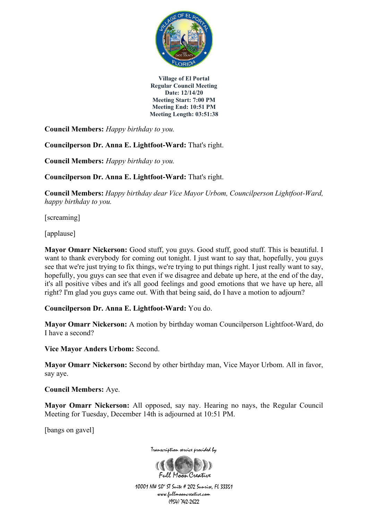

**Council Members:** *Happy birthday to you.*

**Councilperson Dr. Anna E. Lightfoot-Ward:** That's right.

**Council Members:** *Happy birthday to you.*

**Councilperson Dr. Anna E. Lightfoot-Ward:** That's right.

**Council Members:** *Happy birthday dear Vice Mayor Urbom, Councilperson Lightfoot-Ward, happy birthday to you.*

[screaming]

[applause]

**Mayor Omarr Nickerson:** Good stuff, you guys. Good stuff, good stuff. This is beautiful. I want to thank everybody for coming out tonight. I just want to say that, hopefully, you guys see that we're just trying to fix things, we're trying to put things right. I just really want to say, hopefully, you guys can see that even if we disagree and debate up here, at the end of the day, it's all positive vibes and it's all good feelings and good emotions that we have up here, all right? I'm glad you guys came out. With that being said, do I have a motion to adjourn?

**Councilperson Dr. Anna E. Lightfoot-Ward:** You do.

**Mayor Omarr Nickerson:** A motion by birthday woman Councilperson Lightfoot-Ward, do I have a second?

**Vice Mayor Anders Urbom:** Second.

**Mayor Omarr Nickerson:** Second by other birthday man, Vice Mayor Urbom. All in favor, say aye.

**Council Members:** Aye.

**Mayor Omarr Nickerson:** All opposed, say nay. Hearing no nays, the Regular Council Meeting for Tuesday, December 14th is adjourned at 10:51 PM.

[bangs on gavel]



Transcription service provided by